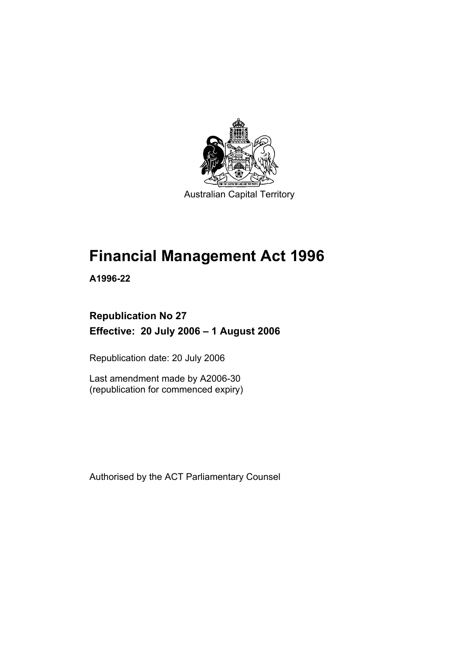

# **Financial Management Act 1996**

**A1996-22** 

### **Republication No 27 Effective: 20 July 2006 – 1 August 2006**

Republication date: 20 July 2006

Last amendment made by A2006-30 (republication for commenced expiry)

Authorised by the ACT Parliamentary Counsel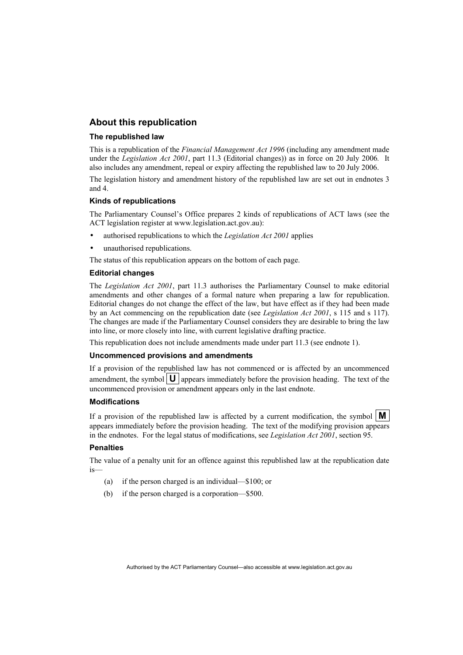#### **About this republication**

#### **The republished law**

This is a republication of the *Financial Management Act 1996* (including any amendment made under the *Legislation Act 2001*, part 11.3 (Editorial changes)) as in force on 20 July 2006*.* It also includes any amendment, repeal or expiry affecting the republished law to 20 July 2006.

The legislation history and amendment history of the republished law are set out in endnotes 3 and 4.

#### **Kinds of republications**

The Parliamentary Counsel's Office prepares 2 kinds of republications of ACT laws (see the ACT legislation register at www.legislation.act.gov.au):

- authorised republications to which the *Legislation Act 2001* applies
- unauthorised republications.

The status of this republication appears on the bottom of each page.

#### **Editorial changes**

The *Legislation Act 2001*, part 11.3 authorises the Parliamentary Counsel to make editorial amendments and other changes of a formal nature when preparing a law for republication. Editorial changes do not change the effect of the law, but have effect as if they had been made by an Act commencing on the republication date (see *Legislation Act 2001*, s 115 and s 117). The changes are made if the Parliamentary Counsel considers they are desirable to bring the law into line, or more closely into line, with current legislative drafting practice.

This republication does not include amendments made under part 11.3 (see endnote 1).

#### **Uncommenced provisions and amendments**

If a provision of the republished law has not commenced or is affected by an uncommenced amendment, the symbol  $\mathbf{U}$  appears immediately before the provision heading. The text of the uncommenced provision or amendment appears only in the last endnote.

#### **Modifications**

If a provision of the republished law is affected by a current modification, the symbol  $\mathbf{M}$ appears immediately before the provision heading. The text of the modifying provision appears in the endnotes. For the legal status of modifications, see *Legislation Act 2001*, section 95.

#### **Penalties**

The value of a penalty unit for an offence against this republished law at the republication date is—

- (a) if the person charged is an individual—\$100; or
- (b) if the person charged is a corporation—\$500.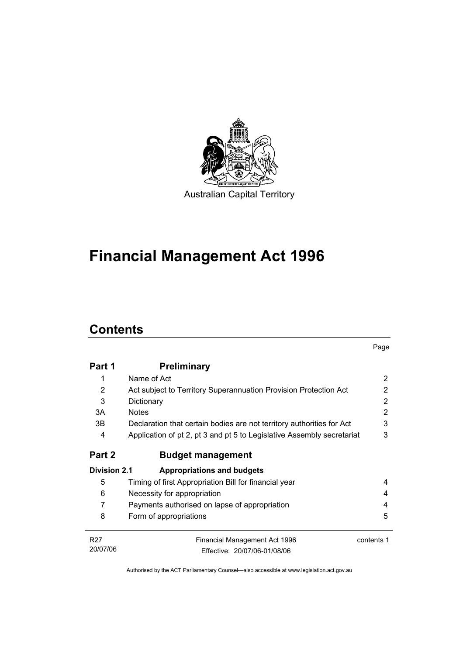

# **Financial Management Act 1996**

# **Contents**

|                 |                                                                        | Page       |  |
|-----------------|------------------------------------------------------------------------|------------|--|
| Part 1          | <b>Preliminary</b>                                                     |            |  |
| 1               | Name of Act                                                            | 2          |  |
| 2               | Act subject to Territory Superannuation Provision Protection Act       | 2          |  |
| 3               | Dictionary                                                             | 2          |  |
| 3A              | <b>Notes</b>                                                           | 2          |  |
| 3B              | Declaration that certain bodies are not territory authorities for Act  | 3          |  |
| 4               | Application of pt 2, pt 3 and pt 5 to Legislative Assembly secretariat | 3          |  |
| Part 2          | <b>Budget management</b>                                               |            |  |
| Division 2.1    | <b>Appropriations and budgets</b>                                      |            |  |
| 5               | Timing of first Appropriation Bill for financial year                  | 4          |  |
| 6               | Necessity for appropriation                                            | 4          |  |
| 7               | Payments authorised on lapse of appropriation                          | 4          |  |
| 8               | Form of appropriations                                                 | 5          |  |
| R <sub>27</sub> | Financial Management Act 1996                                          | contents 1 |  |
| 20/07/06        | Fffective: 20/07/06-01/08/06                                           |            |  |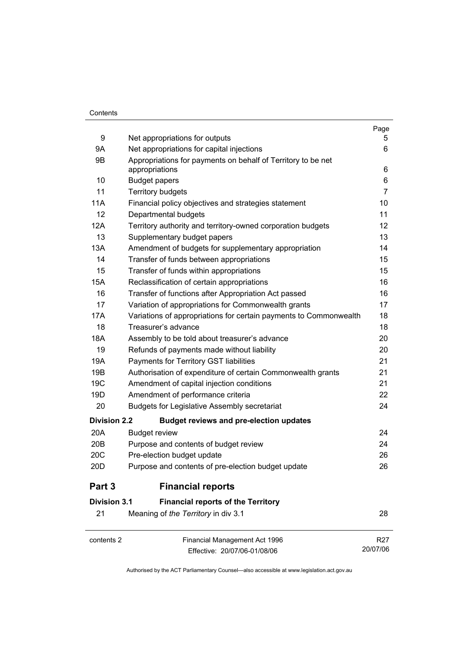#### **Contents**

|                     |                                                                                | Page                        |
|---------------------|--------------------------------------------------------------------------------|-----------------------------|
| 9                   | Net appropriations for outputs                                                 | 5                           |
| 9Α                  | Net appropriations for capital injections                                      | 6                           |
| 9B                  | Appropriations for payments on behalf of Territory to be net<br>appropriations | 6                           |
| 10                  | <b>Budget papers</b>                                                           | 6                           |
| 11                  | <b>Territory budgets</b>                                                       | $\overline{7}$              |
| 11A                 | Financial policy objectives and strategies statement                           | 10                          |
| 12                  | Departmental budgets                                                           | 11                          |
| 12A                 | Territory authority and territory-owned corporation budgets                    | 12                          |
| 13                  | Supplementary budget papers                                                    | 13                          |
| 13A                 | Amendment of budgets for supplementary appropriation                           | 14                          |
| 14                  | Transfer of funds between appropriations                                       | 15                          |
| 15                  | Transfer of funds within appropriations                                        | 15                          |
| 15A                 | Reclassification of certain appropriations                                     | 16                          |
| 16                  | Transfer of functions after Appropriation Act passed                           | 16                          |
| 17                  | Variation of appropriations for Commonwealth grants                            | 17                          |
| 17A                 | Variations of appropriations for certain payments to Commonwealth              | 18                          |
| 18                  | Treasurer's advance                                                            | 18                          |
| 18A                 | Assembly to be told about treasurer's advance                                  | 20                          |
| 19                  | Refunds of payments made without liability                                     | 20                          |
| 19A                 | Payments for Territory GST liabilities                                         | 21                          |
| 19B                 | Authorisation of expenditure of certain Commonwealth grants                    | 21                          |
| 19 <sub>C</sub>     | Amendment of capital injection conditions                                      | 21                          |
| 19D                 | Amendment of performance criteria                                              | 22                          |
| 20                  | <b>Budgets for Legislative Assembly secretariat</b>                            | 24                          |
| <b>Division 2.2</b> | <b>Budget reviews and pre-election updates</b>                                 |                             |
| 20A                 | <b>Budget review</b>                                                           | 24                          |
| 20 <sub>B</sub>     | Purpose and contents of budget review                                          | 24                          |
| 20C                 | Pre-election budget update                                                     | 26                          |
| 20 <sub>D</sub>     | Purpose and contents of pre-election budget update                             | 26                          |
| Part 3              | <b>Financial reports</b>                                                       |                             |
| <b>Division 3.1</b> | <b>Financial reports of the Territory</b>                                      |                             |
| 21                  | Meaning of the Territory in div 3.1                                            | 28                          |
| contents 2          | Financial Management Act 1996<br>Effective: 20/07/06-01/08/06                  | R <sub>27</sub><br>20/07/06 |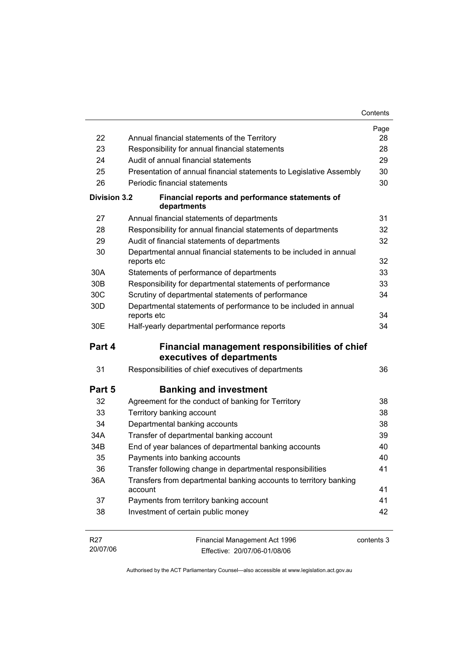|                 |                                                                                  | Contents   |
|-----------------|----------------------------------------------------------------------------------|------------|
|                 |                                                                                  | Page       |
| 22              | Annual financial statements of the Territory                                     | 28         |
| 23              | Responsibility for annual financial statements                                   | 28         |
| 24              | Audit of annual financial statements                                             | 29         |
| 25              | Presentation of annual financial statements to Legislative Assembly              | 30         |
| 26              | Periodic financial statements                                                    | 30         |
| Division 3.2    | Financial reports and performance statements of<br>departments                   |            |
| 27              | Annual financial statements of departments                                       | 31         |
| 28              | Responsibility for annual financial statements of departments                    | 32         |
| 29              | Audit of financial statements of departments                                     | 32         |
| 30              | Departmental annual financial statements to be included in annual<br>reports etc | 32         |
| 30A             | Statements of performance of departments                                         | 33         |
| 30 <sub>B</sub> | Responsibility for departmental statements of performance                        | 33         |
| 30C             | Scrutiny of departmental statements of performance                               | 34         |
| 30 <sub>D</sub> | Departmental statements of performance to be included in annual<br>reports etc   | 34         |
| 30E             | Half-yearly departmental performance reports                                     | 34         |
| Part 4          | Financial management responsibilities of chief<br>executives of departments      |            |
| 31              | Responsibilities of chief executives of departments                              | 36         |
| Part 5          | <b>Banking and investment</b>                                                    |            |
| 32              | Agreement for the conduct of banking for Territory                               | 38         |
| 33              | Territory banking account                                                        | 38         |
| 34              | Departmental banking accounts                                                    | 38         |
| 34A             | Transfer of departmental banking account                                         | 39         |
| 34B             | End of year balances of departmental banking accounts                            | 40         |
| 35              | Payments into banking accounts                                                   | 40         |
| 36              | Transfer following change in departmental responsibilities                       | 41         |
| 36A             | Transfers from departmental banking accounts to territory banking<br>account     | 41         |
| 37              | Payments from territory banking account                                          | 41         |
| 38              | Investment of certain public money                                               | 42         |
| R <sub>27</sub> | Financial Management Act 1996                                                    | contents 3 |

20/07/06 Effective: 20/07/06-01/08/06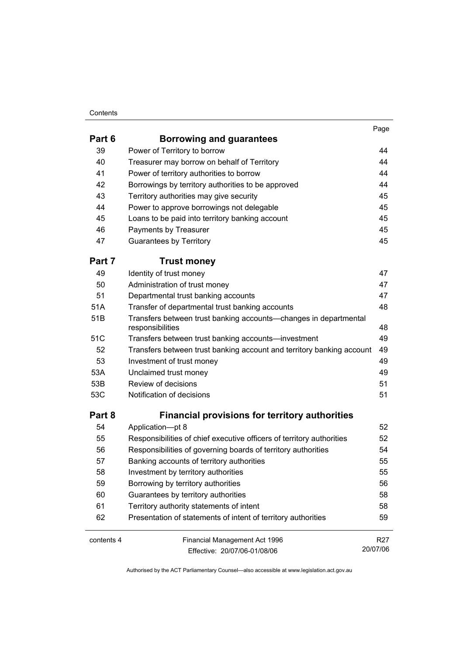#### **Contents**

| . .<br>۰.<br>×<br>× |  |
|---------------------|--|
|                     |  |

| Part 6     | <b>Borrowing and guarantees</b>                                                      |                 |
|------------|--------------------------------------------------------------------------------------|-----------------|
| 39         | Power of Territory to borrow                                                         | 44              |
| 40         | Treasurer may borrow on behalf of Territory                                          | 44              |
| 41         | Power of territory authorities to borrow                                             | 44              |
| 42         | Borrowings by territory authorities to be approved                                   | 44              |
| 43         | Territory authorities may give security                                              | 45              |
| 44         | Power to approve borrowings not delegable                                            | 45              |
| 45         | Loans to be paid into territory banking account                                      | 45              |
| 46         | Payments by Treasurer                                                                | 45              |
| 47         | <b>Guarantees by Territory</b>                                                       | 45              |
| Part 7     | <b>Trust money</b>                                                                   |                 |
| 49         | Identity of trust money                                                              | 47              |
| 50         | Administration of trust money                                                        | 47              |
| 51         | Departmental trust banking accounts                                                  | 47              |
| 51A        | Transfer of departmental trust banking accounts                                      | 48              |
| 51B        | Transfers between trust banking accounts-changes in departmental<br>responsibilities | 48              |
| 51C        | Transfers between trust banking accounts-investment                                  | 49              |
| 52         | Transfers between trust banking account and territory banking account                | 49              |
| 53         | Investment of trust money                                                            | 49              |
| 53A        | Unclaimed trust money                                                                | 49              |
| 53B        | Review of decisions                                                                  | 51              |
| 53C        | Notification of decisions                                                            | 51              |
| Part 8     | <b>Financial provisions for territory authorities</b>                                |                 |
| 54         | Application-pt 8                                                                     | 52              |
| 55         | Responsibilities of chief executive officers of territory authorities                | 52              |
| 56         | Responsibilities of governing boards of territory authorities                        | 54              |
| 57         | Banking accounts of territory authorities                                            | 55              |
| 58         | Investment by territory authorities                                                  | 55              |
| 59         | Borrowing by territory authorities                                                   | 56              |
| 60         | Guarantees by territory authorities                                                  | 58              |
| 61         | Territory authority statements of intent                                             | 58              |
| 62         | Presentation of statements of intent of territory authorities                        | 59              |
| contents 4 | Financial Management Act 1996                                                        | R <sub>27</sub> |
|            | Effective: 20/07/06-01/08/06                                                         | 20/07/06        |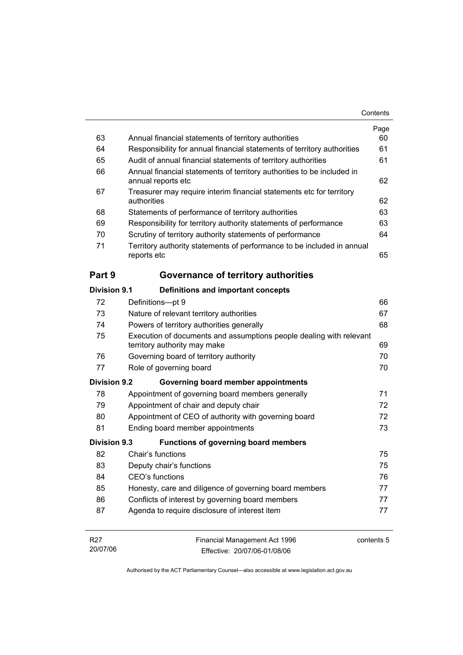|                     |                                                                                                     | Contents       |
|---------------------|-----------------------------------------------------------------------------------------------------|----------------|
|                     |                                                                                                     | Page           |
| 63                  | Annual financial statements of territory authorities                                                | 60             |
| 64                  | Responsibility for annual financial statements of territory authorities                             | 61             |
| 65                  | Audit of annual financial statements of territory authorities                                       | 61             |
| 66                  | Annual financial statements of territory authorities to be included in<br>annual reports etc        | 62             |
| 67                  | Treasurer may require interim financial statements etc for territory<br>authorities                 | 62             |
| 68                  | Statements of performance of territory authorities                                                  | 63             |
| 69                  | Responsibility for territory authority statements of performance                                    | 63             |
| 70                  | Scrutiny of territory authority statements of performance                                           | 64             |
| 71                  | Territory authority statements of performance to be included in annual<br>reports etc               | 65             |
| Part 9              | Governance of territory authorities                                                                 |                |
| Division 9.1        | Definitions and important concepts                                                                  |                |
| 72                  | Definitions-pt 9                                                                                    | 66             |
| 73                  | Nature of relevant territory authorities                                                            | 67             |
| 74                  | Powers of territory authorities generally                                                           | 68             |
| 75                  | Execution of documents and assumptions people dealing with relevant<br>territory authority may make | 69             |
| 76                  | Governing board of territory authority                                                              | 70             |
| 77                  | Role of governing board                                                                             | 70             |
| <b>Division 9.2</b> | Governing board member appointments                                                                 |                |
| 78                  | Appointment of governing board members generally                                                    | 71             |
| 79                  | Appointment of chair and deputy chair                                                               | 72             |
| 80                  | Appointment of CEO of authority with governing board                                                | 72             |
| 81                  |                                                                                                     | 73             |
|                     | Ending board member appointments                                                                    |                |
|                     | <b>Functions of governing board members</b>                                                         |                |
| 82                  | Chair's functions                                                                                   | 75             |
| 83                  | Deputy chair's functions                                                                            | 75             |
| 84                  | CEO's functions                                                                                     |                |
| 85                  | Honesty, care and diligence of governing board members                                              |                |
| Division 9.3<br>86  | Conflicts of interest by governing board members                                                    | 76<br>77<br>77 |

| R27      | Financial Management Act 1996 | contents 5 |
|----------|-------------------------------|------------|
| 20/07/06 | Effective: 20/07/06-01/08/06  |            |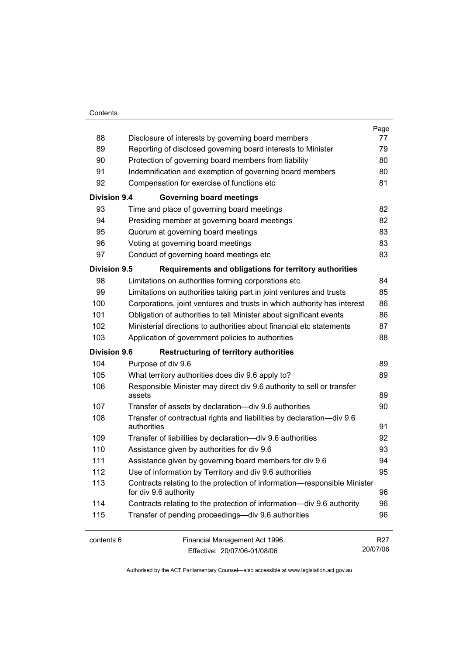#### **Contents**

|                     |                                                                                                   | Page            |
|---------------------|---------------------------------------------------------------------------------------------------|-----------------|
| 88                  | Disclosure of interests by governing board members                                                | 77              |
| 89                  | Reporting of disclosed governing board interests to Minister                                      | 79              |
| 90                  | Protection of governing board members from liability                                              | 80              |
| 91                  | Indemnification and exemption of governing board members                                          | 80              |
| 92                  | Compensation for exercise of functions etc                                                        | 81              |
| <b>Division 9.4</b> | <b>Governing board meetings</b>                                                                   |                 |
| 93                  | Time and place of governing board meetings                                                        | 82              |
| 94                  | Presiding member at governing board meetings                                                      | 82              |
| 95                  | Quorum at governing board meetings                                                                | 83              |
| 96                  | Voting at governing board meetings                                                                | 83              |
| 97                  | Conduct of governing board meetings etc                                                           | 83              |
| Division 9.5        | Requirements and obligations for territory authorities                                            |                 |
| 98                  | Limitations on authorities forming corporations etc                                               | 84              |
| 99                  | Limitations on authorities taking part in joint ventures and trusts                               | 85              |
| 100                 | Corporations, joint ventures and trusts in which authority has interest                           | 86              |
| 101                 | Obligation of authorities to tell Minister about significant events                               | 86              |
| 102                 | Ministerial directions to authorities about financial etc statements                              | 87              |
| 103                 | Application of government policies to authorities                                                 | 88              |
| <b>Division 9.6</b> | <b>Restructuring of territory authorities</b>                                                     |                 |
| 104                 | Purpose of div 9.6                                                                                | 89              |
| 105                 | What territory authorities does div 9.6 apply to?                                                 | 89              |
| 106                 | Responsible Minister may direct div 9.6 authority to sell or transfer<br>assets                   | 89              |
| 107                 | Transfer of assets by declaration-div 9.6 authorities                                             | 90              |
| 108                 | Transfer of contractual rights and liabilities by declaration-div 9.6<br>authorities              | 91              |
| 109                 | Transfer of liabilities by declaration-div 9.6 authorities                                        | 92              |
| 110                 | Assistance given by authorities for div 9.6                                                       | 93              |
| 111                 | Assistance given by governing board members for div 9.6                                           | 94              |
| 112                 | Use of information by Territory and div 9.6 authorities                                           | 95              |
| 113                 | Contracts relating to the protection of information-responsible Minister<br>for div 9.6 authority | 96              |
| 114                 | Contracts relating to the protection of information—div 9.6 authority                             | 96              |
| 115                 | Transfer of pending proceedings—div 9.6 authorities                                               | 96              |
| contents 6          | Financial Management Act 1996                                                                     | R <sub>27</sub> |
|                     | Effective: 20/07/06-01/08/06                                                                      | 20/07/06        |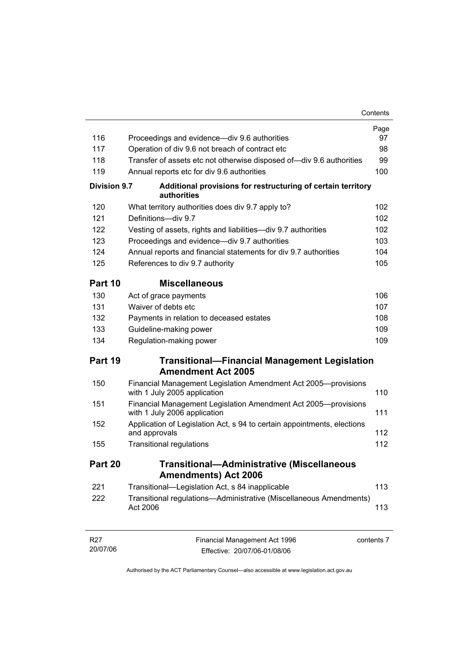|                             |                                                                                                | Contents   |
|-----------------------------|------------------------------------------------------------------------------------------------|------------|
|                             |                                                                                                | Page       |
| 116                         | Proceedings and evidence—div 9.6 authorities                                                   | 97         |
| 117                         | Operation of div 9.6 not breach of contract etc                                                | 98         |
| 118                         | Transfer of assets etc not otherwise disposed of—div 9.6 authorities                           | 99         |
| 119                         | Annual reports etc for div 9.6 authorities                                                     | 100        |
| <b>Division 9.7</b>         | Additional provisions for restructuring of certain territory<br>authorities                    |            |
| 120                         | What territory authorities does div 9.7 apply to?                                              | 102        |
| 121                         | Definitions-div 9.7                                                                            | 102        |
| 122                         | Vesting of assets, rights and liabilities-div 9.7 authorities                                  | 102        |
| 123                         | Proceedings and evidence-div 9.7 authorities                                                   | 103        |
| 124                         | Annual reports and financial statements for div 9.7 authorities                                | 104        |
| 125                         | References to div 9.7 authority                                                                | 105        |
| Part 10                     | <b>Miscellaneous</b>                                                                           |            |
| 130                         | Act of grace payments                                                                          | 106        |
| 131                         | Waiver of debts etc                                                                            | 107        |
| 132                         | Payments in relation to deceased estates                                                       | 108        |
| 133                         | Guideline-making power                                                                         | 109        |
| 134                         | Regulation-making power                                                                        | 109        |
| Part 19                     | <b>Transitional-Financial Management Legislation</b>                                           |            |
|                             | <b>Amendment Act 2005</b>                                                                      |            |
| 150                         | Financial Management Legislation Amendment Act 2005-provisions<br>with 1 July 2005 application | 110        |
| 151                         | Financial Management Legislation Amendment Act 2005-provisions<br>with 1 July 2006 application | 111        |
| 152                         | Application of Legislation Act, s 94 to certain appointments, elections<br>and approvals       | 112        |
| 155                         | <b>Transitional regulations</b>                                                                | 112        |
| Part 20                     | <b>Transitional-Administrative (Miscellaneous</b><br><b>Amendments) Act 2006</b>               |            |
| 221                         | Transitional-Legislation Act, s 84 inapplicable                                                | 113        |
| 222                         | Transitional regulations-Administrative (Miscellaneous Amendments)<br>Act 2006                 | 113        |
| R <sub>27</sub><br>20/07/06 | Financial Management Act 1996<br>Effective: 20/07/06-01/08/06                                  | contents 7 |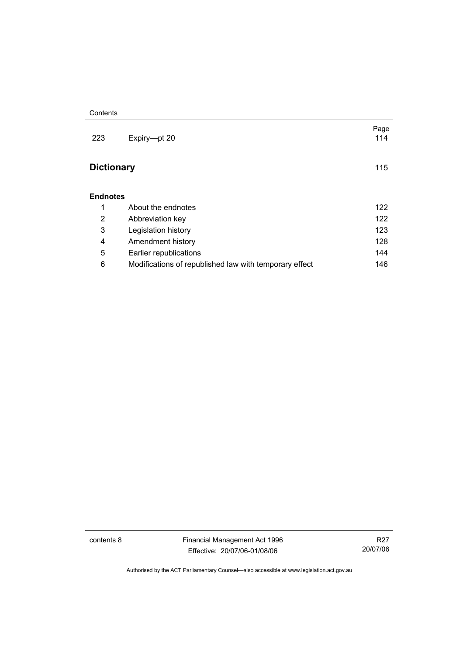| Expiry-pt 20                                           | Page<br>114 |
|--------------------------------------------------------|-------------|
| <b>Dictionary</b>                                      | 115         |
|                                                        |             |
| About the endnotes                                     | 122         |
| Abbreviation key                                       | 122         |
| Legislation history                                    | 123         |
| Amendment history                                      | 128         |
| Earlier republications                                 | 144         |
| Modifications of republished law with temporary effect | 146         |
|                                                        |             |

contents 8 Financial Management Act 1996 Effective: 20/07/06-01/08/06

R27 20/07/06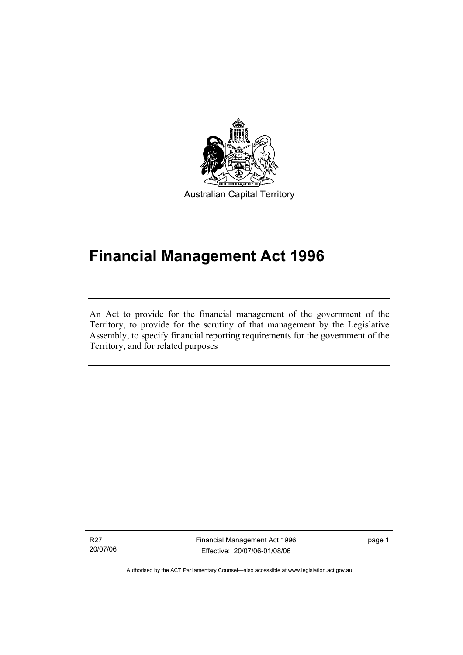

# **Financial Management Act 1996**

An Act to provide for the financial management of the government of the Territory, to provide for the scrutiny of that management by the Legislative Assembly, to specify financial reporting requirements for the government of the Territory, and for related purposes

R27 20/07/06

I

Financial Management Act 1996 Effective: 20/07/06-01/08/06

page 1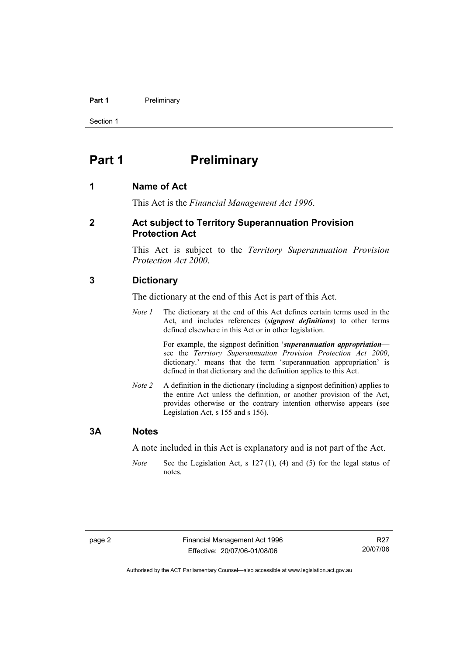#### **Part 1** Preliminary

Section 1

### **Part 1** Preliminary

#### **1 Name of Act**

This Act is the *Financial Management Act 1996*.

#### **2 Act subject to Territory Superannuation Provision Protection Act**

This Act is subject to the *Territory Superannuation Provision Protection Act 2000*.

#### **3 Dictionary**

The dictionary at the end of this Act is part of this Act.

*Note 1* The dictionary at the end of this Act defines certain terms used in the Act, and includes references (*signpost definitions*) to other terms defined elsewhere in this Act or in other legislation.

> For example, the signpost definition '*superannuation appropriation* see the *Territory Superannuation Provision Protection Act 2000*, dictionary.' means that the term 'superannuation appropriation' is defined in that dictionary and the definition applies to this Act.

*Note 2* A definition in the dictionary (including a signpost definition) applies to the entire Act unless the definition, or another provision of the Act, provides otherwise or the contrary intention otherwise appears (see Legislation Act, s 155 and s 156).

#### **3A Notes**

A note included in this Act is explanatory and is not part of the Act.

*Note* See the Legislation Act, s 127 (1), (4) and (5) for the legal status of notes.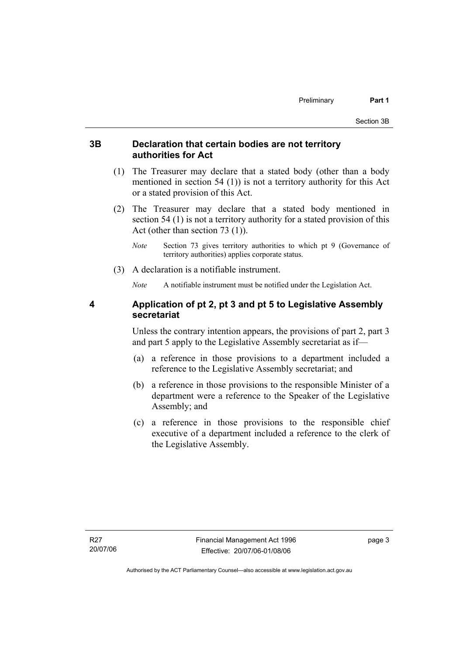#### **3B Declaration that certain bodies are not territory authorities for Act**

- (1) The Treasurer may declare that a stated body (other than a body mentioned in section 54 (1)) is not a territory authority for this Act or a stated provision of this Act.
- (2) The Treasurer may declare that a stated body mentioned in section 54 (1) is not a territory authority for a stated provision of this Act (other than section 73 (1)).
	- *Note* Section 73 gives territory authorities to which pt 9 (Governance of territory authorities) applies corporate status.
- (3) A declaration is a notifiable instrument.

*Note* A notifiable instrument must be notified under the Legislation Act.

#### **4 Application of pt 2, pt 3 and pt 5 to Legislative Assembly secretariat**

Unless the contrary intention appears, the provisions of part 2, part 3 and part 5 apply to the Legislative Assembly secretariat as if—

- (a) a reference in those provisions to a department included a reference to the Legislative Assembly secretariat; and
- (b) a reference in those provisions to the responsible Minister of a department were a reference to the Speaker of the Legislative Assembly; and
- (c) a reference in those provisions to the responsible chief executive of a department included a reference to the clerk of the Legislative Assembly.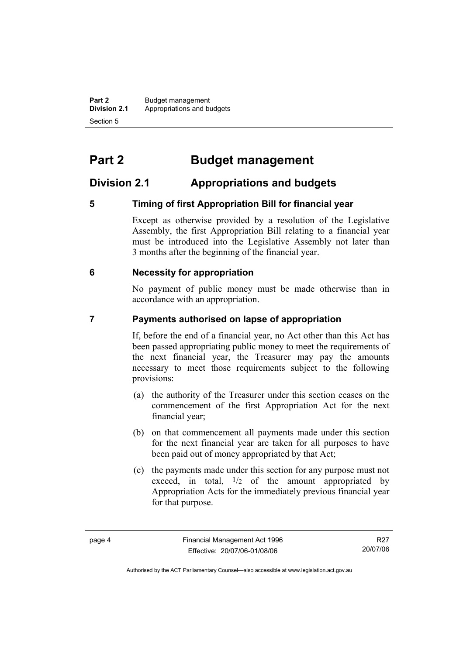**Part 2** Budget management<br>**Division 2.1** Appropriations and by **Division 2.1** Appropriations and budgets Section 5

# **Part 2 Budget management**

### **Division 2.1 Appropriations and budgets**

#### **5 Timing of first Appropriation Bill for financial year**

Except as otherwise provided by a resolution of the Legislative Assembly, the first Appropriation Bill relating to a financial year must be introduced into the Legislative Assembly not later than 3 months after the beginning of the financial year.

#### **6 Necessity for appropriation**

No payment of public money must be made otherwise than in accordance with an appropriation.

#### **7 Payments authorised on lapse of appropriation**

If, before the end of a financial year, no Act other than this Act has been passed appropriating public money to meet the requirements of the next financial year, the Treasurer may pay the amounts necessary to meet those requirements subject to the following provisions:

- (a) the authority of the Treasurer under this section ceases on the commencement of the first Appropriation Act for the next financial year;
- (b) on that commencement all payments made under this section for the next financial year are taken for all purposes to have been paid out of money appropriated by that Act;
- (c) the payments made under this section for any purpose must not exceed, in total,  $\frac{1}{2}$  of the amount appropriated by Appropriation Acts for the immediately previous financial year for that purpose.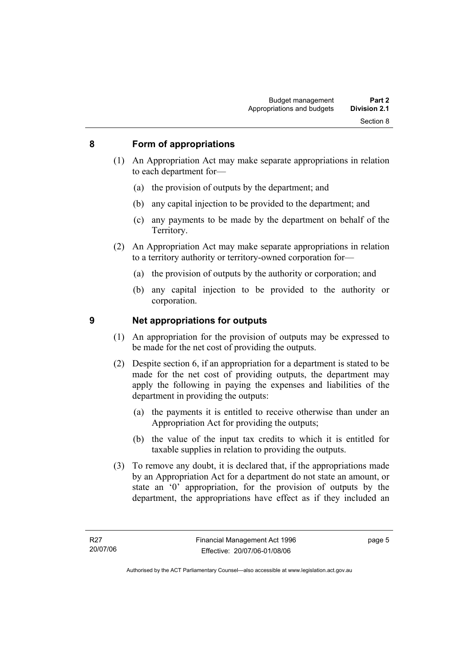#### **8 Form of appropriations**

- (1) An Appropriation Act may make separate appropriations in relation to each department for—
	- (a) the provision of outputs by the department; and
	- (b) any capital injection to be provided to the department; and
	- (c) any payments to be made by the department on behalf of the Territory.
- (2) An Appropriation Act may make separate appropriations in relation to a territory authority or territory-owned corporation for—
	- (a) the provision of outputs by the authority or corporation; and
	- (b) any capital injection to be provided to the authority or corporation.

#### **9 Net appropriations for outputs**

- (1) An appropriation for the provision of outputs may be expressed to be made for the net cost of providing the outputs.
- (2) Despite section 6, if an appropriation for a department is stated to be made for the net cost of providing outputs, the department may apply the following in paying the expenses and liabilities of the department in providing the outputs:
	- (a) the payments it is entitled to receive otherwise than under an Appropriation Act for providing the outputs;
	- (b) the value of the input tax credits to which it is entitled for taxable supplies in relation to providing the outputs.
- (3) To remove any doubt, it is declared that, if the appropriations made by an Appropriation Act for a department do not state an amount, or state an '0' appropriation, for the provision of outputs by the department, the appropriations have effect as if they included an

page 5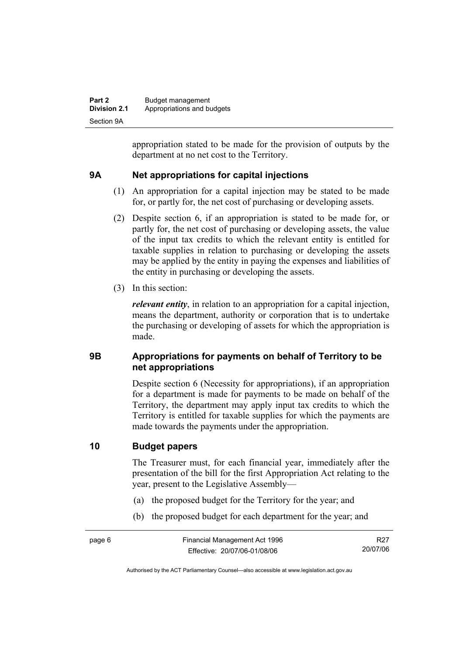| Part 2              | Budget management          |
|---------------------|----------------------------|
| <b>Division 2.1</b> | Appropriations and budgets |
| Section 9A          |                            |

appropriation stated to be made for the provision of outputs by the department at no net cost to the Territory.

#### **9A Net appropriations for capital injections**

- (1) An appropriation for a capital injection may be stated to be made for, or partly for, the net cost of purchasing or developing assets.
- (2) Despite section 6, if an appropriation is stated to be made for, or partly for, the net cost of purchasing or developing assets, the value of the input tax credits to which the relevant entity is entitled for taxable supplies in relation to purchasing or developing the assets may be applied by the entity in paying the expenses and liabilities of the entity in purchasing or developing the assets.
- (3) In this section:

*relevant entity*, in relation to an appropriation for a capital injection, means the department, authority or corporation that is to undertake the purchasing or developing of assets for which the appropriation is made.

#### **9B Appropriations for payments on behalf of Territory to be net appropriations**

Despite section 6 (Necessity for appropriations), if an appropriation for a department is made for payments to be made on behalf of the Territory, the department may apply input tax credits to which the Territory is entitled for taxable supplies for which the payments are made towards the payments under the appropriation.

#### **10 Budget papers**

The Treasurer must, for each financial year, immediately after the presentation of the bill for the first Appropriation Act relating to the year, present to the Legislative Assembly—

- (a) the proposed budget for the Territory for the year; and
- (b) the proposed budget for each department for the year; and

R27 20/07/06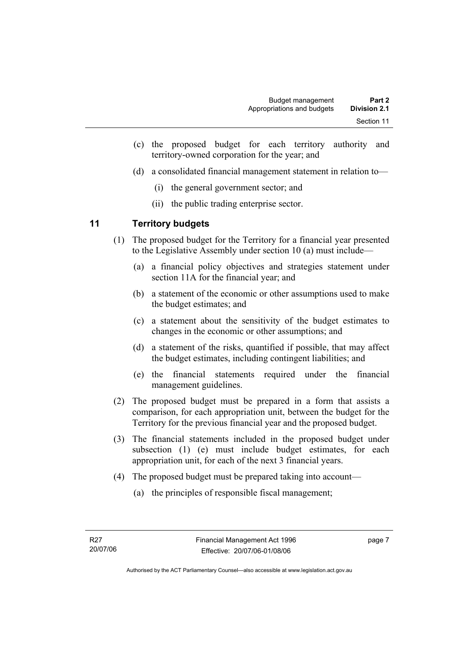- (c) the proposed budget for each territory authority and territory-owned corporation for the year; and
- (d) a consolidated financial management statement in relation to—
	- (i) the general government sector; and
	- (ii) the public trading enterprise sector.

#### **11 Territory budgets**

- (1) The proposed budget for the Territory for a financial year presented to the Legislative Assembly under section 10 (a) must include—
	- (a) a financial policy objectives and strategies statement under section 11A for the financial year; and
	- (b) a statement of the economic or other assumptions used to make the budget estimates; and
	- (c) a statement about the sensitivity of the budget estimates to changes in the economic or other assumptions; and
	- (d) a statement of the risks, quantified if possible, that may affect the budget estimates, including contingent liabilities; and
	- (e) the financial statements required under the financial management guidelines.
- (2) The proposed budget must be prepared in a form that assists a comparison, for each appropriation unit, between the budget for the Territory for the previous financial year and the proposed budget.
- (3) The financial statements included in the proposed budget under subsection (1) (e) must include budget estimates, for each appropriation unit, for each of the next 3 financial years.
- (4) The proposed budget must be prepared taking into account—
	- (a) the principles of responsible fiscal management;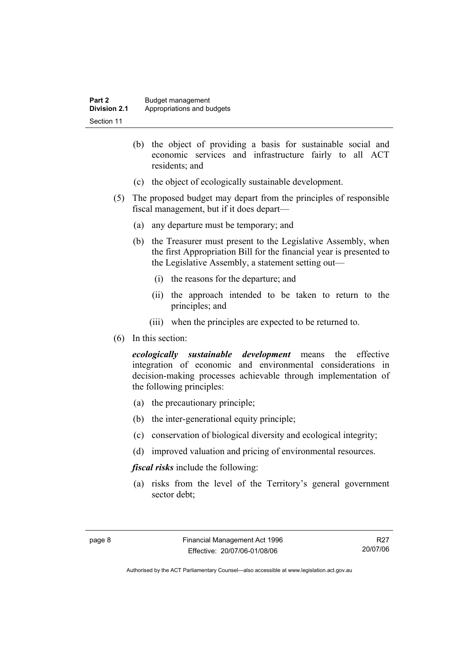| Part 2       | Budget management          |
|--------------|----------------------------|
| Division 2.1 | Appropriations and budgets |
| Section 11   |                            |

- (b) the object of providing a basis for sustainable social and economic services and infrastructure fairly to all ACT residents; and
- (c) the object of ecologically sustainable development.
- (5) The proposed budget may depart from the principles of responsible fiscal management, but if it does depart—
	- (a) any departure must be temporary; and
	- (b) the Treasurer must present to the Legislative Assembly, when the first Appropriation Bill for the financial year is presented to the Legislative Assembly, a statement setting out—
		- (i) the reasons for the departure; and
		- (ii) the approach intended to be taken to return to the principles; and
		- (iii) when the principles are expected to be returned to.
- (6) In this section:

*ecologically sustainable development* means the effective integration of economic and environmental considerations in decision-making processes achievable through implementation of the following principles:

- (a) the precautionary principle;
- (b) the inter-generational equity principle;
- (c) conservation of biological diversity and ecological integrity;
- (d) improved valuation and pricing of environmental resources.

*fiscal risks* include the following:

 (a) risks from the level of the Territory's general government sector debt;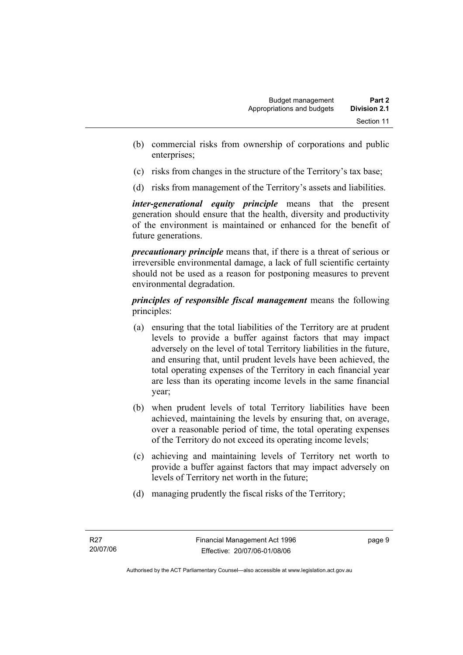- (b) commercial risks from ownership of corporations and public enterprises;
- (c) risks from changes in the structure of the Territory's tax base;
- (d) risks from management of the Territory's assets and liabilities.

*inter-generational equity principle* means that the present generation should ensure that the health, diversity and productivity of the environment is maintained or enhanced for the benefit of future generations.

*precautionary principle* means that, if there is a threat of serious or irreversible environmental damage, a lack of full scientific certainty should not be used as a reason for postponing measures to prevent environmental degradation.

*principles of responsible fiscal management* means the following principles:

- (a) ensuring that the total liabilities of the Territory are at prudent levels to provide a buffer against factors that may impact adversely on the level of total Territory liabilities in the future, and ensuring that, until prudent levels have been achieved, the total operating expenses of the Territory in each financial year are less than its operating income levels in the same financial year;
- (b) when prudent levels of total Territory liabilities have been achieved, maintaining the levels by ensuring that, on average, over a reasonable period of time, the total operating expenses of the Territory do not exceed its operating income levels;
- (c) achieving and maintaining levels of Territory net worth to provide a buffer against factors that may impact adversely on levels of Territory net worth in the future;
- (d) managing prudently the fiscal risks of the Territory;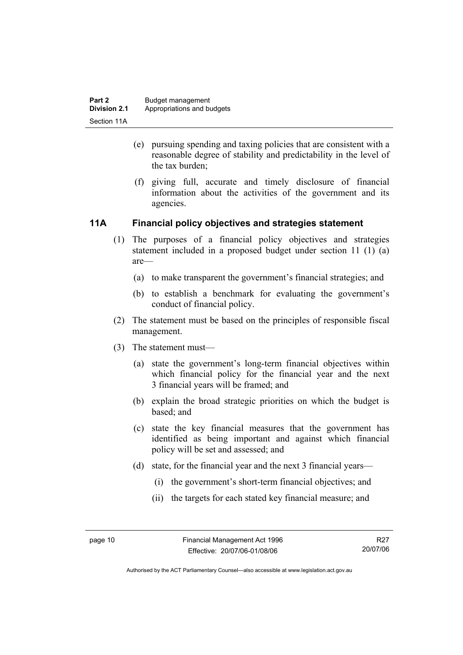- (e) pursuing spending and taxing policies that are consistent with a reasonable degree of stability and predictability in the level of the tax burden;
- (f) giving full, accurate and timely disclosure of financial information about the activities of the government and its agencies.

#### **11A Financial policy objectives and strategies statement**

- (1) The purposes of a financial policy objectives and strategies statement included in a proposed budget under section 11 (1) (a) are—
	- (a) to make transparent the government's financial strategies; and
	- (b) to establish a benchmark for evaluating the government's conduct of financial policy.
- (2) The statement must be based on the principles of responsible fiscal management.
- (3) The statement must—
	- (a) state the government's long-term financial objectives within which financial policy for the financial year and the next 3 financial years will be framed; and
	- (b) explain the broad strategic priorities on which the budget is based; and
	- (c) state the key financial measures that the government has identified as being important and against which financial policy will be set and assessed; and
	- (d) state, for the financial year and the next 3 financial years—
		- (i) the government's short-term financial objectives; and
		- (ii) the targets for each stated key financial measure; and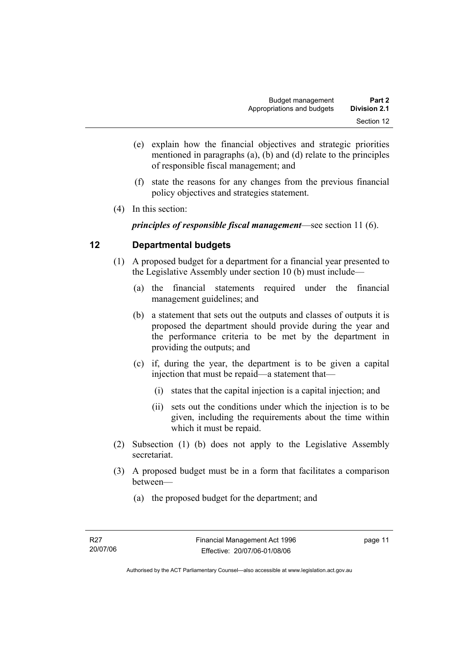- (e) explain how the financial objectives and strategic priorities mentioned in paragraphs (a), (b) and (d) relate to the principles of responsible fiscal management; and
- (f) state the reasons for any changes from the previous financial policy objectives and strategies statement.
- (4) In this section:

*principles of responsible fiscal management*—see section 11 (6).

#### **12 Departmental budgets**

- (1) A proposed budget for a department for a financial year presented to the Legislative Assembly under section 10 (b) must include—
	- (a) the financial statements required under the financial management guidelines; and
	- (b) a statement that sets out the outputs and classes of outputs it is proposed the department should provide during the year and the performance criteria to be met by the department in providing the outputs; and
	- (c) if, during the year, the department is to be given a capital injection that must be repaid—a statement that—
		- (i) states that the capital injection is a capital injection; and
		- (ii) sets out the conditions under which the injection is to be given, including the requirements about the time within which it must be repaid.
- (2) Subsection (1) (b) does not apply to the Legislative Assembly secretariat.
- (3) A proposed budget must be in a form that facilitates a comparison between—
	- (a) the proposed budget for the department; and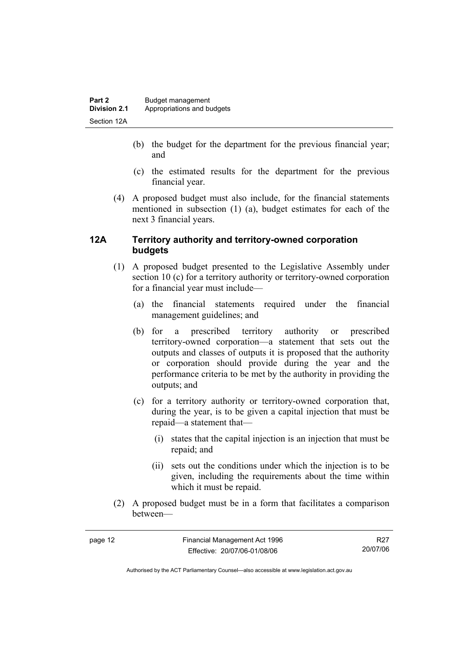- (b) the budget for the department for the previous financial year; and
- (c) the estimated results for the department for the previous financial year.
- (4) A proposed budget must also include, for the financial statements mentioned in subsection (1) (a), budget estimates for each of the next 3 financial years.

#### **12A Territory authority and territory-owned corporation budgets**

- (1) A proposed budget presented to the Legislative Assembly under section 10 (c) for a territory authority or territory-owned corporation for a financial year must include—
	- (a) the financial statements required under the financial management guidelines; and
	- (b) for a prescribed territory authority or prescribed territory-owned corporation—a statement that sets out the outputs and classes of outputs it is proposed that the authority or corporation should provide during the year and the performance criteria to be met by the authority in providing the outputs; and
	- (c) for a territory authority or territory-owned corporation that, during the year, is to be given a capital injection that must be repaid—a statement that—
		- (i) states that the capital injection is an injection that must be repaid; and
		- (ii) sets out the conditions under which the injection is to be given, including the requirements about the time within which it must be repaid.
- (2) A proposed budget must be in a form that facilitates a comparison between—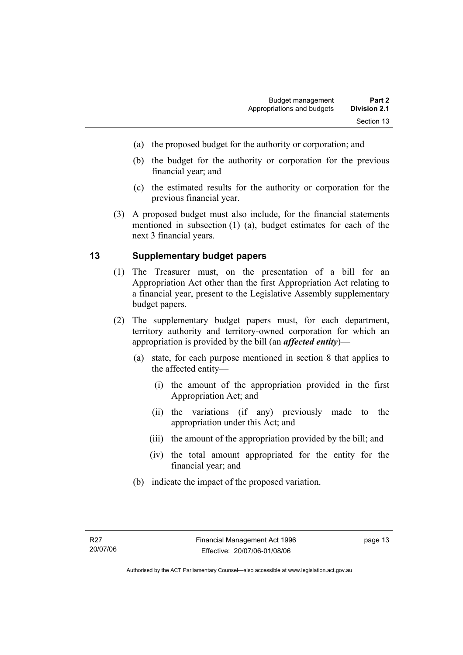- (a) the proposed budget for the authority or corporation; and
- (b) the budget for the authority or corporation for the previous financial year; and
- (c) the estimated results for the authority or corporation for the previous financial year.
- (3) A proposed budget must also include, for the financial statements mentioned in subsection (1) (a), budget estimates for each of the next 3 financial years.

#### **13 Supplementary budget papers**

- (1) The Treasurer must, on the presentation of a bill for an Appropriation Act other than the first Appropriation Act relating to a financial year, present to the Legislative Assembly supplementary budget papers.
- (2) The supplementary budget papers must, for each department, territory authority and territory-owned corporation for which an appropriation is provided by the bill (an *affected entity*)—
	- (a) state, for each purpose mentioned in section 8 that applies to the affected entity—
		- (i) the amount of the appropriation provided in the first Appropriation Act; and
		- (ii) the variations (if any) previously made to the appropriation under this Act; and
		- (iii) the amount of the appropriation provided by the bill; and
		- (iv) the total amount appropriated for the entity for the financial year; and
	- (b) indicate the impact of the proposed variation.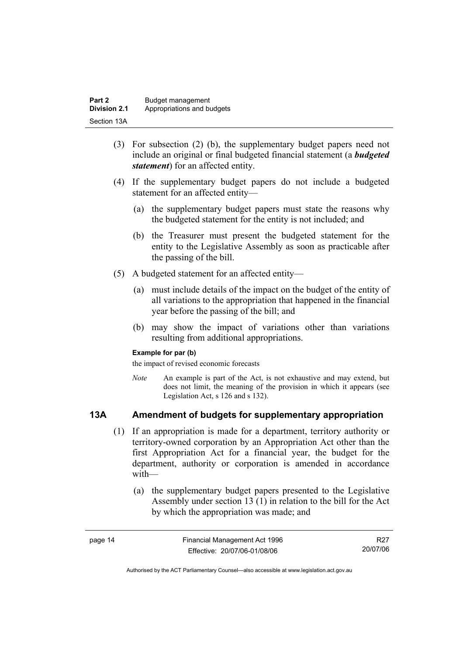| Part 2              | Budget management          |
|---------------------|----------------------------|
| <b>Division 2.1</b> | Appropriations and budgets |
| Section 13A         |                            |

- (3) For subsection (2) (b), the supplementary budget papers need not include an original or final budgeted financial statement (a *budgeted statement*) for an affected entity.
- (4) If the supplementary budget papers do not include a budgeted statement for an affected entity—
	- (a) the supplementary budget papers must state the reasons why the budgeted statement for the entity is not included; and
	- (b) the Treasurer must present the budgeted statement for the entity to the Legislative Assembly as soon as practicable after the passing of the bill.
- (5) A budgeted statement for an affected entity—
	- (a) must include details of the impact on the budget of the entity of all variations to the appropriation that happened in the financial year before the passing of the bill; and
	- (b) may show the impact of variations other than variations resulting from additional appropriations.

#### **Example for par (b)**

the impact of revised economic forecasts

*Note* An example is part of the Act, is not exhaustive and may extend, but does not limit, the meaning of the provision in which it appears (see Legislation Act, s 126 and s 132).

#### **13A Amendment of budgets for supplementary appropriation**

- (1) If an appropriation is made for a department, territory authority or territory-owned corporation by an Appropriation Act other than the first Appropriation Act for a financial year, the budget for the department, authority or corporation is amended in accordance with—
	- (a) the supplementary budget papers presented to the Legislative Assembly under section 13 (1) in relation to the bill for the Act by which the appropriation was made; and

| page 14 | Financial Management Act 1996 | R27      |
|---------|-------------------------------|----------|
|         | Effective: 20/07/06-01/08/06  | 20/07/06 |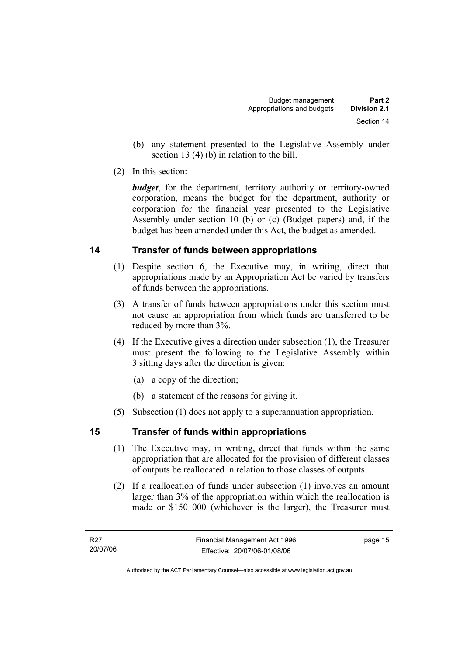- (b) any statement presented to the Legislative Assembly under section 13 (4) (b) in relation to the bill.
- (2) In this section:

*budget*, for the department, territory authority or territory-owned corporation, means the budget for the department, authority or corporation for the financial year presented to the Legislative Assembly under section 10 (b) or (c) (Budget papers) and, if the budget has been amended under this Act, the budget as amended.

#### **14 Transfer of funds between appropriations**

- (1) Despite section 6, the Executive may, in writing, direct that appropriations made by an Appropriation Act be varied by transfers of funds between the appropriations.
- (3) A transfer of funds between appropriations under this section must not cause an appropriation from which funds are transferred to be reduced by more than 3%.
- (4) If the Executive gives a direction under subsection (1), the Treasurer must present the following to the Legislative Assembly within 3 sitting days after the direction is given:
	- (a) a copy of the direction;
	- (b) a statement of the reasons for giving it.
- (5) Subsection (1) does not apply to a superannuation appropriation.

#### **15 Transfer of funds within appropriations**

- (1) The Executive may, in writing, direct that funds within the same appropriation that are allocated for the provision of different classes of outputs be reallocated in relation to those classes of outputs.
- (2) If a reallocation of funds under subsection (1) involves an amount larger than 3% of the appropriation within which the reallocation is made or \$150 000 (whichever is the larger), the Treasurer must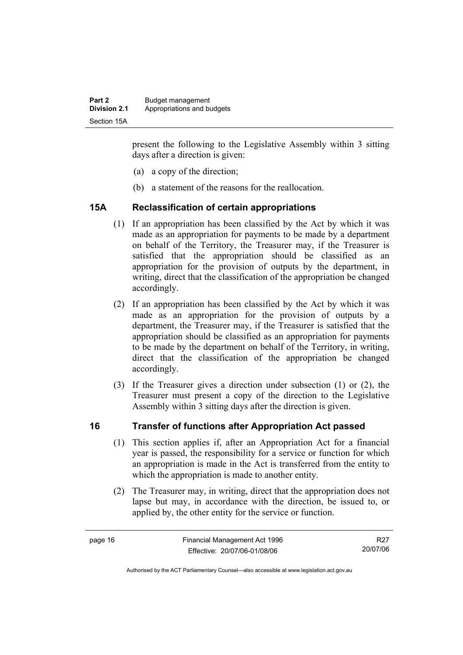present the following to the Legislative Assembly within 3 sitting days after a direction is given:

- (a) a copy of the direction;
- (b) a statement of the reasons for the reallocation.

#### **15A Reclassification of certain appropriations**

- (1) If an appropriation has been classified by the Act by which it was made as an appropriation for payments to be made by a department on behalf of the Territory, the Treasurer may, if the Treasurer is satisfied that the appropriation should be classified as an appropriation for the provision of outputs by the department, in writing, direct that the classification of the appropriation be changed accordingly.
- (2) If an appropriation has been classified by the Act by which it was made as an appropriation for the provision of outputs by a department, the Treasurer may, if the Treasurer is satisfied that the appropriation should be classified as an appropriation for payments to be made by the department on behalf of the Territory, in writing, direct that the classification of the appropriation be changed accordingly.
- (3) If the Treasurer gives a direction under subsection (1) or (2), the Treasurer must present a copy of the direction to the Legislative Assembly within 3 sitting days after the direction is given.

#### **16 Transfer of functions after Appropriation Act passed**

- (1) This section applies if, after an Appropriation Act for a financial year is passed, the responsibility for a service or function for which an appropriation is made in the Act is transferred from the entity to which the appropriation is made to another entity.
- (2) The Treasurer may, in writing, direct that the appropriation does not lapse but may, in accordance with the direction, be issued to, or applied by, the other entity for the service or function.

R27 20/07/06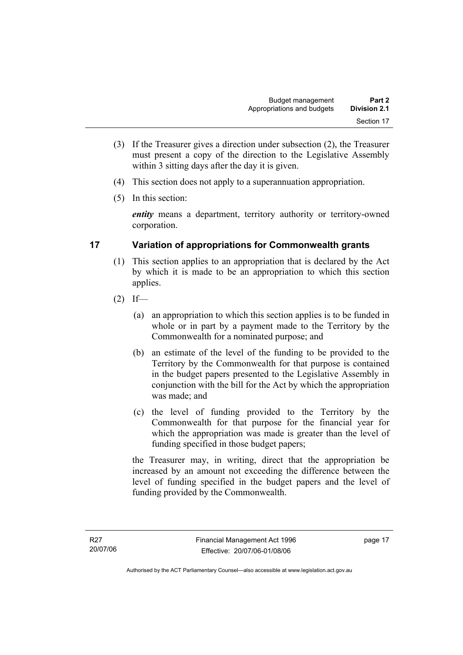- (3) If the Treasurer gives a direction under subsection (2), the Treasurer must present a copy of the direction to the Legislative Assembly within 3 sitting days after the day it is given.
- (4) This section does not apply to a superannuation appropriation.
- (5) In this section:

*entity* means a department, territory authority or territory-owned corporation.

#### **17 Variation of appropriations for Commonwealth grants**

- (1) This section applies to an appropriation that is declared by the Act by which it is made to be an appropriation to which this section applies.
- $(2)$  If—
	- (a) an appropriation to which this section applies is to be funded in whole or in part by a payment made to the Territory by the Commonwealth for a nominated purpose; and
	- (b) an estimate of the level of the funding to be provided to the Territory by the Commonwealth for that purpose is contained in the budget papers presented to the Legislative Assembly in conjunction with the bill for the Act by which the appropriation was made; and
	- (c) the level of funding provided to the Territory by the Commonwealth for that purpose for the financial year for which the appropriation was made is greater than the level of funding specified in those budget papers;

the Treasurer may, in writing, direct that the appropriation be increased by an amount not exceeding the difference between the level of funding specified in the budget papers and the level of funding provided by the Commonwealth.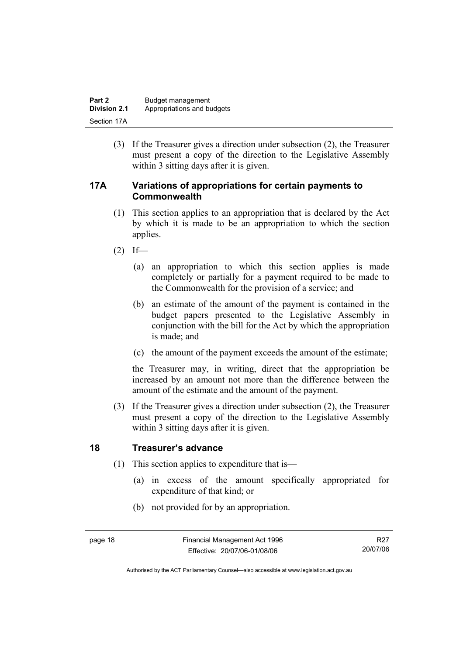| Part 2              | Budget management          |
|---------------------|----------------------------|
| <b>Division 2.1</b> | Appropriations and budgets |
| Section 17A         |                            |

 (3) If the Treasurer gives a direction under subsection (2), the Treasurer must present a copy of the direction to the Legislative Assembly within 3 sitting days after it is given.

#### **17A Variations of appropriations for certain payments to Commonwealth**

- (1) This section applies to an appropriation that is declared by the Act by which it is made to be an appropriation to which the section applies.
- $(2)$  If—
	- (a) an appropriation to which this section applies is made completely or partially for a payment required to be made to the Commonwealth for the provision of a service; and
	- (b) an estimate of the amount of the payment is contained in the budget papers presented to the Legislative Assembly in conjunction with the bill for the Act by which the appropriation is made; and
	- (c) the amount of the payment exceeds the amount of the estimate;

the Treasurer may, in writing, direct that the appropriation be increased by an amount not more than the difference between the amount of the estimate and the amount of the payment.

 (3) If the Treasurer gives a direction under subsection (2), the Treasurer must present a copy of the direction to the Legislative Assembly within 3 sitting days after it is given.

#### **18 Treasurer's advance**

- (1) This section applies to expenditure that is—
	- (a) in excess of the amount specifically appropriated for expenditure of that kind; or
	- (b) not provided for by an appropriation.

Authorised by the ACT Parliamentary Counsel—also accessible at www.legislation.act.gov.au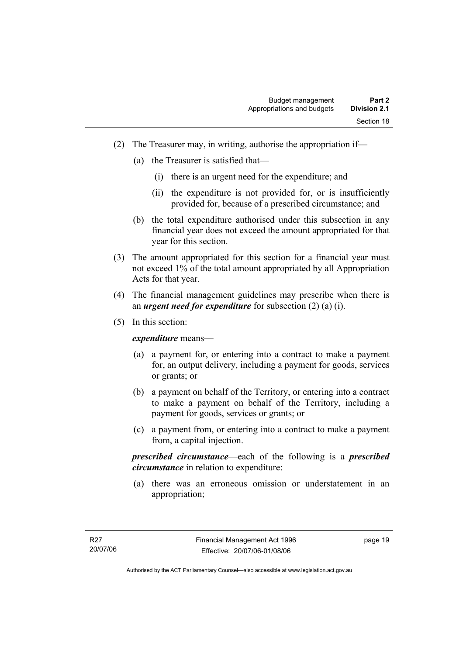- (2) The Treasurer may, in writing, authorise the appropriation if—
	- (a) the Treasurer is satisfied that—
		- (i) there is an urgent need for the expenditure; and
		- (ii) the expenditure is not provided for, or is insufficiently provided for, because of a prescribed circumstance; and
	- (b) the total expenditure authorised under this subsection in any financial year does not exceed the amount appropriated for that year for this section.
- (3) The amount appropriated for this section for a financial year must not exceed 1% of the total amount appropriated by all Appropriation Acts for that year.
- (4) The financial management guidelines may prescribe when there is an *urgent need for expenditure* for subsection (2) (a) (i).
- (5) In this section:

*expenditure* means—

- (a) a payment for, or entering into a contract to make a payment for, an output delivery, including a payment for goods, services or grants; or
- (b) a payment on behalf of the Territory, or entering into a contract to make a payment on behalf of the Territory, including a payment for goods, services or grants; or
- (c) a payment from, or entering into a contract to make a payment from, a capital injection.

*prescribed circumstance*—each of the following is a *prescribed circumstance* in relation to expenditure:

 (a) there was an erroneous omission or understatement in an appropriation;

page 19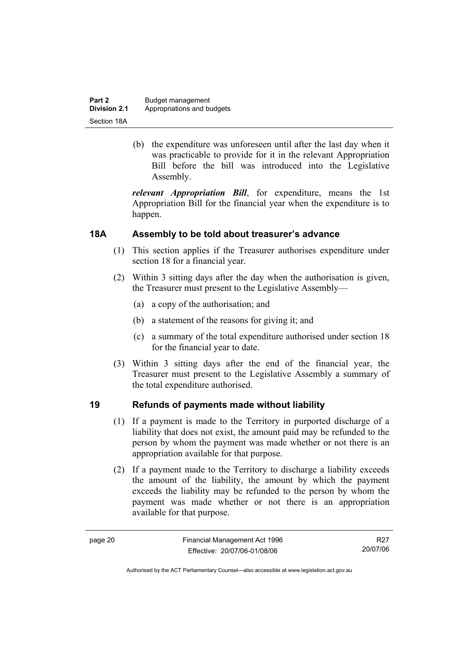| Part 2              | Budget management          |
|---------------------|----------------------------|
| <b>Division 2.1</b> | Appropriations and budgets |
| Section 18A         |                            |

 (b) the expenditure was unforeseen until after the last day when it was practicable to provide for it in the relevant Appropriation Bill before the bill was introduced into the Legislative Assembly.

*relevant Appropriation Bill*, for expenditure, means the 1st Appropriation Bill for the financial year when the expenditure is to happen.

#### **18A Assembly to be told about treasurer's advance**

- (1) This section applies if the Treasurer authorises expenditure under section 18 for a financial year.
- (2) Within 3 sitting days after the day when the authorisation is given, the Treasurer must present to the Legislative Assembly—
	- (a) a copy of the authorisation; and
	- (b) a statement of the reasons for giving it; and
	- (c) a summary of the total expenditure authorised under section 18 for the financial year to date.
- (3) Within 3 sitting days after the end of the financial year, the Treasurer must present to the Legislative Assembly a summary of the total expenditure authorised.

#### **19 Refunds of payments made without liability**

- (1) If a payment is made to the Territory in purported discharge of a liability that does not exist, the amount paid may be refunded to the person by whom the payment was made whether or not there is an appropriation available for that purpose.
- (2) If a payment made to the Territory to discharge a liability exceeds the amount of the liability, the amount by which the payment exceeds the liability may be refunded to the person by whom the payment was made whether or not there is an appropriation available for that purpose.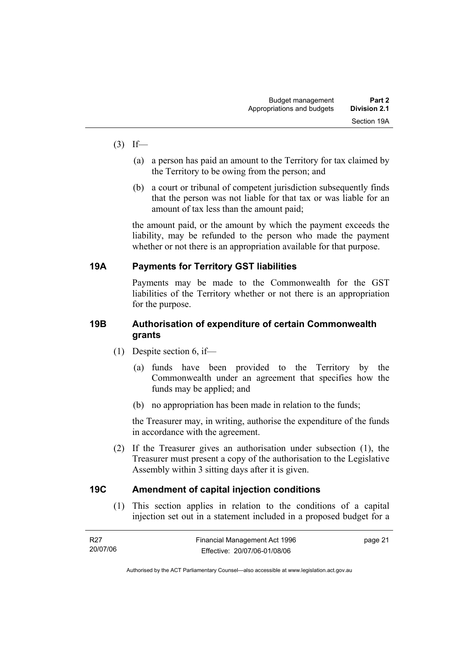- $(3)$  If—
	- (a) a person has paid an amount to the Territory for tax claimed by the Territory to be owing from the person; and
	- (b) a court or tribunal of competent jurisdiction subsequently finds that the person was not liable for that tax or was liable for an amount of tax less than the amount paid;

the amount paid, or the amount by which the payment exceeds the liability, may be refunded to the person who made the payment whether or not there is an appropriation available for that purpose.

#### **19A Payments for Territory GST liabilities**

Payments may be made to the Commonwealth for the GST liabilities of the Territory whether or not there is an appropriation for the purpose.

#### **19B Authorisation of expenditure of certain Commonwealth grants**

- (1) Despite section 6, if—
	- (a) funds have been provided to the Territory by the Commonwealth under an agreement that specifies how the funds may be applied; and
	- (b) no appropriation has been made in relation to the funds;

the Treasurer may, in writing, authorise the expenditure of the funds in accordance with the agreement.

 (2) If the Treasurer gives an authorisation under subsection (1), the Treasurer must present a copy of the authorisation to the Legislative Assembly within 3 sitting days after it is given.

#### **19C Amendment of capital injection conditions**

 (1) This section applies in relation to the conditions of a capital injection set out in a statement included in a proposed budget for a

| R27      | Financial Management Act 1996 | page 21 |
|----------|-------------------------------|---------|
| 20/07/06 | Effective: 20/07/06-01/08/06  |         |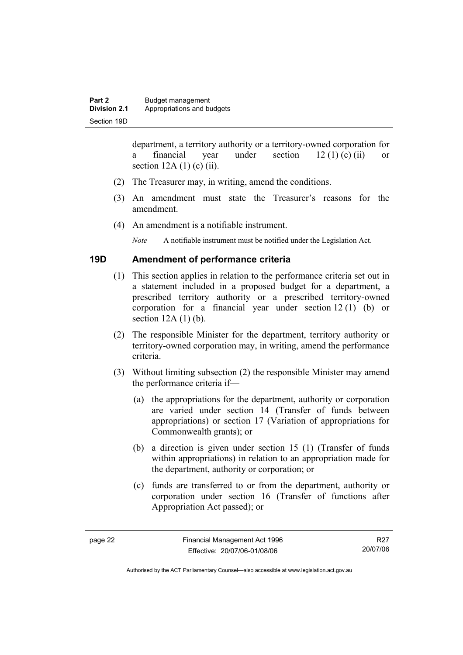department, a territory authority or a territory-owned corporation for a financial year under section  $12 (1) (c) (ii)$  or section  $12A(1)$  (c) (ii).

- (2) The Treasurer may, in writing, amend the conditions.
- (3) An amendment must state the Treasurer's reasons for the amendment.
- (4) An amendment is a notifiable instrument.

*Note* A notifiable instrument must be notified under the Legislation Act.

#### **19D Amendment of performance criteria**

- (1) This section applies in relation to the performance criteria set out in a statement included in a proposed budget for a department, a prescribed territory authority or a prescribed territory-owned corporation for a financial year under section 12 (1) (b) or section  $12A(1)(b)$ .
- (2) The responsible Minister for the department, territory authority or territory-owned corporation may, in writing, amend the performance criteria.
- (3) Without limiting subsection (2) the responsible Minister may amend the performance criteria if—
	- (a) the appropriations for the department, authority or corporation are varied under section 14 (Transfer of funds between appropriations) or section 17 (Variation of appropriations for Commonwealth grants); or
	- (b) a direction is given under section 15 (1) (Transfer of funds within appropriations) in relation to an appropriation made for the department, authority or corporation; or
	- (c) funds are transferred to or from the department, authority or corporation under section 16 (Transfer of functions after Appropriation Act passed); or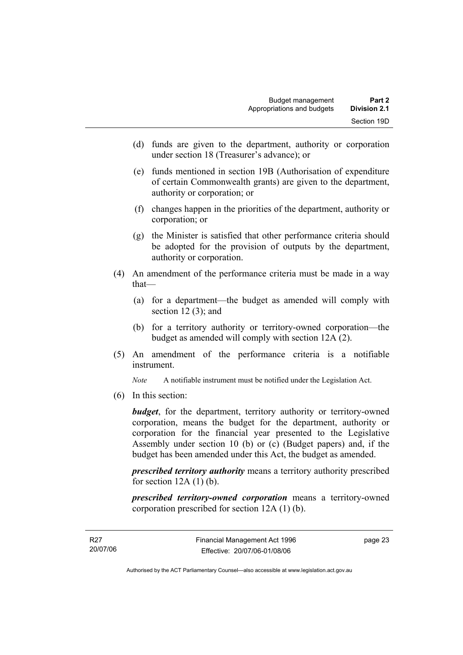- (d) funds are given to the department, authority or corporation under section 18 (Treasurer's advance); or
- (e) funds mentioned in section 19B (Authorisation of expenditure of certain Commonwealth grants) are given to the department, authority or corporation; or
- (f) changes happen in the priorities of the department, authority or corporation; or
- (g) the Minister is satisfied that other performance criteria should be adopted for the provision of outputs by the department, authority or corporation.
- (4) An amendment of the performance criteria must be made in a way that—
	- (a) for a department—the budget as amended will comply with section  $12(3)$ ; and
	- (b) for a territory authority or territory-owned corporation—the budget as amended will comply with section 12A (2).
- (5) An amendment of the performance criteria is a notifiable instrument.

*Note* A notifiable instrument must be notified under the Legislation Act.

(6) In this section:

*budget*, for the department, territory authority or territory-owned corporation, means the budget for the department, authority or corporation for the financial year presented to the Legislative Assembly under section 10 (b) or (c) (Budget papers) and, if the budget has been amended under this Act, the budget as amended.

*prescribed territory authority* means a territory authority prescribed for section  $12A(1)$  (b).

*prescribed territory-owned corporation* means a territory-owned corporation prescribed for section 12A (1) (b).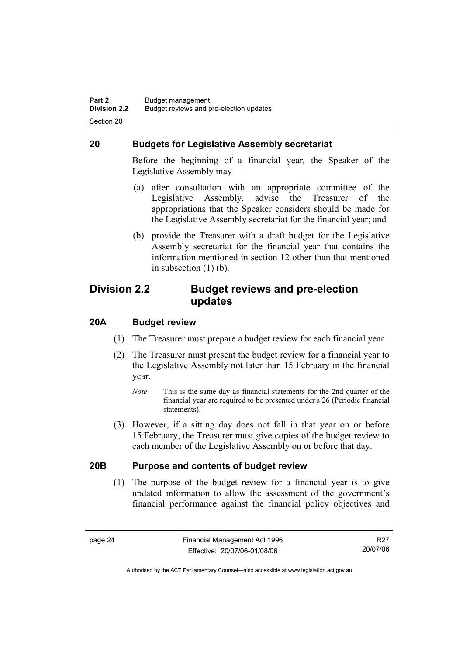#### **20 Budgets for Legislative Assembly secretariat**

Before the beginning of a financial year, the Speaker of the Legislative Assembly may—

- (a) after consultation with an appropriate committee of the Legislative Assembly, advise the Treasurer of the appropriations that the Speaker considers should be made for the Legislative Assembly secretariat for the financial year; and
- (b) provide the Treasurer with a draft budget for the Legislative Assembly secretariat for the financial year that contains the information mentioned in section 12 other than that mentioned in subsection (1) (b).

#### **Division 2.2 Budget reviews and pre-election updates**

#### **20A Budget review**

- (1) The Treasurer must prepare a budget review for each financial year.
- (2) The Treasurer must present the budget review for a financial year to the Legislative Assembly not later than 15 February in the financial year.
	- *Note* This is the same day as financial statements for the 2nd quarter of the financial year are required to be presented under s 26 (Periodic financial statements).
- (3) However, if a sitting day does not fall in that year on or before 15 February, the Treasurer must give copies of the budget review to each member of the Legislative Assembly on or before that day.

#### **20B Purpose and contents of budget review**

 (1) The purpose of the budget review for a financial year is to give updated information to allow the assessment of the government's financial performance against the financial policy objectives and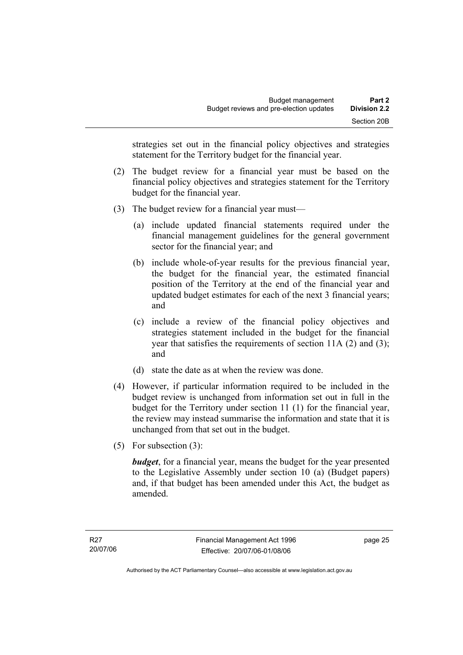strategies set out in the financial policy objectives and strategies statement for the Territory budget for the financial year.

- (2) The budget review for a financial year must be based on the financial policy objectives and strategies statement for the Territory budget for the financial year.
- (3) The budget review for a financial year must—
	- (a) include updated financial statements required under the financial management guidelines for the general government sector for the financial year; and
	- (b) include whole-of-year results for the previous financial year, the budget for the financial year, the estimated financial position of the Territory at the end of the financial year and updated budget estimates for each of the next 3 financial years; and
	- (c) include a review of the financial policy objectives and strategies statement included in the budget for the financial year that satisfies the requirements of section 11A (2) and (3); and
	- (d) state the date as at when the review was done.
- (4) However, if particular information required to be included in the budget review is unchanged from information set out in full in the budget for the Territory under section 11 (1) for the financial year, the review may instead summarise the information and state that it is unchanged from that set out in the budget.
- (5) For subsection (3):

*budget*, for a financial year, means the budget for the year presented to the Legislative Assembly under section 10 (a) (Budget papers) and, if that budget has been amended under this Act, the budget as amended.

page 25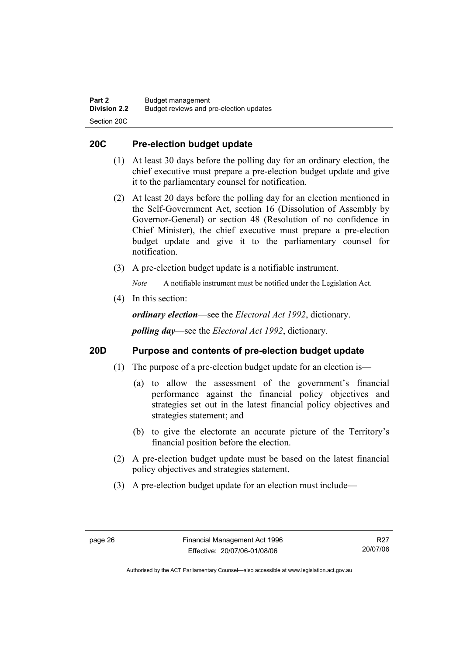#### **20C Pre-election budget update**

- (1) At least 30 days before the polling day for an ordinary election, the chief executive must prepare a pre-election budget update and give it to the parliamentary counsel for notification.
- (2) At least 20 days before the polling day for an election mentioned in the Self-Government Act, section 16 (Dissolution of Assembly by Governor-General) or section 48 (Resolution of no confidence in Chief Minister), the chief executive must prepare a pre-election budget update and give it to the parliamentary counsel for notification.
- (3) A pre-election budget update is a notifiable instrument.

*Note* A notifiable instrument must be notified under the Legislation Act.

(4) In this section:

*ordinary election*—see the *Electoral Act 1992*, dictionary.

*polling day*—see the *Electoral Act 1992*, dictionary.

#### **20D Purpose and contents of pre-election budget update**

- (1) The purpose of a pre-election budget update for an election is—
	- (a) to allow the assessment of the government's financial performance against the financial policy objectives and strategies set out in the latest financial policy objectives and strategies statement; and
	- (b) to give the electorate an accurate picture of the Territory's financial position before the election.
- (2) A pre-election budget update must be based on the latest financial policy objectives and strategies statement.
- (3) A pre-election budget update for an election must include—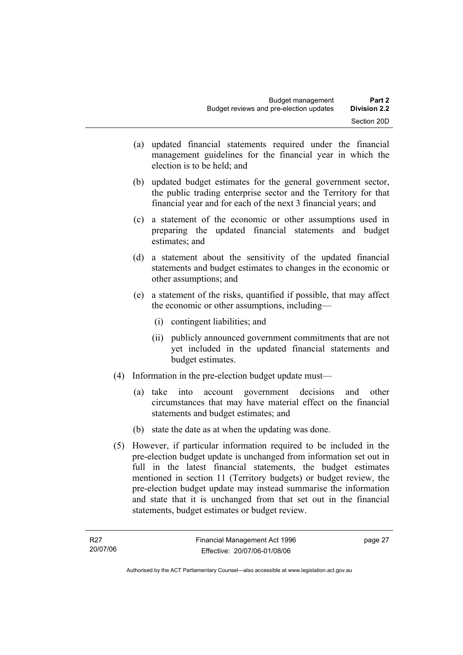- (a) updated financial statements required under the financial management guidelines for the financial year in which the election is to be held; and
- (b) updated budget estimates for the general government sector, the public trading enterprise sector and the Territory for that financial year and for each of the next 3 financial years; and
- (c) a statement of the economic or other assumptions used in preparing the updated financial statements and budget estimates; and
- (d) a statement about the sensitivity of the updated financial statements and budget estimates to changes in the economic or other assumptions; and
- (e) a statement of the risks, quantified if possible, that may affect the economic or other assumptions, including—
	- (i) contingent liabilities; and
	- (ii) publicly announced government commitments that are not yet included in the updated financial statements and budget estimates.
- (4) Information in the pre-election budget update must—
	- (a) take into account government decisions and other circumstances that may have material effect on the financial statements and budget estimates; and
	- (b) state the date as at when the updating was done.
- (5) However, if particular information required to be included in the pre-election budget update is unchanged from information set out in full in the latest financial statements, the budget estimates mentioned in section 11 (Territory budgets) or budget review, the pre-election budget update may instead summarise the information and state that it is unchanged from that set out in the financial statements, budget estimates or budget review.

page 27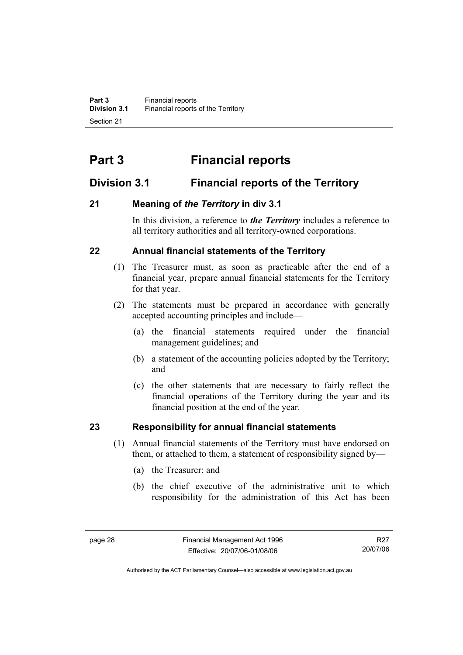# **Part 3 Financial reports**

# **Division 3.1 Financial reports of the Territory**

## **21 Meaning of** *the Territory* **in div 3.1**

In this division, a reference to *the Territory* includes a reference to all territory authorities and all territory-owned corporations.

## **22 Annual financial statements of the Territory**

- (1) The Treasurer must, as soon as practicable after the end of a financial year, prepare annual financial statements for the Territory for that year.
- (2) The statements must be prepared in accordance with generally accepted accounting principles and include—
	- (a) the financial statements required under the financial management guidelines; and
	- (b) a statement of the accounting policies adopted by the Territory; and
	- (c) the other statements that are necessary to fairly reflect the financial operations of the Territory during the year and its financial position at the end of the year.

# **23 Responsibility for annual financial statements**

- (1) Annual financial statements of the Territory must have endorsed on them, or attached to them, a statement of responsibility signed by—
	- (a) the Treasurer; and
	- (b) the chief executive of the administrative unit to which responsibility for the administration of this Act has been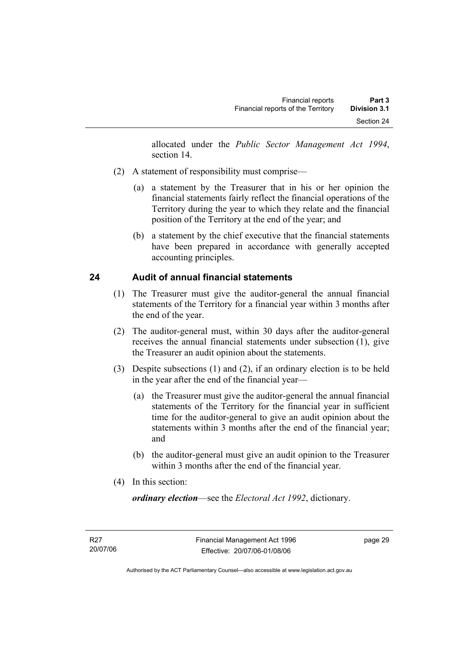allocated under the *Public Sector Management Act 1994*, section 14.

- (2) A statement of responsibility must comprise—
	- (a) a statement by the Treasurer that in his or her opinion the financial statements fairly reflect the financial operations of the Territory during the year to which they relate and the financial position of the Territory at the end of the year; and
	- (b) a statement by the chief executive that the financial statements have been prepared in accordance with generally accepted accounting principles.

## **24 Audit of annual financial statements**

- (1) The Treasurer must give the auditor-general the annual financial statements of the Territory for a financial year within 3 months after the end of the year.
- (2) The auditor-general must, within 30 days after the auditor-general receives the annual financial statements under subsection (1), give the Treasurer an audit opinion about the statements.
- (3) Despite subsections (1) and (2), if an ordinary election is to be held in the year after the end of the financial year—
	- (a) the Treasurer must give the auditor-general the annual financial statements of the Territory for the financial year in sufficient time for the auditor-general to give an audit opinion about the statements within 3 months after the end of the financial year; and
	- (b) the auditor-general must give an audit opinion to the Treasurer within 3 months after the end of the financial year.
- (4) In this section:

*ordinary election*—see the *Electoral Act 1992*, dictionary.

page 29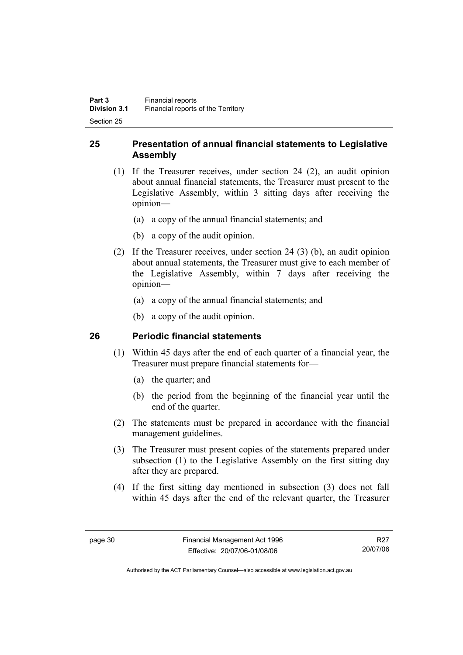### **25 Presentation of annual financial statements to Legislative Assembly**

- (1) If the Treasurer receives, under section 24 (2), an audit opinion about annual financial statements, the Treasurer must present to the Legislative Assembly, within 3 sitting days after receiving the opinion—
	- (a) a copy of the annual financial statements; and
	- (b) a copy of the audit opinion.
- (2) If the Treasurer receives, under section 24 (3) (b), an audit opinion about annual statements, the Treasurer must give to each member of the Legislative Assembly, within 7 days after receiving the opinion—
	- (a) a copy of the annual financial statements; and
	- (b) a copy of the audit opinion.

#### **26 Periodic financial statements**

- (1) Within 45 days after the end of each quarter of a financial year, the Treasurer must prepare financial statements for—
	- (a) the quarter; and
	- (b) the period from the beginning of the financial year until the end of the quarter.
- (2) The statements must be prepared in accordance with the financial management guidelines.
- (3) The Treasurer must present copies of the statements prepared under subsection (1) to the Legislative Assembly on the first sitting day after they are prepared.
- (4) If the first sitting day mentioned in subsection (3) does not fall within 45 days after the end of the relevant quarter, the Treasurer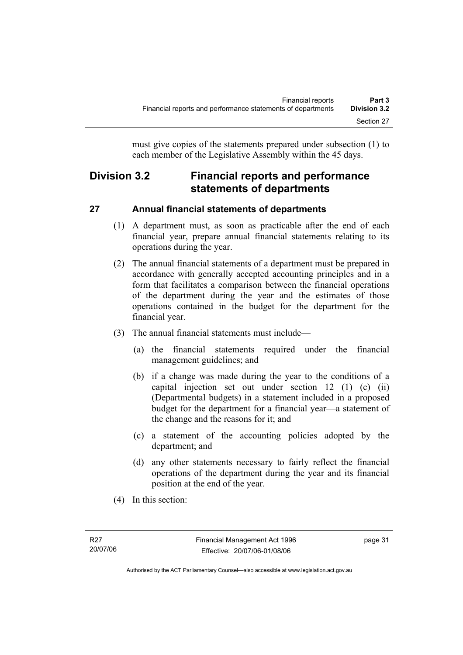must give copies of the statements prepared under subsection (1) to each member of the Legislative Assembly within the 45 days.

# **Division 3.2 Financial reports and performance statements of departments**

# **27 Annual financial statements of departments**

- (1) A department must, as soon as practicable after the end of each financial year, prepare annual financial statements relating to its operations during the year.
- (2) The annual financial statements of a department must be prepared in accordance with generally accepted accounting principles and in a form that facilitates a comparison between the financial operations of the department during the year and the estimates of those operations contained in the budget for the department for the financial year.
- (3) The annual financial statements must include—
	- (a) the financial statements required under the financial management guidelines; and
	- (b) if a change was made during the year to the conditions of a capital injection set out under section 12 (1) (c) (ii) (Departmental budgets) in a statement included in a proposed budget for the department for a financial year—a statement of the change and the reasons for it; and
	- (c) a statement of the accounting policies adopted by the department; and
	- (d) any other statements necessary to fairly reflect the financial operations of the department during the year and its financial position at the end of the year.
- (4) In this section: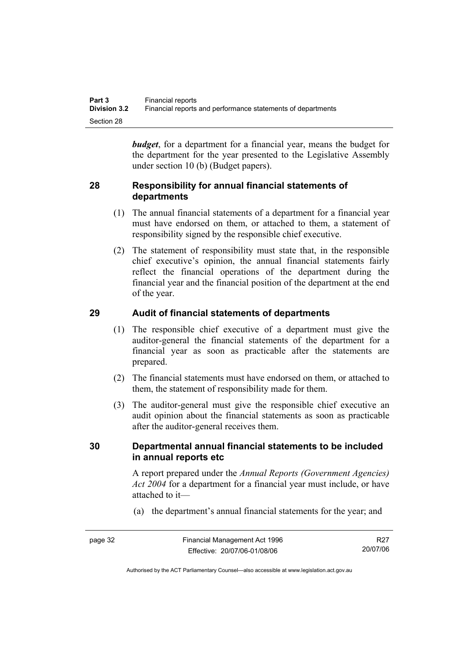*budget*, for a department for a financial year, means the budget for the department for the year presented to the Legislative Assembly under section 10 (b) (Budget papers).

#### **28 Responsibility for annual financial statements of departments**

- (1) The annual financial statements of a department for a financial year must have endorsed on them, or attached to them, a statement of responsibility signed by the responsible chief executive.
- (2) The statement of responsibility must state that, in the responsible chief executive's opinion, the annual financial statements fairly reflect the financial operations of the department during the financial year and the financial position of the department at the end of the year.

## **29 Audit of financial statements of departments**

- (1) The responsible chief executive of a department must give the auditor-general the financial statements of the department for a financial year as soon as practicable after the statements are prepared.
- (2) The financial statements must have endorsed on them, or attached to them, the statement of responsibility made for them.
- (3) The auditor-general must give the responsible chief executive an audit opinion about the financial statements as soon as practicable after the auditor-general receives them.

#### **30 Departmental annual financial statements to be included in annual reports etc**

A report prepared under the *Annual Reports (Government Agencies) Act 2004* for a department for a financial year must include, or have attached to it—

(a) the department's annual financial statements for the year; and

R27 20/07/06

Authorised by the ACT Parliamentary Counsel—also accessible at www.legislation.act.gov.au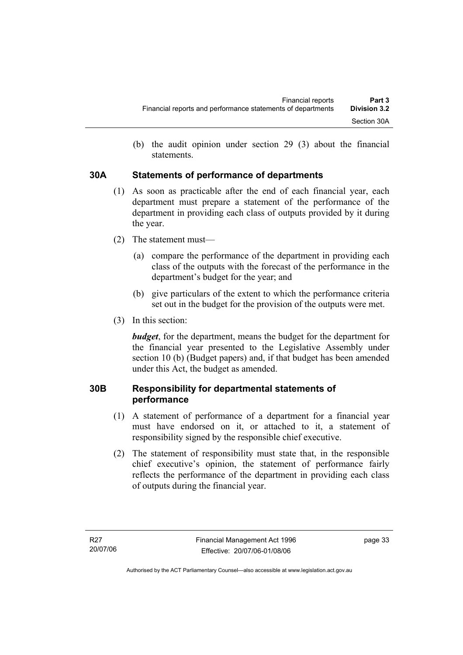(b) the audit opinion under section 29 (3) about the financial statements.

#### **30A Statements of performance of departments**

- (1) As soon as practicable after the end of each financial year, each department must prepare a statement of the performance of the department in providing each class of outputs provided by it during the year.
- (2) The statement must—
	- (a) compare the performance of the department in providing each class of the outputs with the forecast of the performance in the department's budget for the year; and
	- (b) give particulars of the extent to which the performance criteria set out in the budget for the provision of the outputs were met.
- (3) In this section:

*budget*, for the department, means the budget for the department for the financial year presented to the Legislative Assembly under section 10 (b) (Budget papers) and, if that budget has been amended under this Act, the budget as amended.

## **30B Responsibility for departmental statements of performance**

- (1) A statement of performance of a department for a financial year must have endorsed on it, or attached to it, a statement of responsibility signed by the responsible chief executive.
- (2) The statement of responsibility must state that, in the responsible chief executive's opinion, the statement of performance fairly reflects the performance of the department in providing each class of outputs during the financial year.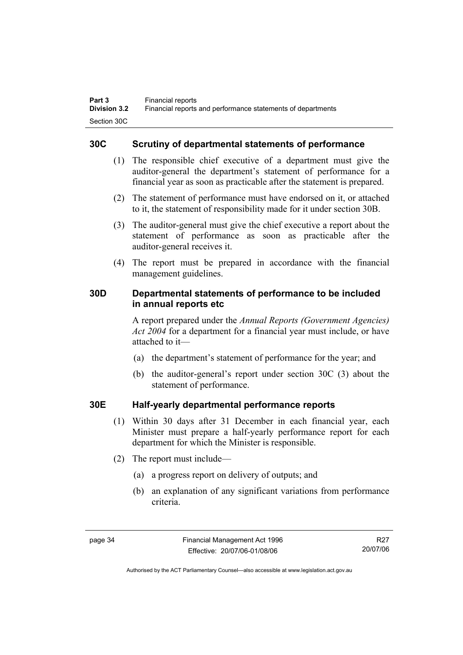#### **30C Scrutiny of departmental statements of performance**

- (1) The responsible chief executive of a department must give the auditor-general the department's statement of performance for a financial year as soon as practicable after the statement is prepared.
- (2) The statement of performance must have endorsed on it, or attached to it, the statement of responsibility made for it under section 30B.
- (3) The auditor-general must give the chief executive a report about the statement of performance as soon as practicable after the auditor-general receives it.
- (4) The report must be prepared in accordance with the financial management guidelines.

#### **30D Departmental statements of performance to be included in annual reports etc**

A report prepared under the *Annual Reports (Government Agencies) Act 2004* for a department for a financial year must include, or have attached to it—

- (a) the department's statement of performance for the year; and
- (b) the auditor-general's report under section 30C (3) about the statement of performance.

#### **30E Half-yearly departmental performance reports**

- (1) Within 30 days after 31 December in each financial year, each Minister must prepare a half-yearly performance report for each department for which the Minister is responsible.
- (2) The report must include—
	- (a) a progress report on delivery of outputs; and
	- (b) an explanation of any significant variations from performance criteria.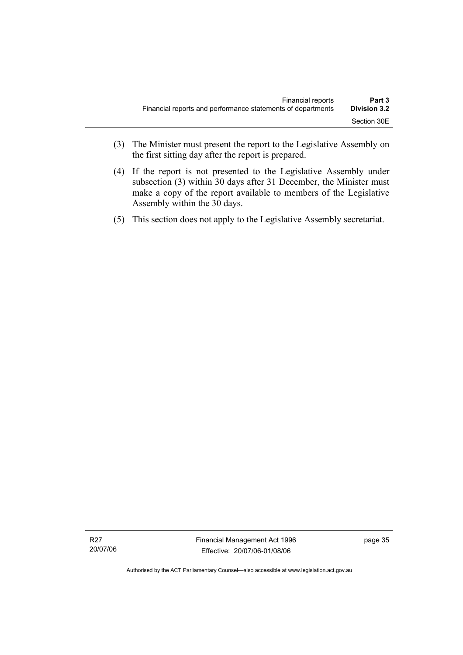- (3) The Minister must present the report to the Legislative Assembly on the first sitting day after the report is prepared.
- (4) If the report is not presented to the Legislative Assembly under subsection (3) within 30 days after 31 December, the Minister must make a copy of the report available to members of the Legislative Assembly within the 30 days.
- (5) This section does not apply to the Legislative Assembly secretariat.

Authorised by the ACT Parliamentary Counsel—also accessible at www.legislation.act.gov.au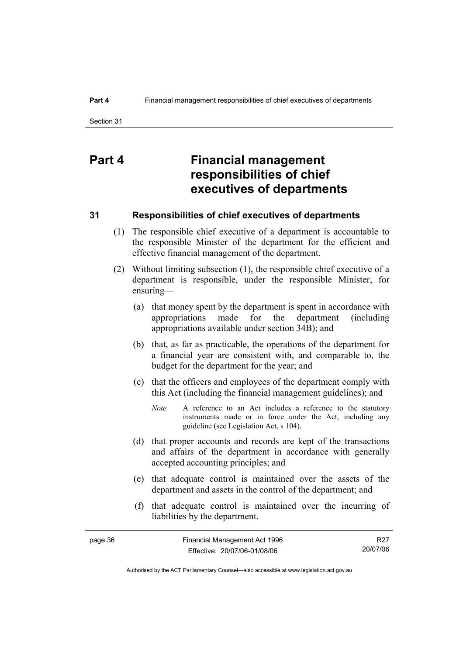# **Part 4 Financial management responsibilities of chief executives of departments**

#### **31 Responsibilities of chief executives of departments**

- (1) The responsible chief executive of a department is accountable to the responsible Minister of the department for the efficient and effective financial management of the department.
- (2) Without limiting subsection (1), the responsible chief executive of a department is responsible, under the responsible Minister, for ensuring—
	- (a) that money spent by the department is spent in accordance with appropriations made for the department (including appropriations available under section 34B); and
	- (b) that, as far as practicable, the operations of the department for a financial year are consistent with, and comparable to, the budget for the department for the year; and
	- (c) that the officers and employees of the department comply with this Act (including the financial management guidelines); and
		- *Note* A reference to an Act includes a reference to the statutory instruments made or in force under the Act, including any guideline (see Legislation Act, s 104).
	- (d) that proper accounts and records are kept of the transactions and affairs of the department in accordance with generally accepted accounting principles; and
	- (e) that adequate control is maintained over the assets of the department and assets in the control of the department; and
	- (f) that adequate control is maintained over the incurring of liabilities by the department.

R27 20/07/06

Authorised by the ACT Parliamentary Counsel—also accessible at www.legislation.act.gov.au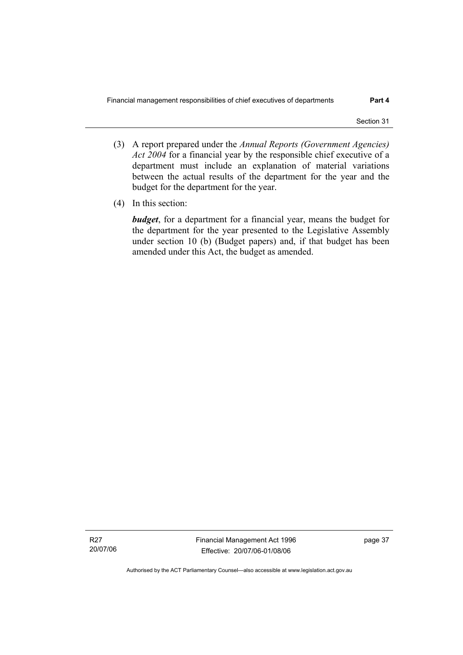- (3) A report prepared under the *Annual Reports (Government Agencies) Act 2004* for a financial year by the responsible chief executive of a department must include an explanation of material variations between the actual results of the department for the year and the budget for the department for the year.
- (4) In this section:

*budget*, for a department for a financial year, means the budget for the department for the year presented to the Legislative Assembly under section 10 (b) (Budget papers) and, if that budget has been amended under this Act, the budget as amended.

R27 20/07/06 Financial Management Act 1996 Effective: 20/07/06-01/08/06

page 37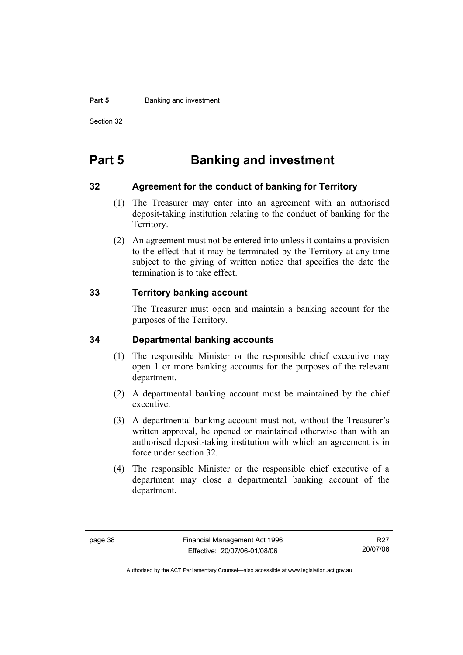#### **Part 5 Banking and investment**

Section 32

# **Part 5 Banking and investment**

#### **32 Agreement for the conduct of banking for Territory**

- (1) The Treasurer may enter into an agreement with an authorised deposit-taking institution relating to the conduct of banking for the Territory.
- (2) An agreement must not be entered into unless it contains a provision to the effect that it may be terminated by the Territory at any time subject to the giving of written notice that specifies the date the termination is to take effect.

#### **33 Territory banking account**

The Treasurer must open and maintain a banking account for the purposes of the Territory.

#### **34 Departmental banking accounts**

- (1) The responsible Minister or the responsible chief executive may open 1 or more banking accounts for the purposes of the relevant department.
- (2) A departmental banking account must be maintained by the chief executive.
- (3) A departmental banking account must not, without the Treasurer's written approval, be opened or maintained otherwise than with an authorised deposit-taking institution with which an agreement is in force under section 32.
- (4) The responsible Minister or the responsible chief executive of a department may close a departmental banking account of the department.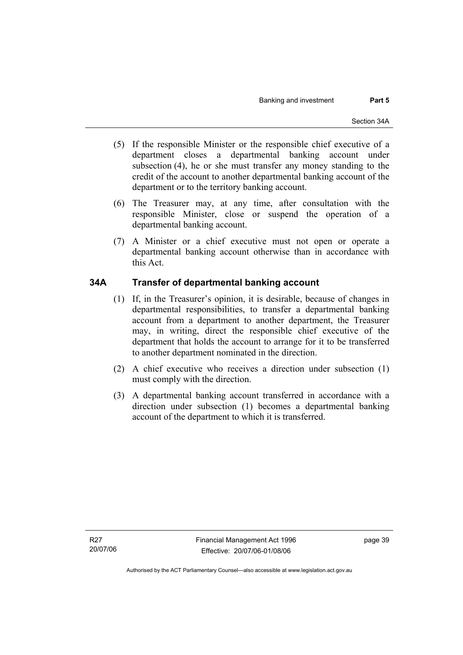- (5) If the responsible Minister or the responsible chief executive of a department closes a departmental banking account under subsection (4), he or she must transfer any money standing to the credit of the account to another departmental banking account of the department or to the territory banking account.
- (6) The Treasurer may, at any time, after consultation with the responsible Minister, close or suspend the operation of a departmental banking account.
- (7) A Minister or a chief executive must not open or operate a departmental banking account otherwise than in accordance with this Act.

#### **34A Transfer of departmental banking account**

- (1) If, in the Treasurer's opinion, it is desirable, because of changes in departmental responsibilities, to transfer a departmental banking account from a department to another department, the Treasurer may, in writing, direct the responsible chief executive of the department that holds the account to arrange for it to be transferred to another department nominated in the direction.
- (2) A chief executive who receives a direction under subsection (1) must comply with the direction.
- (3) A departmental banking account transferred in accordance with a direction under subsection (1) becomes a departmental banking account of the department to which it is transferred.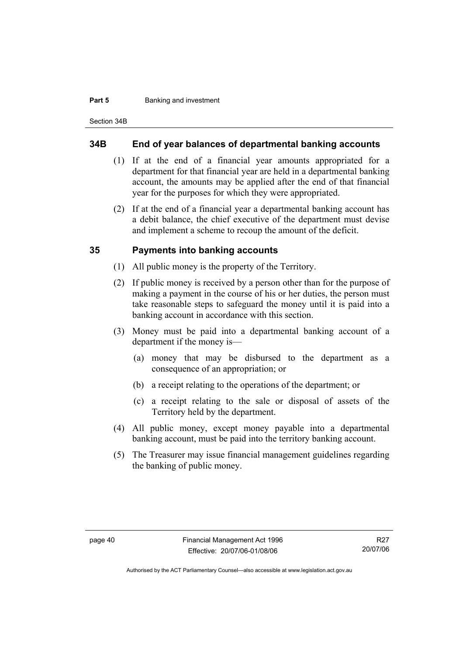#### **Part 5 Banking and investment**

Section 34B

#### **34B End of year balances of departmental banking accounts**

- (1) If at the end of a financial year amounts appropriated for a department for that financial year are held in a departmental banking account, the amounts may be applied after the end of that financial year for the purposes for which they were appropriated.
- (2) If at the end of a financial year a departmental banking account has a debit balance, the chief executive of the department must devise and implement a scheme to recoup the amount of the deficit.

#### **35 Payments into banking accounts**

- (1) All public money is the property of the Territory.
- (2) If public money is received by a person other than for the purpose of making a payment in the course of his or her duties, the person must take reasonable steps to safeguard the money until it is paid into a banking account in accordance with this section.
- (3) Money must be paid into a departmental banking account of a department if the money is—
	- (a) money that may be disbursed to the department as a consequence of an appropriation; or
	- (b) a receipt relating to the operations of the department; or
	- (c) a receipt relating to the sale or disposal of assets of the Territory held by the department.
- (4) All public money, except money payable into a departmental banking account, must be paid into the territory banking account.
- (5) The Treasurer may issue financial management guidelines regarding the banking of public money.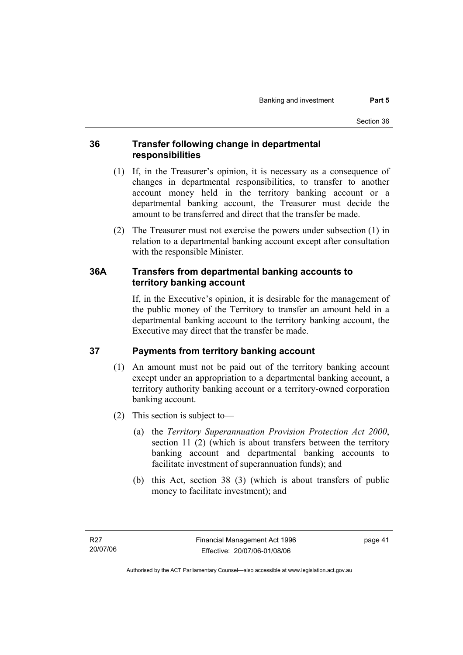#### **36 Transfer following change in departmental responsibilities**

- (1) If, in the Treasurer's opinion, it is necessary as a consequence of changes in departmental responsibilities, to transfer to another account money held in the territory banking account or a departmental banking account, the Treasurer must decide the amount to be transferred and direct that the transfer be made.
- (2) The Treasurer must not exercise the powers under subsection (1) in relation to a departmental banking account except after consultation with the responsible Minister.

### **36A Transfers from departmental banking accounts to territory banking account**

If, in the Executive's opinion, it is desirable for the management of the public money of the Territory to transfer an amount held in a departmental banking account to the territory banking account, the Executive may direct that the transfer be made.

# **37 Payments from territory banking account**

- (1) An amount must not be paid out of the territory banking account except under an appropriation to a departmental banking account, a territory authority banking account or a territory-owned corporation banking account.
- (2) This section is subject to—
	- (a) the *Territory Superannuation Provision Protection Act 2000*, section 11 (2) (which is about transfers between the territory banking account and departmental banking accounts to facilitate investment of superannuation funds); and
	- (b) this Act, section 38 (3) (which is about transfers of public money to facilitate investment); and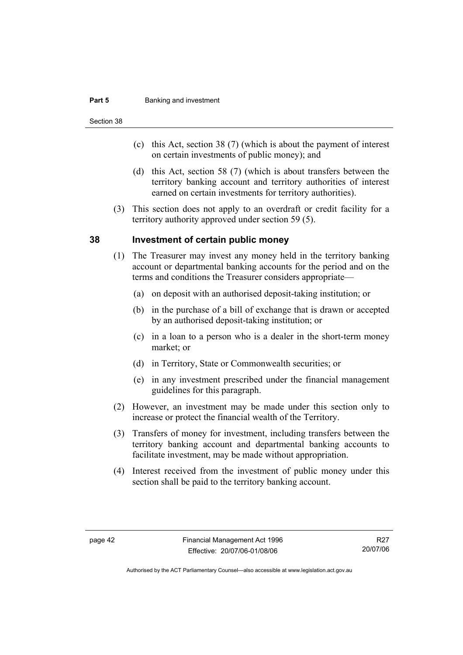#### **Part 5 Banking and investment**

Section 38

- (c) this Act, section 38 (7) (which is about the payment of interest on certain investments of public money); and
- (d) this Act, section 58 (7) (which is about transfers between the territory banking account and territory authorities of interest earned on certain investments for territory authorities).
- (3) This section does not apply to an overdraft or credit facility for a territory authority approved under section 59 (5).

#### **38 Investment of certain public money**

- (1) The Treasurer may invest any money held in the territory banking account or departmental banking accounts for the period and on the terms and conditions the Treasurer considers appropriate—
	- (a) on deposit with an authorised deposit-taking institution; or
	- (b) in the purchase of a bill of exchange that is drawn or accepted by an authorised deposit-taking institution; or
	- (c) in a loan to a person who is a dealer in the short-term money market; or
	- (d) in Territory, State or Commonwealth securities; or
	- (e) in any investment prescribed under the financial management guidelines for this paragraph.
- (2) However, an investment may be made under this section only to increase or protect the financial wealth of the Territory.
- (3) Transfers of money for investment, including transfers between the territory banking account and departmental banking accounts to facilitate investment, may be made without appropriation.
- (4) Interest received from the investment of public money under this section shall be paid to the territory banking account.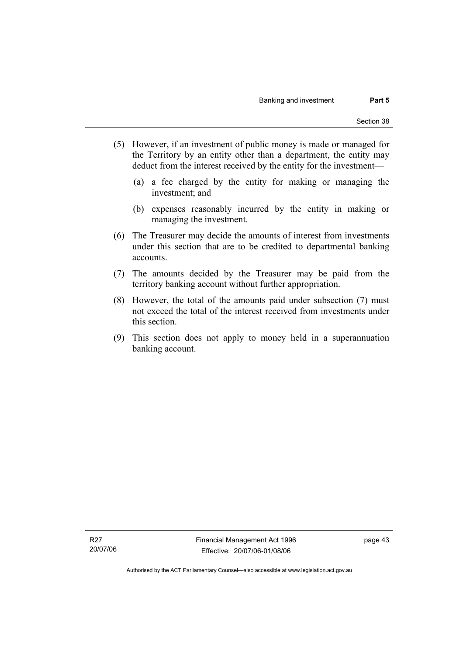- (5) However, if an investment of public money is made or managed for the Territory by an entity other than a department, the entity may deduct from the interest received by the entity for the investment—
	- (a) a fee charged by the entity for making or managing the investment; and
	- (b) expenses reasonably incurred by the entity in making or managing the investment.
- (6) The Treasurer may decide the amounts of interest from investments under this section that are to be credited to departmental banking accounts.
- (7) The amounts decided by the Treasurer may be paid from the territory banking account without further appropriation.
- (8) However, the total of the amounts paid under subsection (7) must not exceed the total of the interest received from investments under this section.
- (9) This section does not apply to money held in a superannuation banking account.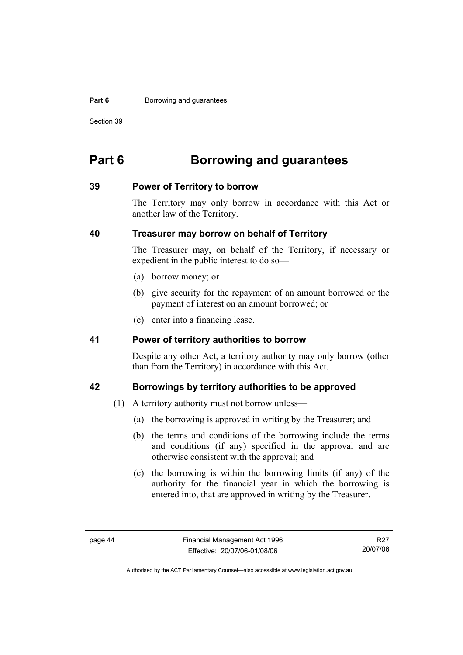#### **Part 6 Borrowing and guarantees**

Section 39

# **Part 6 Borrowing and guarantees**

#### **39 Power of Territory to borrow**

The Territory may only borrow in accordance with this Act or another law of the Territory.

#### **40 Treasurer may borrow on behalf of Territory**

The Treasurer may, on behalf of the Territory, if necessary or expedient in the public interest to do so—

- (a) borrow money; or
- (b) give security for the repayment of an amount borrowed or the payment of interest on an amount borrowed; or
- (c) enter into a financing lease.

#### **41 Power of territory authorities to borrow**

Despite any other Act, a territory authority may only borrow (other than from the Territory) in accordance with this Act.

#### **42 Borrowings by territory authorities to be approved**

- (1) A territory authority must not borrow unless—
	- (a) the borrowing is approved in writing by the Treasurer; and
	- (b) the terms and conditions of the borrowing include the terms and conditions (if any) specified in the approval and are otherwise consistent with the approval; and
	- (c) the borrowing is within the borrowing limits (if any) of the authority for the financial year in which the borrowing is entered into, that are approved in writing by the Treasurer.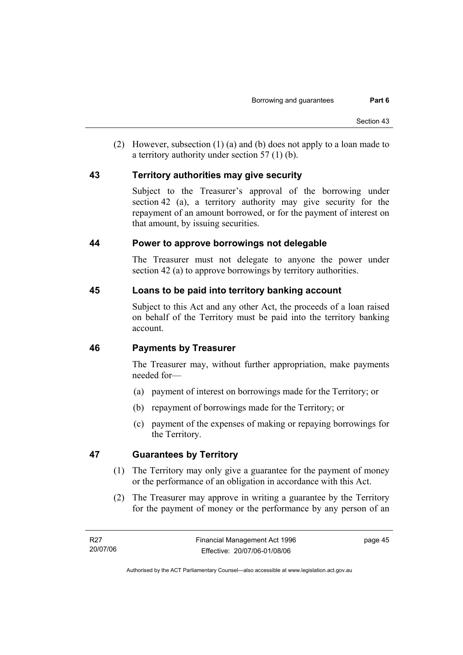(2) However, subsection (1) (a) and (b) does not apply to a loan made to a territory authority under section 57 (1) (b).

#### **43 Territory authorities may give security**

Subject to the Treasurer's approval of the borrowing under section 42 (a), a territory authority may give security for the repayment of an amount borrowed, or for the payment of interest on that amount, by issuing securities.

#### **44 Power to approve borrowings not delegable**

The Treasurer must not delegate to anyone the power under section 42 (a) to approve borrowings by territory authorities.

#### **45 Loans to be paid into territory banking account**

Subject to this Act and any other Act, the proceeds of a loan raised on behalf of the Territory must be paid into the territory banking account.

#### **46 Payments by Treasurer**

The Treasurer may, without further appropriation, make payments needed for—

- (a) payment of interest on borrowings made for the Territory; or
- (b) repayment of borrowings made for the Territory; or
- (c) payment of the expenses of making or repaying borrowings for the Territory.

#### **47 Guarantees by Territory**

- (1) The Territory may only give a guarantee for the payment of money or the performance of an obligation in accordance with this Act.
- (2) The Treasurer may approve in writing a guarantee by the Territory for the payment of money or the performance by any person of an

page 45

Authorised by the ACT Parliamentary Counsel—also accessible at www.legislation.act.gov.au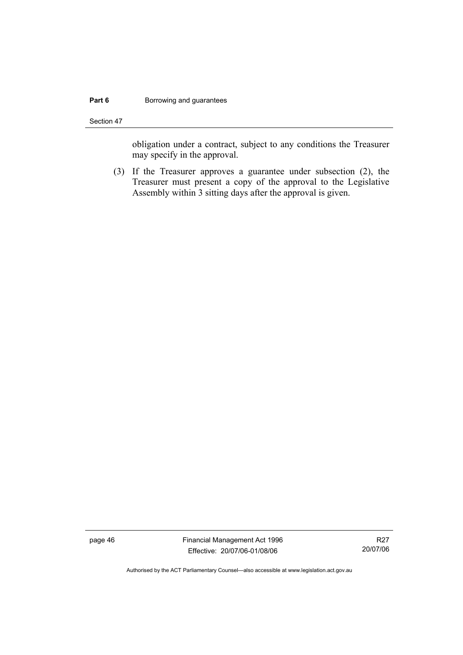#### **Part 6 Borrowing and guarantees**

Section 47

obligation under a contract, subject to any conditions the Treasurer may specify in the approval.

 (3) If the Treasurer approves a guarantee under subsection (2), the Treasurer must present a copy of the approval to the Legislative Assembly within 3 sitting days after the approval is given.

page 46 Financial Management Act 1996 Effective: 20/07/06-01/08/06

R27 20/07/06

Authorised by the ACT Parliamentary Counsel—also accessible at www.legislation.act.gov.au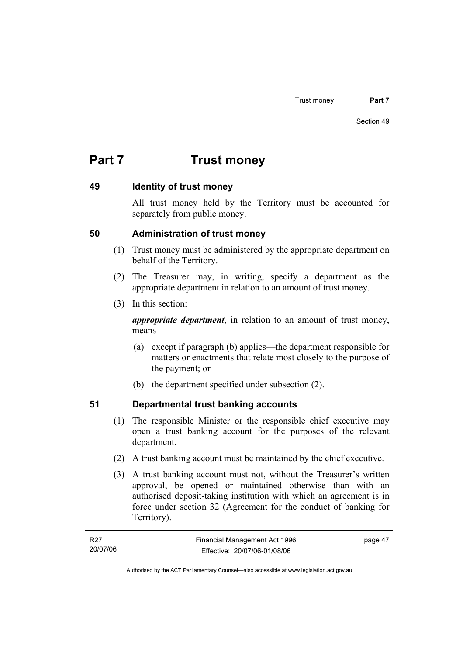# **Part 7 Trust money**

#### **49 Identity of trust money**

All trust money held by the Territory must be accounted for separately from public money.

#### **50 Administration of trust money**

- (1) Trust money must be administered by the appropriate department on behalf of the Territory.
- (2) The Treasurer may, in writing, specify a department as the appropriate department in relation to an amount of trust money.
- (3) In this section:

*appropriate department*, in relation to an amount of trust money, means—

- (a) except if paragraph (b) applies—the department responsible for matters or enactments that relate most closely to the purpose of the payment; or
- (b) the department specified under subsection (2).

# **51 Departmental trust banking accounts**

- (1) The responsible Minister or the responsible chief executive may open a trust banking account for the purposes of the relevant department.
- (2) A trust banking account must be maintained by the chief executive.
- (3) A trust banking account must not, without the Treasurer's written approval, be opened or maintained otherwise than with an authorised deposit-taking institution with which an agreement is in force under section 32 (Agreement for the conduct of banking for Territory).

| R27      | Financial Management Act 1996 | page 47 |
|----------|-------------------------------|---------|
| 20/07/06 | Effective: 20/07/06-01/08/06  |         |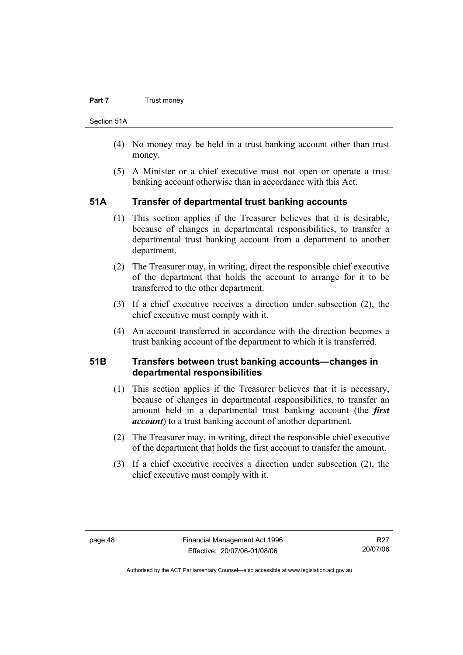#### **Part 7 Trust money**

Section 51A

- (4) No money may be held in a trust banking account other than trust money.
- (5) A Minister or a chief executive must not open or operate a trust banking account otherwise than in accordance with this Act.

#### **51A Transfer of departmental trust banking accounts**

- (1) This section applies if the Treasurer believes that it is desirable, because of changes in departmental responsibilities, to transfer a departmental trust banking account from a department to another department.
- (2) The Treasurer may, in writing, direct the responsible chief executive of the department that holds the account to arrange for it to be transferred to the other department.
- (3) If a chief executive receives a direction under subsection (2), the chief executive must comply with it.
- (4) An account transferred in accordance with the direction becomes a trust banking account of the department to which it is transferred.

#### **51B Transfers between trust banking accounts—changes in departmental responsibilities**

- (1) This section applies if the Treasurer believes that it is necessary, because of changes in departmental responsibilities, to transfer an amount held in a departmental trust banking account (the *first account*) to a trust banking account of another department.
- (2) The Treasurer may, in writing, direct the responsible chief executive of the department that holds the first account to transfer the amount.
- (3) If a chief executive receives a direction under subsection (2), the chief executive must comply with it.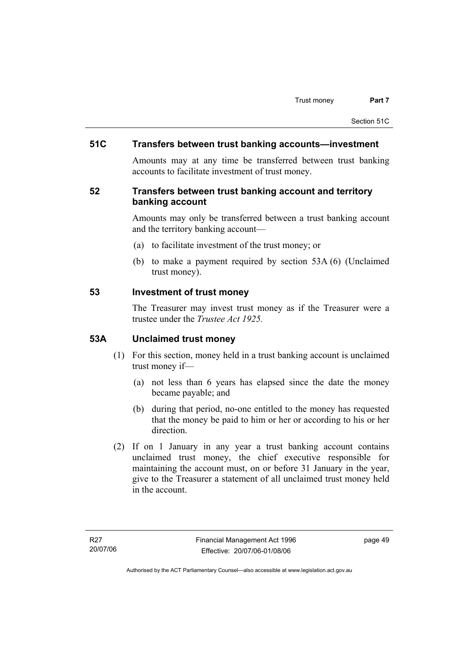#### **51C Transfers between trust banking accounts—investment**

Amounts may at any time be transferred between trust banking accounts to facilitate investment of trust money.

#### **52 Transfers between trust banking account and territory banking account**

Amounts may only be transferred between a trust banking account and the territory banking account—

- (a) to facilitate investment of the trust money; or
- (b) to make a payment required by section 53A (6) (Unclaimed trust money).

#### **53 Investment of trust money**

The Treasurer may invest trust money as if the Treasurer were a trustee under the *Trustee Act 1925.*

#### **53A Unclaimed trust money**

- (1) For this section, money held in a trust banking account is unclaimed trust money if—
	- (a) not less than 6 years has elapsed since the date the money became payable; and
	- (b) during that period, no-one entitled to the money has requested that the money be paid to him or her or according to his or her direction.
- (2) If on 1 January in any year a trust banking account contains unclaimed trust money, the chief executive responsible for maintaining the account must, on or before 31 January in the year, give to the Treasurer a statement of all unclaimed trust money held in the account.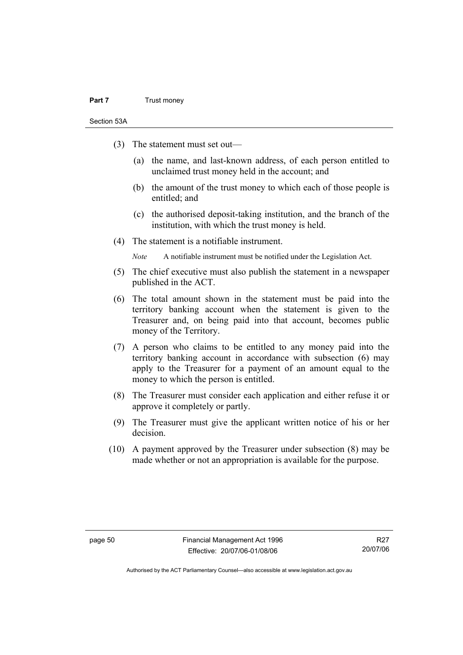#### **Part 7** Trust money

Section 53A

- (3) The statement must set out—
	- (a) the name, and last-known address, of each person entitled to unclaimed trust money held in the account; and
	- (b) the amount of the trust money to which each of those people is entitled; and
	- (c) the authorised deposit-taking institution, and the branch of the institution, with which the trust money is held.
- (4) The statement is a notifiable instrument.

*Note* A notifiable instrument must be notified under the Legislation Act.

- (5) The chief executive must also publish the statement in a newspaper published in the ACT.
- (6) The total amount shown in the statement must be paid into the territory banking account when the statement is given to the Treasurer and, on being paid into that account, becomes public money of the Territory.
- (7) A person who claims to be entitled to any money paid into the territory banking account in accordance with subsection (6) may apply to the Treasurer for a payment of an amount equal to the money to which the person is entitled.
- (8) The Treasurer must consider each application and either refuse it or approve it completely or partly.
- (9) The Treasurer must give the applicant written notice of his or her decision.
- (10) A payment approved by the Treasurer under subsection (8) may be made whether or not an appropriation is available for the purpose.

Authorised by the ACT Parliamentary Counsel—also accessible at www.legislation.act.gov.au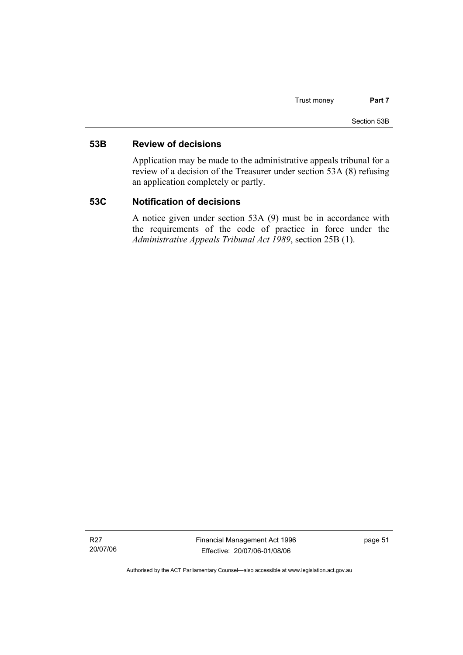#### **53B Review of decisions**

Application may be made to the administrative appeals tribunal for a review of a decision of the Treasurer under section 53A (8) refusing an application completely or partly.

#### **53C Notification of decisions**

A notice given under section 53A (9) must be in accordance with the requirements of the code of practice in force under the *Administrative Appeals Tribunal Act 1989*, section 25B (1).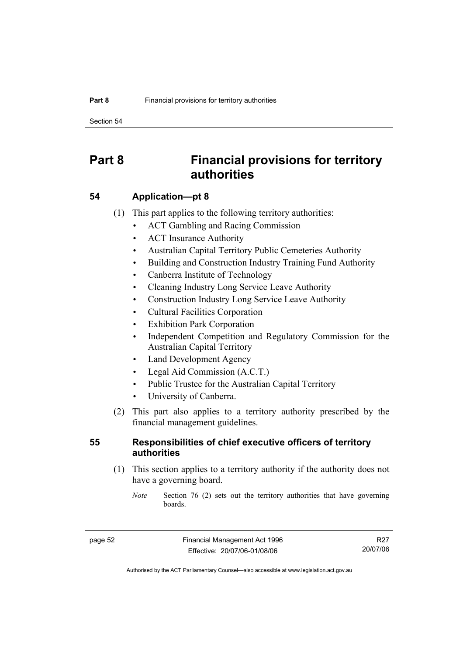Section 54

# **Part 8 Financial provisions for territory authorities**

#### **54 Application—pt 8**

- (1) This part applies to the following territory authorities:
	- ACT Gambling and Racing Commission
	- ACT Insurance Authority
	- Australian Capital Territory Public Cemeteries Authority
	- Building and Construction Industry Training Fund Authority
	- Canberra Institute of Technology
	- Cleaning Industry Long Service Leave Authority
	- Construction Industry Long Service Leave Authority
	- Cultural Facilities Corporation
	- **Exhibition Park Corporation**
	- Independent Competition and Regulatory Commission for the Australian Capital Territory
	- Land Development Agency
	- Legal Aid Commission (A.C.T.)
	- Public Trustee for the Australian Capital Territory
	- University of Canberra.
- (2) This part also applies to a territory authority prescribed by the financial management guidelines.

#### **55 Responsibilities of chief executive officers of territory authorities**

- (1) This section applies to a territory authority if the authority does not have a governing board.
	- *Note* Section 76 (2) sets out the territory authorities that have governing boards.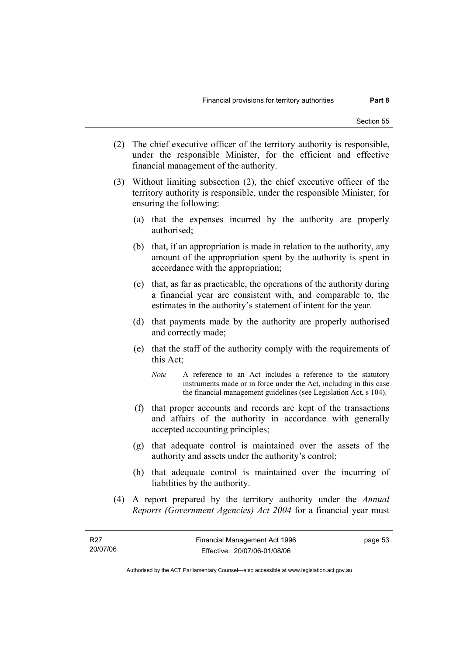- (2) The chief executive officer of the territory authority is responsible, under the responsible Minister, for the efficient and effective financial management of the authority.
- (3) Without limiting subsection (2), the chief executive officer of the territory authority is responsible, under the responsible Minister, for ensuring the following:
	- (a) that the expenses incurred by the authority are properly authorised;
	- (b) that, if an appropriation is made in relation to the authority, any amount of the appropriation spent by the authority is spent in accordance with the appropriation;
	- (c) that, as far as practicable, the operations of the authority during a financial year are consistent with, and comparable to, the estimates in the authority's statement of intent for the year.
	- (d) that payments made by the authority are properly authorised and correctly made;
	- (e) that the staff of the authority comply with the requirements of this Act;
		- *Note* A reference to an Act includes a reference to the statutory instruments made or in force under the Act, including in this case the financial management guidelines (see Legislation Act, s 104).
	- (f) that proper accounts and records are kept of the transactions and affairs of the authority in accordance with generally accepted accounting principles;
	- (g) that adequate control is maintained over the assets of the authority and assets under the authority's control;
	- (h) that adequate control is maintained over the incurring of liabilities by the authority.
- (4) A report prepared by the territory authority under the *Annual Reports (Government Agencies) Act 2004* for a financial year must

page 53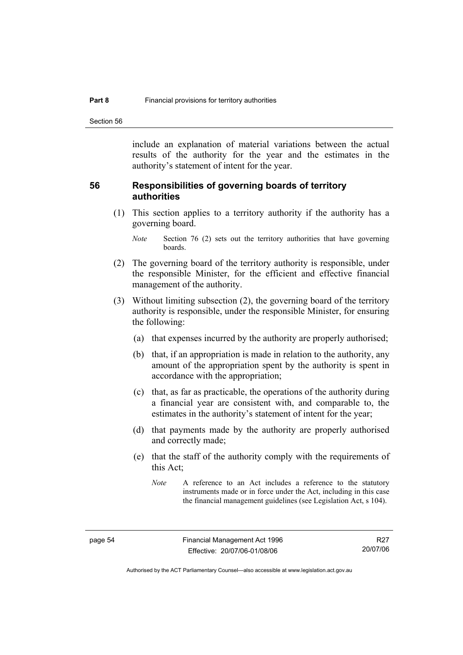Section 56

include an explanation of material variations between the actual results of the authority for the year and the estimates in the authority's statement of intent for the year.

#### **56 Responsibilities of governing boards of territory authorities**

 (1) This section applies to a territory authority if the authority has a governing board.

- (2) The governing board of the territory authority is responsible, under the responsible Minister, for the efficient and effective financial management of the authority.
- (3) Without limiting subsection (2), the governing board of the territory authority is responsible, under the responsible Minister, for ensuring the following:
	- (a) that expenses incurred by the authority are properly authorised;
	- (b) that, if an appropriation is made in relation to the authority, any amount of the appropriation spent by the authority is spent in accordance with the appropriation;
	- (c) that, as far as practicable, the operations of the authority during a financial year are consistent with, and comparable to, the estimates in the authority's statement of intent for the year;
	- (d) that payments made by the authority are properly authorised and correctly made;
	- (e) that the staff of the authority comply with the requirements of this Act;

*Note* Section 76 (2) sets out the territory authorities that have governing boards.

*Note* A reference to an Act includes a reference to the statutory instruments made or in force under the Act, including in this case the financial management guidelines (see Legislation Act, s 104).

Authorised by the ACT Parliamentary Counsel—also accessible at www.legislation.act.gov.au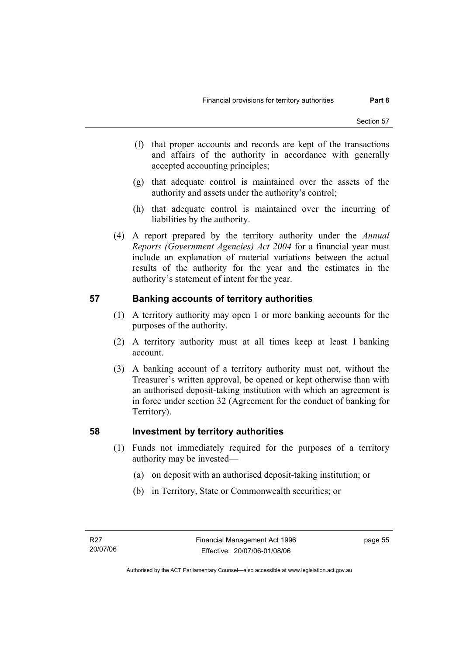- (f) that proper accounts and records are kept of the transactions and affairs of the authority in accordance with generally accepted accounting principles;
- (g) that adequate control is maintained over the assets of the authority and assets under the authority's control;
- (h) that adequate control is maintained over the incurring of liabilities by the authority.
- (4) A report prepared by the territory authority under the *Annual Reports (Government Agencies) Act 2004* for a financial year must include an explanation of material variations between the actual results of the authority for the year and the estimates in the authority's statement of intent for the year.

#### **57 Banking accounts of territory authorities**

- (1) A territory authority may open 1 or more banking accounts for the purposes of the authority.
- (2) A territory authority must at all times keep at least 1 banking account.
- (3) A banking account of a territory authority must not, without the Treasurer's written approval, be opened or kept otherwise than with an authorised deposit-taking institution with which an agreement is in force under section 32 (Agreement for the conduct of banking for Territory).

#### **58 Investment by territory authorities**

- (1) Funds not immediately required for the purposes of a territory authority may be invested—
	- (a) on deposit with an authorised deposit-taking institution; or
	- (b) in Territory, State or Commonwealth securities; or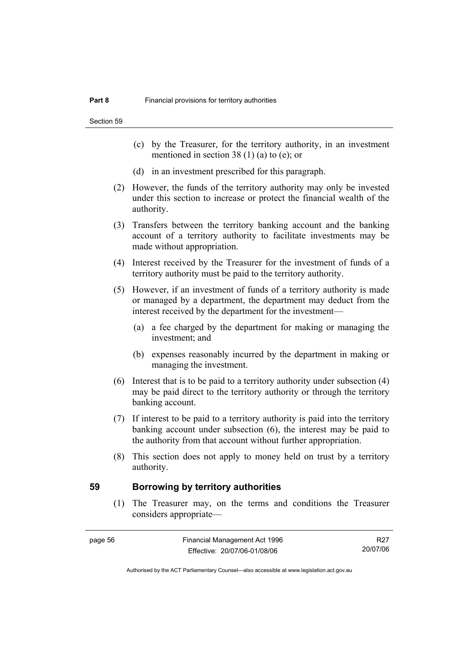Section 59

- (c) by the Treasurer, for the territory authority, in an investment mentioned in section 38 (1) (a) to (e); or
- (d) in an investment prescribed for this paragraph.
- (2) However, the funds of the territory authority may only be invested under this section to increase or protect the financial wealth of the authority.
- (3) Transfers between the territory banking account and the banking account of a territory authority to facilitate investments may be made without appropriation.
- (4) Interest received by the Treasurer for the investment of funds of a territory authority must be paid to the territory authority.
- (5) However, if an investment of funds of a territory authority is made or managed by a department, the department may deduct from the interest received by the department for the investment—
	- (a) a fee charged by the department for making or managing the investment; and
	- (b) expenses reasonably incurred by the department in making or managing the investment.
- (6) Interest that is to be paid to a territory authority under subsection (4) may be paid direct to the territory authority or through the territory banking account.
- (7) If interest to be paid to a territory authority is paid into the territory banking account under subsection (6), the interest may be paid to the authority from that account without further appropriation.
- (8) This section does not apply to money held on trust by a territory authority.

#### **59 Borrowing by territory authorities**

 (1) The Treasurer may, on the terms and conditions the Treasurer considers appropriate—

R27 20/07/06

Authorised by the ACT Parliamentary Counsel—also accessible at www.legislation.act.gov.au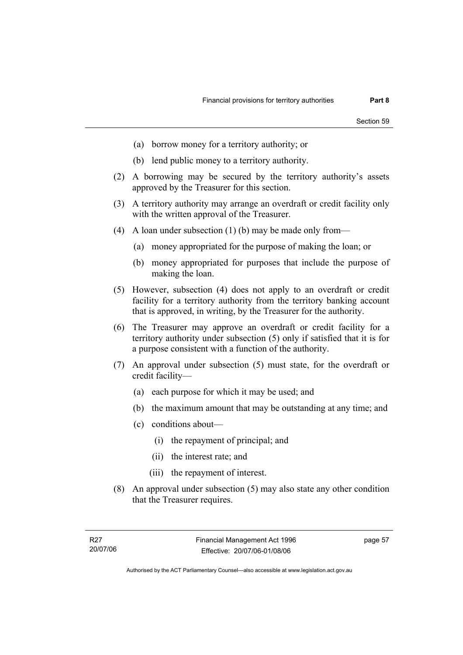- (a) borrow money for a territory authority; or
- (b) lend public money to a territory authority.
- (2) A borrowing may be secured by the territory authority's assets approved by the Treasurer for this section.
- (3) A territory authority may arrange an overdraft or credit facility only with the written approval of the Treasurer.
- (4) A loan under subsection (1) (b) may be made only from—
	- (a) money appropriated for the purpose of making the loan; or
	- (b) money appropriated for purposes that include the purpose of making the loan.
- (5) However, subsection (4) does not apply to an overdraft or credit facility for a territory authority from the territory banking account that is approved, in writing, by the Treasurer for the authority.
- (6) The Treasurer may approve an overdraft or credit facility for a territory authority under subsection (5) only if satisfied that it is for a purpose consistent with a function of the authority.
- (7) An approval under subsection (5) must state, for the overdraft or credit facility—
	- (a) each purpose for which it may be used; and
	- (b) the maximum amount that may be outstanding at any time; and
	- (c) conditions about—
		- (i) the repayment of principal; and
		- (ii) the interest rate; and
		- (iii) the repayment of interest.
- (8) An approval under subsection (5) may also state any other condition that the Treasurer requires.

page 57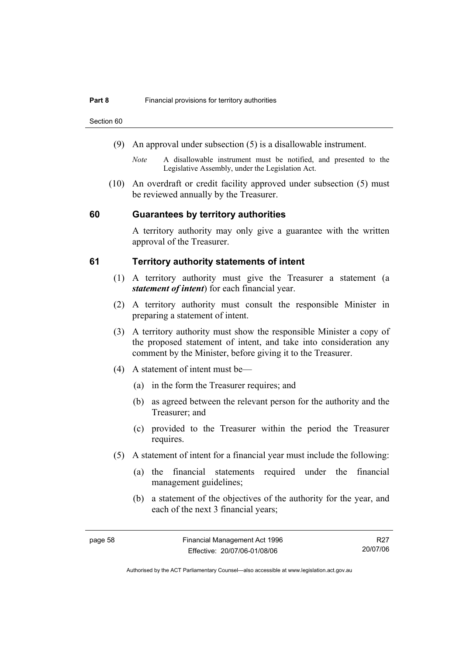Section 60

- (9) An approval under subsection (5) is a disallowable instrument.
	- *Note* A disallowable instrument must be notified, and presented to the Legislative Assembly, under the Legislation Act.
- (10) An overdraft or credit facility approved under subsection (5) must be reviewed annually by the Treasurer.

#### **60 Guarantees by territory authorities**

A territory authority may only give a guarantee with the written approval of the Treasurer.

#### **61 Territory authority statements of intent**

- (1) A territory authority must give the Treasurer a statement (a *statement of intent*) for each financial year.
- (2) A territory authority must consult the responsible Minister in preparing a statement of intent.
- (3) A territory authority must show the responsible Minister a copy of the proposed statement of intent, and take into consideration any comment by the Minister, before giving it to the Treasurer.
- (4) A statement of intent must be—
	- (a) in the form the Treasurer requires; and
	- (b) as agreed between the relevant person for the authority and the Treasurer; and
	- (c) provided to the Treasurer within the period the Treasurer requires.
- (5) A statement of intent for a financial year must include the following:
	- (a) the financial statements required under the financial management guidelines;
	- (b) a statement of the objectives of the authority for the year, and each of the next 3 financial years;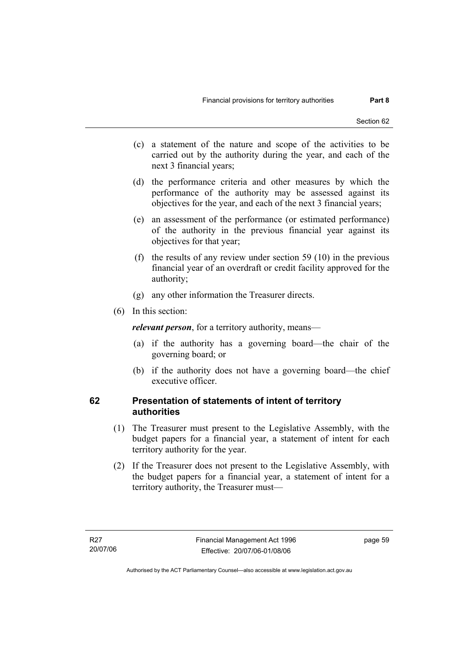- (c) a statement of the nature and scope of the activities to be carried out by the authority during the year, and each of the next 3 financial years;
- (d) the performance criteria and other measures by which the performance of the authority may be assessed against its objectives for the year, and each of the next 3 financial years;
- (e) an assessment of the performance (or estimated performance) of the authority in the previous financial year against its objectives for that year;
- (f) the results of any review under section 59 (10) in the previous financial year of an overdraft or credit facility approved for the authority;
- (g) any other information the Treasurer directs.
- (6) In this section:

*relevant person*, for a territory authority, means—

- (a) if the authority has a governing board—the chair of the governing board; or
- (b) if the authority does not have a governing board—the chief executive officer.

#### **62 Presentation of statements of intent of territory authorities**

- (1) The Treasurer must present to the Legislative Assembly, with the budget papers for a financial year, a statement of intent for each territory authority for the year.
- (2) If the Treasurer does not present to the Legislative Assembly, with the budget papers for a financial year, a statement of intent for a territory authority, the Treasurer must—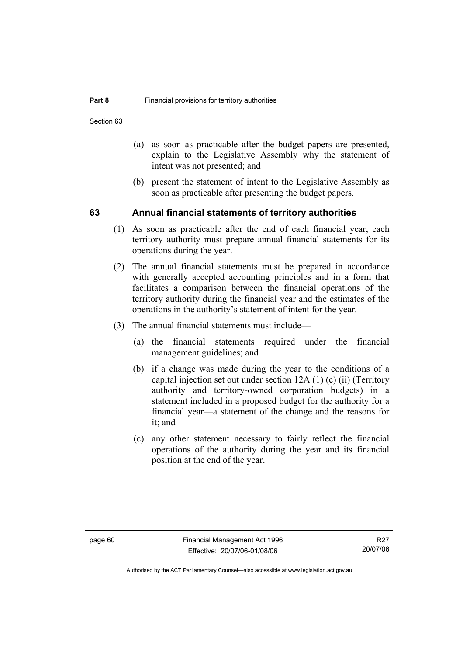Section 63

- (a) as soon as practicable after the budget papers are presented, explain to the Legislative Assembly why the statement of intent was not presented; and
- (b) present the statement of intent to the Legislative Assembly as soon as practicable after presenting the budget papers.

#### **63 Annual financial statements of territory authorities**

- (1) As soon as practicable after the end of each financial year, each territory authority must prepare annual financial statements for its operations during the year.
- (2) The annual financial statements must be prepared in accordance with generally accepted accounting principles and in a form that facilitates a comparison between the financial operations of the territory authority during the financial year and the estimates of the operations in the authority's statement of intent for the year.
- (3) The annual financial statements must include—
	- (a) the financial statements required under the financial management guidelines; and
	- (b) if a change was made during the year to the conditions of a capital injection set out under section 12A (1) (c) (ii) (Territory authority and territory-owned corporation budgets) in a statement included in a proposed budget for the authority for a financial year—a statement of the change and the reasons for it; and
	- (c) any other statement necessary to fairly reflect the financial operations of the authority during the year and its financial position at the end of the year.

Authorised by the ACT Parliamentary Counsel—also accessible at www.legislation.act.gov.au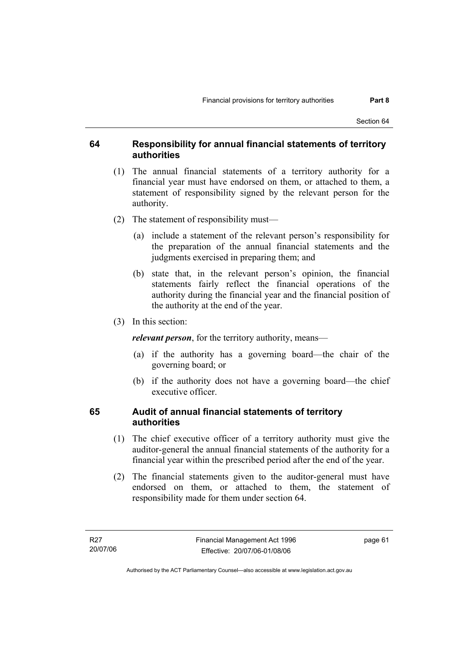#### **64 Responsibility for annual financial statements of territory authorities**

- (1) The annual financial statements of a territory authority for a financial year must have endorsed on them, or attached to them, a statement of responsibility signed by the relevant person for the authority.
- (2) The statement of responsibility must—
	- (a) include a statement of the relevant person's responsibility for the preparation of the annual financial statements and the judgments exercised in preparing them; and
	- (b) state that, in the relevant person's opinion, the financial statements fairly reflect the financial operations of the authority during the financial year and the financial position of the authority at the end of the year.
- (3) In this section:

*relevant person*, for the territory authority, means—

- (a) if the authority has a governing board—the chair of the governing board; or
- (b) if the authority does not have a governing board—the chief executive officer.

#### **65 Audit of annual financial statements of territory authorities**

- (1) The chief executive officer of a territory authority must give the auditor-general the annual financial statements of the authority for a financial year within the prescribed period after the end of the year.
- (2) The financial statements given to the auditor-general must have endorsed on them, or attached to them, the statement of responsibility made for them under section 64.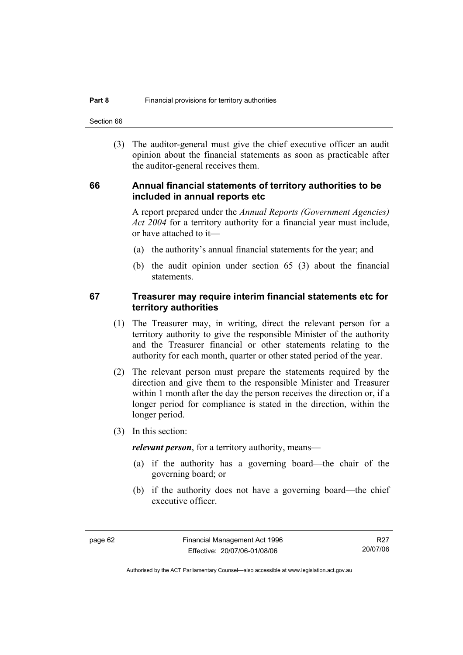Section 66

 (3) The auditor-general must give the chief executive officer an audit opinion about the financial statements as soon as practicable after the auditor-general receives them.

#### **66 Annual financial statements of territory authorities to be included in annual reports etc**

A report prepared under the *Annual Reports (Government Agencies) Act 2004* for a territory authority for a financial year must include, or have attached to it—

- (a) the authority's annual financial statements for the year; and
- (b) the audit opinion under section 65 (3) about the financial statements.

#### **67 Treasurer may require interim financial statements etc for territory authorities**

- (1) The Treasurer may, in writing, direct the relevant person for a territory authority to give the responsible Minister of the authority and the Treasurer financial or other statements relating to the authority for each month, quarter or other stated period of the year.
- (2) The relevant person must prepare the statements required by the direction and give them to the responsible Minister and Treasurer within 1 month after the day the person receives the direction or, if a longer period for compliance is stated in the direction, within the longer period.
- (3) In this section:

*relevant person*, for a territory authority, means—

- (a) if the authority has a governing board—the chair of the governing board; or
- (b) if the authority does not have a governing board—the chief executive officer.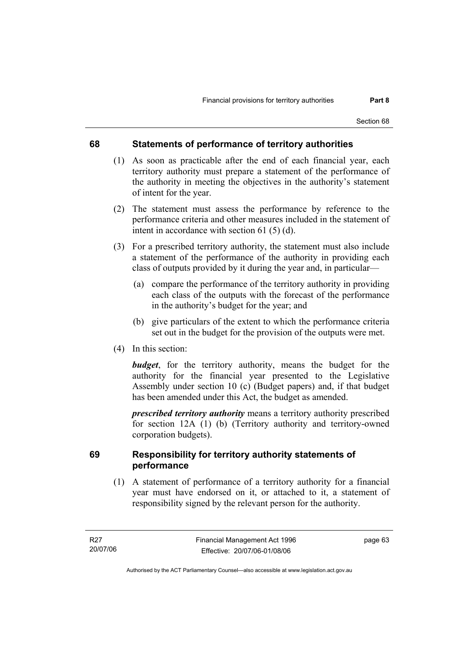### **68 Statements of performance of territory authorities**

- (1) As soon as practicable after the end of each financial year, each territory authority must prepare a statement of the performance of the authority in meeting the objectives in the authority's statement of intent for the year.
- (2) The statement must assess the performance by reference to the performance criteria and other measures included in the statement of intent in accordance with section 61 (5) (d).
- (3) For a prescribed territory authority, the statement must also include a statement of the performance of the authority in providing each class of outputs provided by it during the year and, in particular—
	- (a) compare the performance of the territory authority in providing each class of the outputs with the forecast of the performance in the authority's budget for the year; and
	- (b) give particulars of the extent to which the performance criteria set out in the budget for the provision of the outputs were met.
- (4) In this section:

*budget*, for the territory authority, means the budget for the authority for the financial year presented to the Legislative Assembly under section 10 (c) (Budget papers) and, if that budget has been amended under this Act, the budget as amended.

*prescribed territory authority* means a territory authority prescribed for section 12A (1) (b) (Territory authority and territory-owned corporation budgets).

### **69 Responsibility for territory authority statements of performance**

 (1) A statement of performance of a territory authority for a financial year must have endorsed on it, or attached to it, a statement of responsibility signed by the relevant person for the authority.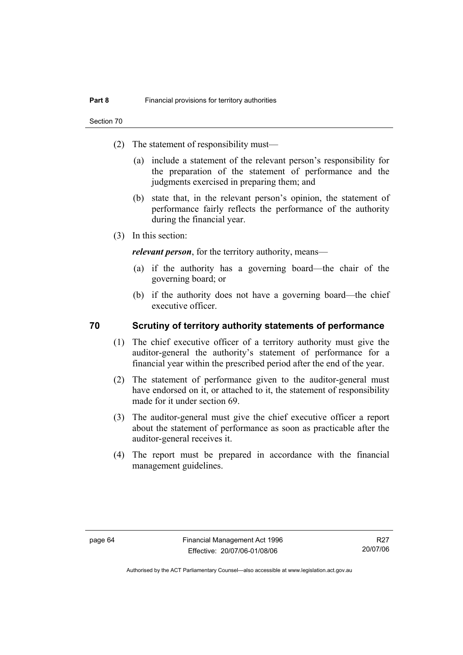- (2) The statement of responsibility must—
	- (a) include a statement of the relevant person's responsibility for the preparation of the statement of performance and the judgments exercised in preparing them; and
	- (b) state that, in the relevant person's opinion, the statement of performance fairly reflects the performance of the authority during the financial year.
- (3) In this section:

*relevant person*, for the territory authority, means—

- (a) if the authority has a governing board—the chair of the governing board; or
- (b) if the authority does not have a governing board—the chief executive officer.

### **70 Scrutiny of territory authority statements of performance**

- (1) The chief executive officer of a territory authority must give the auditor-general the authority's statement of performance for a financial year within the prescribed period after the end of the year.
- (2) The statement of performance given to the auditor-general must have endorsed on it, or attached to it, the statement of responsibility made for it under section 69.
- (3) The auditor-general must give the chief executive officer a report about the statement of performance as soon as practicable after the auditor-general receives it.
- (4) The report must be prepared in accordance with the financial management guidelines.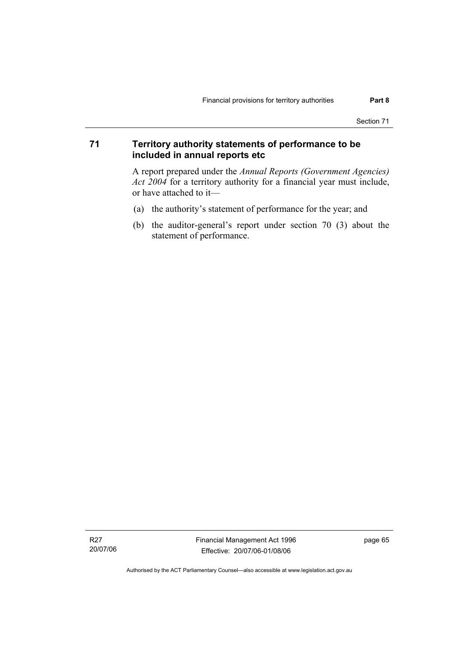### **71 Territory authority statements of performance to be included in annual reports etc**

A report prepared under the *Annual Reports (Government Agencies) Act 2004* for a territory authority for a financial year must include, or have attached to it—

- (a) the authority's statement of performance for the year; and
- (b) the auditor-general's report under section 70 (3) about the statement of performance.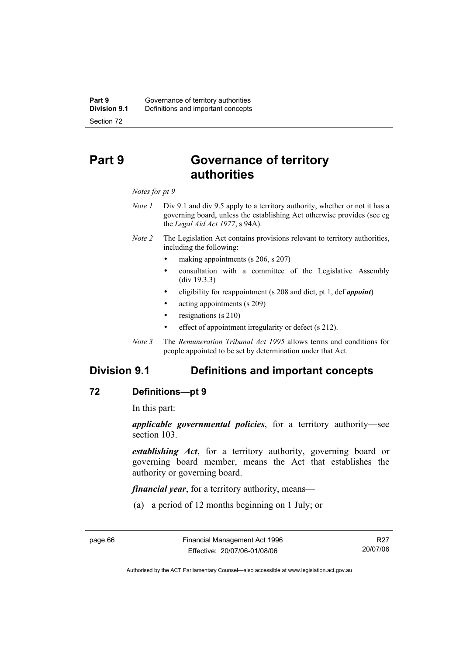# **Part 9 Governance of territory authorities**

#### *Notes for pt 9*

- *Note 1* Div 9.1 and div 9.5 apply to a territory authority, whether or not it has a governing board, unless the establishing Act otherwise provides (see eg the *Legal Aid Act 1977*, s 94A).
- *Note 2* The Legislation Act contains provisions relevant to territory authorities, including the following:
	- making appointments (s 206, s 207)
	- consultation with a committee of the Legislative Assembly (div 19.3.3)
	- eligibility for reappointment (s 208 and dict, pt 1, def *appoint*)
	- acting appointments (s 209)
	- resignations (s 210)
	- effect of appointment irregularity or defect (s 212).
- *Note 3* The *Remuneration Tribunal Act 1995* allows terms and conditions for people appointed to be set by determination under that Act.

# **Division 9.1 Definitions and important concepts**

### **72 Definitions—pt 9**

In this part:

*applicable governmental policies*, for a territory authority—see section 103.

*establishing Act*, for a territory authority, governing board or governing board member, means the Act that establishes the authority or governing board.

*financial year*, for a territory authority, means—

(a) a period of 12 months beginning on 1 July; or

R27 20/07/06

Authorised by the ACT Parliamentary Counsel—also accessible at www.legislation.act.gov.au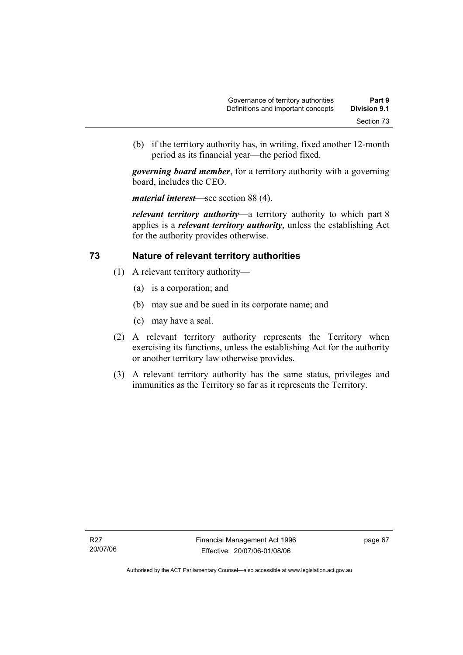(b) if the territory authority has, in writing, fixed another 12-month period as its financial year—the period fixed.

*governing board member*, for a territory authority with a governing board, includes the CEO.

*material interest*—see section 88 (4).

*relevant territory authority*—a territory authority to which part 8 applies is a *relevant territory authority*, unless the establishing Act for the authority provides otherwise.

### **73 Nature of relevant territory authorities**

- (1) A relevant territory authority—
	- (a) is a corporation; and
	- (b) may sue and be sued in its corporate name; and
	- (c) may have a seal.
- (2) A relevant territory authority represents the Territory when exercising its functions, unless the establishing Act for the authority or another territory law otherwise provides.
- (3) A relevant territory authority has the same status, privileges and immunities as the Territory so far as it represents the Territory.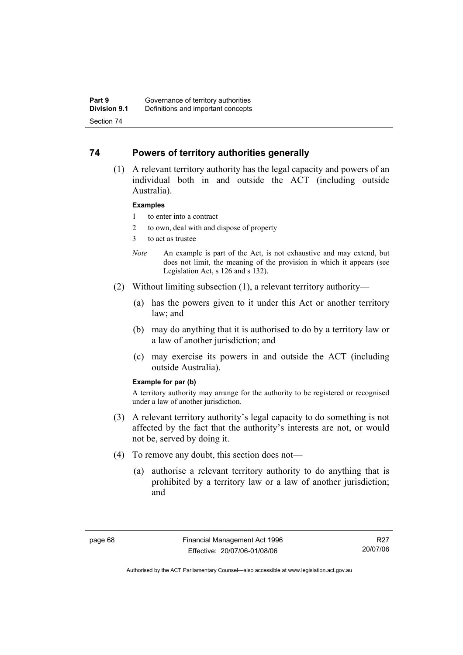### **74 Powers of territory authorities generally**

 (1) A relevant territory authority has the legal capacity and powers of an individual both in and outside the ACT (including outside Australia).

### **Examples**

- 1 to enter into a contract
- 2 to own, deal with and dispose of property
- 3 to act as trustee
- *Note* An example is part of the Act, is not exhaustive and may extend, but does not limit, the meaning of the provision in which it appears (see Legislation Act, s 126 and s 132).
- (2) Without limiting subsection (1), a relevant territory authority—
	- (a) has the powers given to it under this Act or another territory law; and
	- (b) may do anything that it is authorised to do by a territory law or a law of another jurisdiction; and
	- (c) may exercise its powers in and outside the ACT (including outside Australia).

### **Example for par (b)**

A territory authority may arrange for the authority to be registered or recognised under a law of another jurisdiction.

- (3) A relevant territory authority's legal capacity to do something is not affected by the fact that the authority's interests are not, or would not be, served by doing it.
- (4) To remove any doubt, this section does not—
	- (a) authorise a relevant territory authority to do anything that is prohibited by a territory law or a law of another jurisdiction; and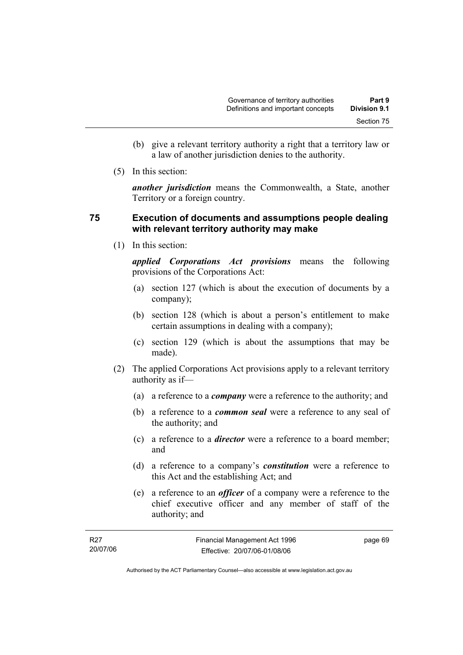- (b) give a relevant territory authority a right that a territory law or a law of another jurisdiction denies to the authority.
- (5) In this section:

*another jurisdiction* means the Commonwealth, a State, another Territory or a foreign country.

### **75 Execution of documents and assumptions people dealing with relevant territory authority may make**

(1) In this section:

*applied Corporations Act provisions* means the following provisions of the Corporations Act:

- (a) section 127 (which is about the execution of documents by a company);
- (b) section 128 (which is about a person's entitlement to make certain assumptions in dealing with a company);
- (c) section 129 (which is about the assumptions that may be made).
- (2) The applied Corporations Act provisions apply to a relevant territory authority as if—
	- (a) a reference to a *company* were a reference to the authority; and
	- (b) a reference to a *common seal* were a reference to any seal of the authority; and
	- (c) a reference to a *director* were a reference to a board member; and
	- (d) a reference to a company's *constitution* were a reference to this Act and the establishing Act; and
	- (e) a reference to an *officer* of a company were a reference to the chief executive officer and any member of staff of the authority; and

| R27      | Financial Management Act 1996 | page 69 |
|----------|-------------------------------|---------|
| 20/07/06 | Effective: 20/07/06-01/08/06  |         |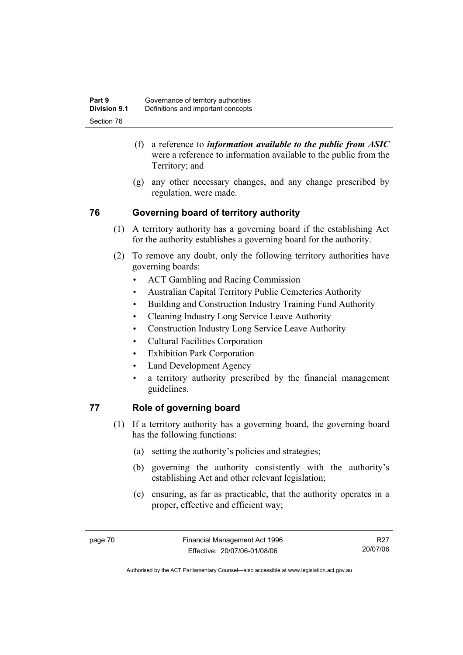- (f) a reference to *information available to the public from ASIC*  were a reference to information available to the public from the Territory; and
- (g) any other necessary changes, and any change prescribed by regulation, were made.

# **76 Governing board of territory authority**

- (1) A territory authority has a governing board if the establishing Act for the authority establishes a governing board for the authority.
- (2) To remove any doubt, only the following territory authorities have governing boards:
	- ACT Gambling and Racing Commission
	- Australian Capital Territory Public Cemeteries Authority
	- Building and Construction Industry Training Fund Authority
	- Cleaning Industry Long Service Leave Authority
	- Construction Industry Long Service Leave Authority
	- Cultural Facilities Corporation
	- Exhibition Park Corporation
	- Land Development Agency
	- a territory authority prescribed by the financial management guidelines.

# **77 Role of governing board**

- (1) If a territory authority has a governing board, the governing board has the following functions:
	- (a) setting the authority's policies and strategies;
	- (b) governing the authority consistently with the authority's establishing Act and other relevant legislation;
	- (c) ensuring, as far as practicable, that the authority operates in a proper, effective and efficient way;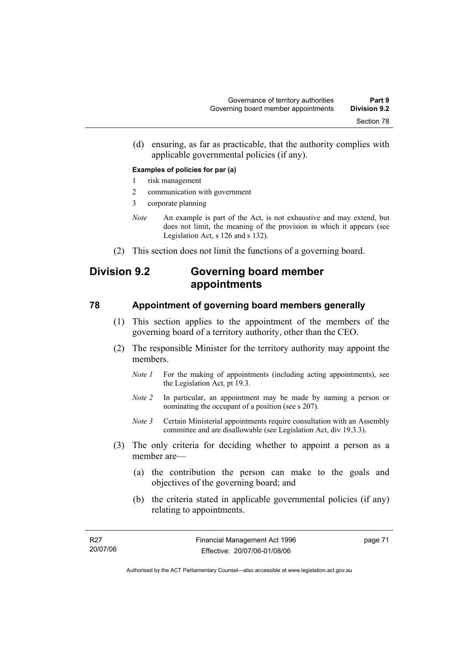(d) ensuring, as far as practicable, that the authority complies with applicable governmental policies (if any).

### **Examples of policies for par (a)**

- 1 risk management
- 2 communication with government
- 3 corporate planning
- *Note* An example is part of the Act, is not exhaustive and may extend, but does not limit, the meaning of the provision in which it appears (see Legislation Act, s 126 and s 132).
- (2) This section does not limit the functions of a governing board.

# **Division 9.2 Governing board member appointments**

### **78 Appointment of governing board members generally**

- (1) This section applies to the appointment of the members of the governing board of a territory authority, other than the CEO.
- (2) The responsible Minister for the territory authority may appoint the members.
	- *Note 1* For the making of appointments (including acting appointments), see the Legislation Act, pt 19.3.
	- *Note 2* In particular, an appointment may be made by naming a person or nominating the occupant of a position (see s 207).
	- *Note 3* Certain Ministerial appointments require consultation with an Assembly committee and are disallowable (see Legislation Act, div 19.3.3).
- (3) The only criteria for deciding whether to appoint a person as a member are—
	- (a) the contribution the person can make to the goals and objectives of the governing board; and
	- (b) the criteria stated in applicable governmental policies (if any) relating to appointments.

page 71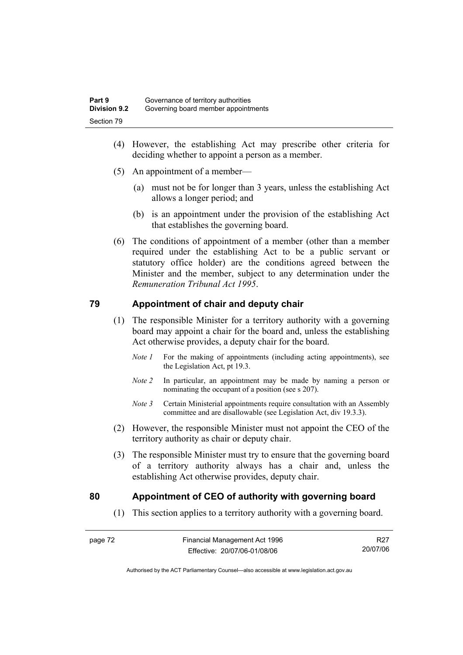- (4) However, the establishing Act may prescribe other criteria for deciding whether to appoint a person as a member.
- (5) An appointment of a member—
	- (a) must not be for longer than 3 years, unless the establishing Act allows a longer period; and
	- (b) is an appointment under the provision of the establishing Act that establishes the governing board.
- (6) The conditions of appointment of a member (other than a member required under the establishing Act to be a public servant or statutory office holder) are the conditions agreed between the Minister and the member, subject to any determination under the *Remuneration Tribunal Act 1995*.

### **79 Appointment of chair and deputy chair**

- (1) The responsible Minister for a territory authority with a governing board may appoint a chair for the board and, unless the establishing Act otherwise provides, a deputy chair for the board.
	- *Note 1* For the making of appointments (including acting appointments), see the Legislation Act, pt 19.3.
	- *Note 2* In particular, an appointment may be made by naming a person or nominating the occupant of a position (see s 207).
	- *Note 3* Certain Ministerial appointments require consultation with an Assembly committee and are disallowable (see Legislation Act, div 19.3.3).
- (2) However, the responsible Minister must not appoint the CEO of the territory authority as chair or deputy chair.
- (3) The responsible Minister must try to ensure that the governing board of a territory authority always has a chair and, unless the establishing Act otherwise provides, deputy chair.

### **80 Appointment of CEO of authority with governing board**

(1) This section applies to a territory authority with a governing board.

R27 20/07/06

Authorised by the ACT Parliamentary Counsel—also accessible at www.legislation.act.gov.au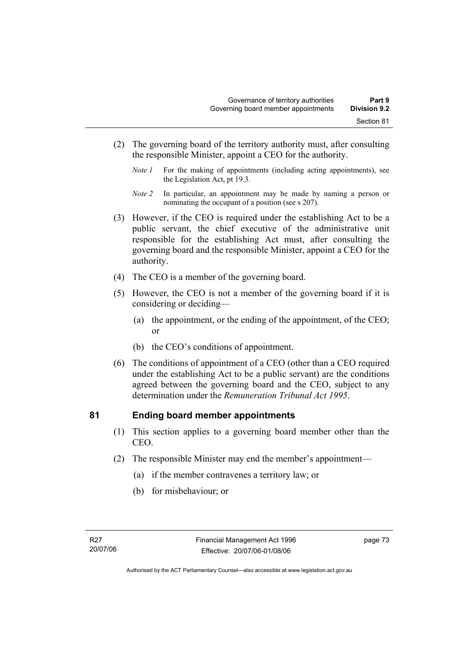- (2) The governing board of the territory authority must, after consulting the responsible Minister, appoint a CEO for the authority.
	- *Note 1* For the making of appointments (including acting appointments), see the Legislation Act, pt 19.3.
	- *Note 2* In particular, an appointment may be made by naming a person or nominating the occupant of a position (see s 207).
- (3) However, if the CEO is required under the establishing Act to be a public servant, the chief executive of the administrative unit responsible for the establishing Act must, after consulting the governing board and the responsible Minister, appoint a CEO for the authority.
- (4) The CEO is a member of the governing board.
- (5) However, the CEO is not a member of the governing board if it is considering or deciding—
	- (a) the appointment, or the ending of the appointment, of the CEO; or
	- (b) the CEO's conditions of appointment.
- (6) The conditions of appointment of a CEO (other than a CEO required under the establishing Act to be a public servant) are the conditions agreed between the governing board and the CEO, subject to any determination under the *Remuneration Tribunal Act 1995*.

### **81 Ending board member appointments**

- (1) This section applies to a governing board member other than the CEO.
- (2) The responsible Minister may end the member's appointment—
	- (a) if the member contravenes a territory law; or
	- (b) for misbehaviour; or

page 73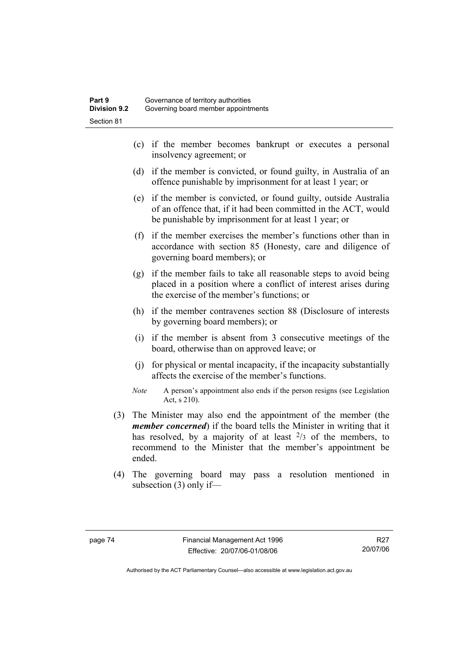- (c) if the member becomes bankrupt or executes a personal insolvency agreement; or
- (d) if the member is convicted, or found guilty, in Australia of an offence punishable by imprisonment for at least 1 year; or
- (e) if the member is convicted, or found guilty, outside Australia of an offence that, if it had been committed in the ACT, would be punishable by imprisonment for at least 1 year; or
- (f) if the member exercises the member's functions other than in accordance with section 85 (Honesty, care and diligence of governing board members); or
- (g) if the member fails to take all reasonable steps to avoid being placed in a position where a conflict of interest arises during the exercise of the member's functions; or
- (h) if the member contravenes section 88 (Disclosure of interests by governing board members); or
- (i) if the member is absent from 3 consecutive meetings of the board, otherwise than on approved leave; or
- (j) for physical or mental incapacity, if the incapacity substantially affects the exercise of the member's functions.
- *Note* A person's appointment also ends if the person resigns (see Legislation Act, s 210).
- (3) The Minister may also end the appointment of the member (the *member concerned*) if the board tells the Minister in writing that it has resolved, by a majority of at least  $2/3$  of the members, to recommend to the Minister that the member's appointment be ended.
- (4) The governing board may pass a resolution mentioned in subsection (3) only if—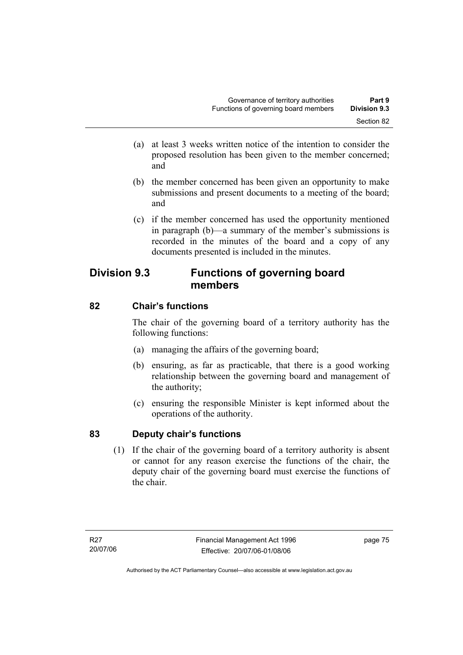- (a) at least 3 weeks written notice of the intention to consider the proposed resolution has been given to the member concerned; and
- (b) the member concerned has been given an opportunity to make submissions and present documents to a meeting of the board; and
- (c) if the member concerned has used the opportunity mentioned in paragraph (b)—a summary of the member's submissions is recorded in the minutes of the board and a copy of any documents presented is included in the minutes.

# **Division 9.3 Functions of governing board members**

# **82 Chair's functions**

The chair of the governing board of a territory authority has the following functions:

- (a) managing the affairs of the governing board;
- (b) ensuring, as far as practicable, that there is a good working relationship between the governing board and management of the authority;
- (c) ensuring the responsible Minister is kept informed about the operations of the authority.

# **83 Deputy chair's functions**

 (1) If the chair of the governing board of a territory authority is absent or cannot for any reason exercise the functions of the chair, the deputy chair of the governing board must exercise the functions of the chair.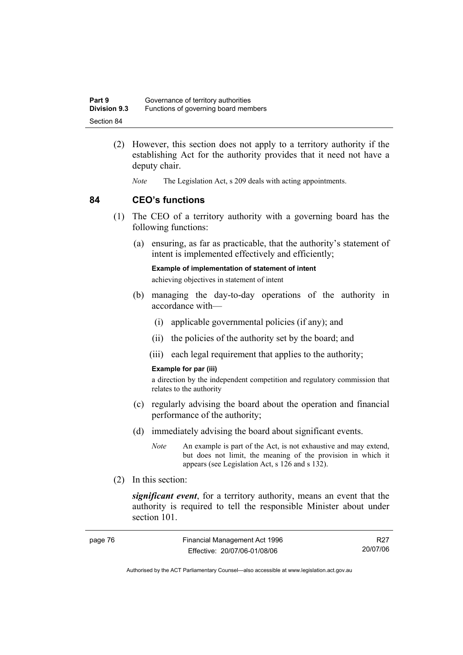| Part 9              | Governance of territory authorities  |
|---------------------|--------------------------------------|
| <b>Division 9.3</b> | Functions of governing board members |
| Section 84          |                                      |

- (2) However, this section does not apply to a territory authority if the establishing Act for the authority provides that it need not have a deputy chair.
	- *Note* The Legislation Act, s 209 deals with acting appointments.

### **84 CEO's functions**

- (1) The CEO of a territory authority with a governing board has the following functions:
	- (a) ensuring, as far as practicable, that the authority's statement of intent is implemented effectively and efficiently;

**Example of implementation of statement of intent** 

achieving objectives in statement of intent

- (b) managing the day-to-day operations of the authority in accordance with—
	- (i) applicable governmental policies (if any); and
	- (ii) the policies of the authority set by the board; and
	- (iii) each legal requirement that applies to the authority;

#### **Example for par (iii)**

a direction by the independent competition and regulatory commission that relates to the authority

- (c) regularly advising the board about the operation and financial performance of the authority;
- (d) immediately advising the board about significant events.
	- *Note* An example is part of the Act, is not exhaustive and may extend, but does not limit, the meaning of the provision in which it appears (see Legislation Act, s 126 and s 132).
- (2) In this section:

*significant event*, for a territory authority, means an event that the authority is required to tell the responsible Minister about under section 101.

| page 76 | Financial Management Act 1996 | R27      |
|---------|-------------------------------|----------|
|         | Effective: 20/07/06-01/08/06  | 20/07/06 |

Authorised by the ACT Parliamentary Counsel—also accessible at www.legislation.act.gov.au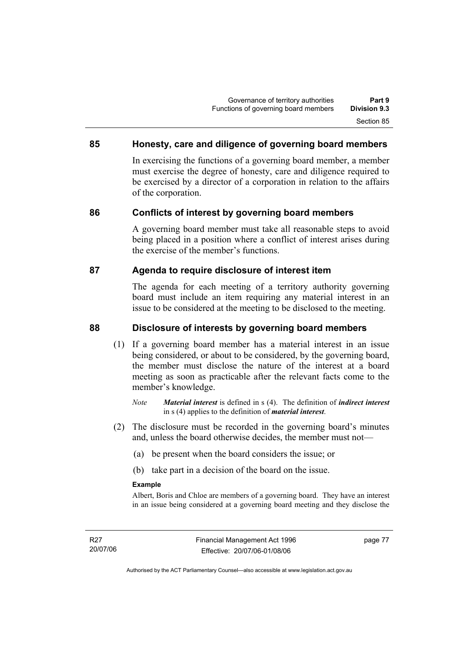### **85 Honesty, care and diligence of governing board members**

In exercising the functions of a governing board member, a member must exercise the degree of honesty, care and diligence required to be exercised by a director of a corporation in relation to the affairs of the corporation.

### **86 Conflicts of interest by governing board members**

A governing board member must take all reasonable steps to avoid being placed in a position where a conflict of interest arises during the exercise of the member's functions.

### **87 Agenda to require disclosure of interest item**

The agenda for each meeting of a territory authority governing board must include an item requiring any material interest in an issue to be considered at the meeting to be disclosed to the meeting.

### **88 Disclosure of interests by governing board members**

- (1) If a governing board member has a material interest in an issue being considered, or about to be considered, by the governing board, the member must disclose the nature of the interest at a board meeting as soon as practicable after the relevant facts come to the member's knowledge.
	- *Note Material interest* is defined in s (4). The definition of *indirect interest* in s (4) applies to the definition of *material interest*.
- (2) The disclosure must be recorded in the governing board's minutes and, unless the board otherwise decides, the member must not—
	- (a) be present when the board considers the issue; or
	- (b) take part in a decision of the board on the issue.

### **Example**

Albert, Boris and Chloe are members of a governing board. They have an interest in an issue being considered at a governing board meeting and they disclose the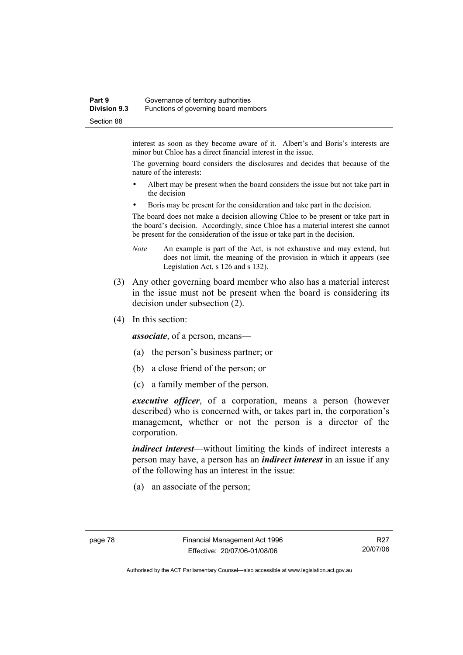### **Part 9 Governance of territory authorities Division 9.3** Functions of governing board members Section 88

interest as soon as they become aware of it. Albert's and Boris's interests are minor but Chloe has a direct financial interest in the issue.

The governing board considers the disclosures and decides that because of the nature of the interests:

- Albert may be present when the board considers the issue but not take part in the decision
- Boris may be present for the consideration and take part in the decision.

The board does not make a decision allowing Chloe to be present or take part in the board's decision. Accordingly, since Chloe has a material interest she cannot be present for the consideration of the issue or take part in the decision.

- *Note* An example is part of the Act, is not exhaustive and may extend, but does not limit, the meaning of the provision in which it appears (see Legislation Act, s 126 and s 132).
- (3) Any other governing board member who also has a material interest in the issue must not be present when the board is considering its decision under subsection (2).
- (4) In this section:

*associate*, of a person, means—

- (a) the person's business partner; or
- (b) a close friend of the person; or
- (c) a family member of the person.

*executive officer*, of a corporation, means a person (however described) who is concerned with, or takes part in, the corporation's management, whether or not the person is a director of the corporation.

*indirect interest*—without limiting the kinds of indirect interests a person may have, a person has an *indirect interest* in an issue if any of the following has an interest in the issue:

(a) an associate of the person;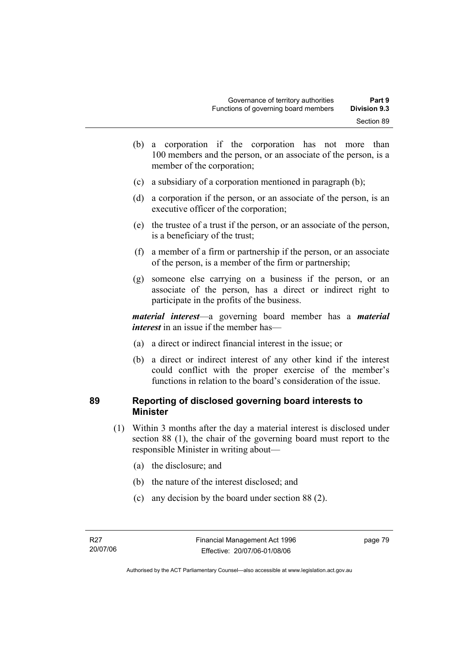- (b) a corporation if the corporation has not more than 100 members and the person, or an associate of the person, is a member of the corporation;
- (c) a subsidiary of a corporation mentioned in paragraph (b);
- (d) a corporation if the person, or an associate of the person, is an executive officer of the corporation;
- (e) the trustee of a trust if the person, or an associate of the person, is a beneficiary of the trust;
- (f) a member of a firm or partnership if the person, or an associate of the person, is a member of the firm or partnership;
- (g) someone else carrying on a business if the person, or an associate of the person, has a direct or indirect right to participate in the profits of the business.

*material interest*—a governing board member has a *material interest* in an issue if the member has—

- (a) a direct or indirect financial interest in the issue; or
- (b) a direct or indirect interest of any other kind if the interest could conflict with the proper exercise of the member's functions in relation to the board's consideration of the issue.

### **89 Reporting of disclosed governing board interests to Minister**

- (1) Within 3 months after the day a material interest is disclosed under section 88 (1), the chair of the governing board must report to the responsible Minister in writing about—
	- (a) the disclosure; and
	- (b) the nature of the interest disclosed; and
	- (c) any decision by the board under section 88 (2).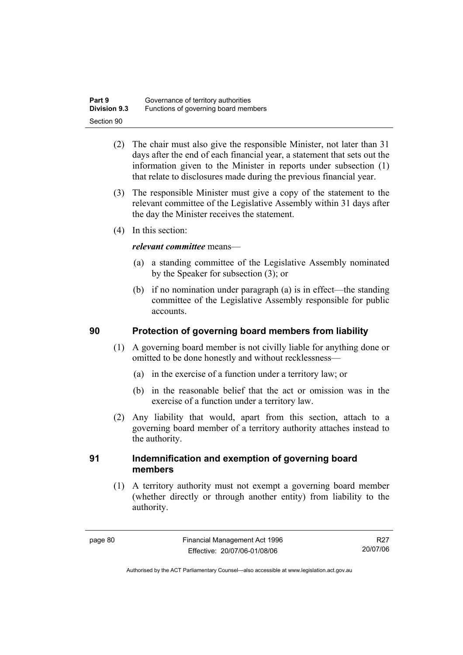| Part 9              | Governance of territory authorities  |
|---------------------|--------------------------------------|
| <b>Division 9.3</b> | Functions of governing board members |
| Section 90          |                                      |

- (2) The chair must also give the responsible Minister, not later than 31 days after the end of each financial year, a statement that sets out the information given to the Minister in reports under subsection (1) that relate to disclosures made during the previous financial year.
- (3) The responsible Minister must give a copy of the statement to the relevant committee of the Legislative Assembly within 31 days after the day the Minister receives the statement.
- (4) In this section:

### *relevant committee* means—

- (a) a standing committee of the Legislative Assembly nominated by the Speaker for subsection (3); or
- (b) if no nomination under paragraph (a) is in effect—the standing committee of the Legislative Assembly responsible for public accounts.

### **90 Protection of governing board members from liability**

- (1) A governing board member is not civilly liable for anything done or omitted to be done honestly and without recklessness—
	- (a) in the exercise of a function under a territory law; or
	- (b) in the reasonable belief that the act or omission was in the exercise of a function under a territory law.
- (2) Any liability that would, apart from this section, attach to a governing board member of a territory authority attaches instead to the authority.

### **91 Indemnification and exemption of governing board members**

 (1) A territory authority must not exempt a governing board member (whether directly or through another entity) from liability to the authority.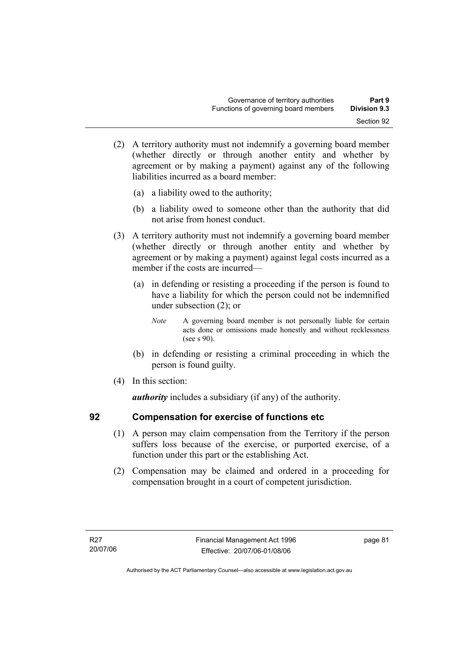- (2) A territory authority must not indemnify a governing board member (whether directly or through another entity and whether by agreement or by making a payment) against any of the following liabilities incurred as a board member:
	- (a) a liability owed to the authority;
	- (b) a liability owed to someone other than the authority that did not arise from honest conduct.
- (3) A territory authority must not indemnify a governing board member (whether directly or through another entity and whether by agreement or by making a payment) against legal costs incurred as a member if the costs are incurred—
	- (a) in defending or resisting a proceeding if the person is found to have a liability for which the person could not be indemnified under subsection (2); or
		- *Note* A governing board member is not personally liable for certain acts done or omissions made honestly and without recklessness (see s 90).
	- (b) in defending or resisting a criminal proceeding in which the person is found guilty.
- (4) In this section:

*authority* includes a subsidiary (if any) of the authority.

### **92 Compensation for exercise of functions etc**

- (1) A person may claim compensation from the Territory if the person suffers loss because of the exercise, or purported exercise, of a function under this part or the establishing Act.
- (2) Compensation may be claimed and ordered in a proceeding for compensation brought in a court of competent jurisdiction.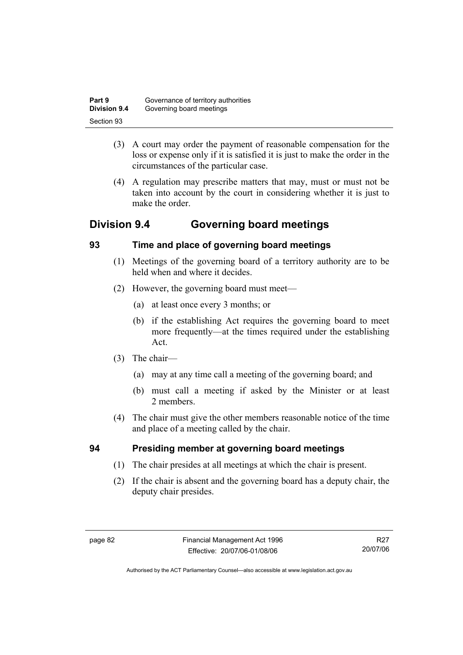| Part 9              | Governance of territory authorities |
|---------------------|-------------------------------------|
| <b>Division 9.4</b> | Governing board meetings            |
| Section 93          |                                     |

- (3) A court may order the payment of reasonable compensation for the loss or expense only if it is satisfied it is just to make the order in the circumstances of the particular case.
- (4) A regulation may prescribe matters that may, must or must not be taken into account by the court in considering whether it is just to make the order

# **Division 9.4 Governing board meetings**

### **93 Time and place of governing board meetings**

- (1) Meetings of the governing board of a territory authority are to be held when and where it decides.
- (2) However, the governing board must meet—
	- (a) at least once every 3 months; or
	- (b) if the establishing Act requires the governing board to meet more frequently—at the times required under the establishing Act.
- (3) The chair—
	- (a) may at any time call a meeting of the governing board; and
	- (b) must call a meeting if asked by the Minister or at least 2 members.
- (4) The chair must give the other members reasonable notice of the time and place of a meeting called by the chair.

# **94 Presiding member at governing board meetings**

- (1) The chair presides at all meetings at which the chair is present.
- (2) If the chair is absent and the governing board has a deputy chair, the deputy chair presides.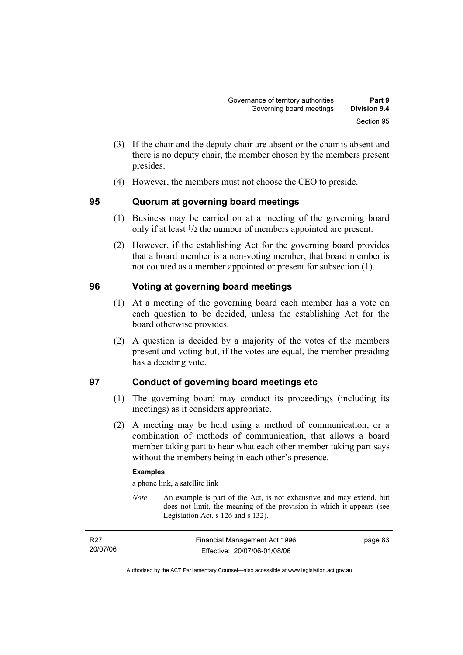- (3) If the chair and the deputy chair are absent or the chair is absent and there is no deputy chair, the member chosen by the members present presides.
- (4) However, the members must not choose the CEO to preside.

### **95 Quorum at governing board meetings**

- (1) Business may be carried on at a meeting of the governing board only if at least 1/2 the number of members appointed are present.
- (2) However, if the establishing Act for the governing board provides that a board member is a non-voting member, that board member is not counted as a member appointed or present for subsection (1).

### **96 Voting at governing board meetings**

- (1) At a meeting of the governing board each member has a vote on each question to be decided, unless the establishing Act for the board otherwise provides.
- (2) A question is decided by a majority of the votes of the members present and voting but, if the votes are equal, the member presiding has a deciding vote.

# **97 Conduct of governing board meetings etc**

- (1) The governing board may conduct its proceedings (including its meetings) as it considers appropriate.
- (2) A meeting may be held using a method of communication, or a combination of methods of communication, that allows a board member taking part to hear what each other member taking part says without the members being in each other's presence.

### **Examples**

a phone link, a satellite link

*Note* An example is part of the Act, is not exhaustive and may extend, but does not limit, the meaning of the provision in which it appears (see Legislation Act, s 126 and s 132).

| R27      | Financial Management Act 1996 | page 83 |
|----------|-------------------------------|---------|
| 20/07/06 | Effective: 20/07/06-01/08/06  |         |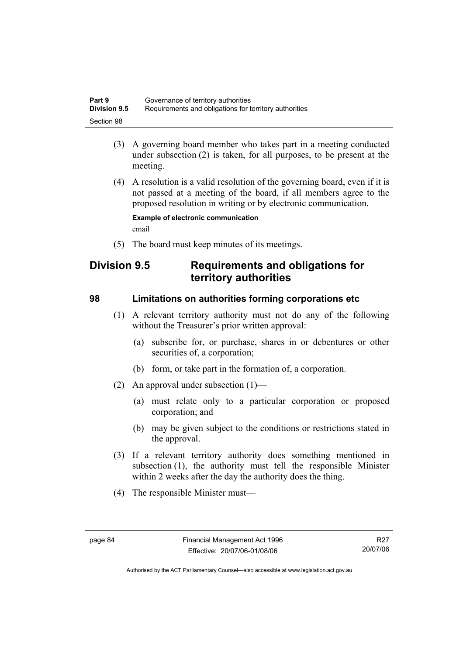| Part 9              | Governance of territory authorities                    |
|---------------------|--------------------------------------------------------|
| <b>Division 9.5</b> | Requirements and obligations for territory authorities |
| Section 98          |                                                        |

- (3) A governing board member who takes part in a meeting conducted under subsection (2) is taken, for all purposes, to be present at the meeting.
- (4) A resolution is a valid resolution of the governing board, even if it is not passed at a meeting of the board, if all members agree to the proposed resolution in writing or by electronic communication.

**Example of electronic communication**  email

(5) The board must keep minutes of its meetings.

# **Division 9.5 Requirements and obligations for territory authorities**

### **98 Limitations on authorities forming corporations etc**

- (1) A relevant territory authority must not do any of the following without the Treasurer's prior written approval:
	- (a) subscribe for, or purchase, shares in or debentures or other securities of, a corporation;
	- (b) form, or take part in the formation of, a corporation.
- (2) An approval under subsection (1)—
	- (a) must relate only to a particular corporation or proposed corporation; and
	- (b) may be given subject to the conditions or restrictions stated in the approval.
- (3) If a relevant territory authority does something mentioned in subsection (1), the authority must tell the responsible Minister within 2 weeks after the day the authority does the thing.
- (4) The responsible Minister must—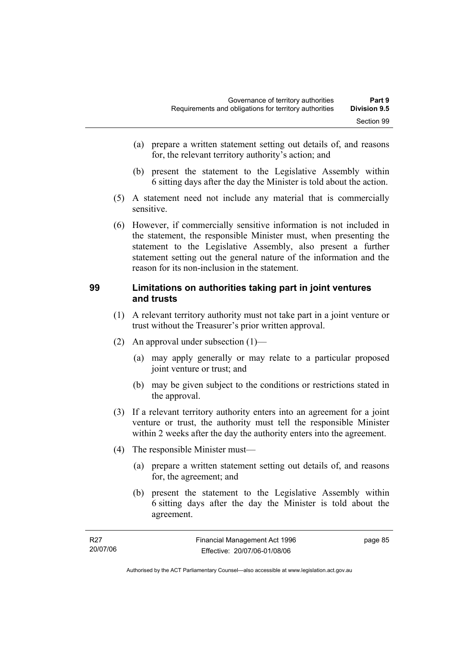- (a) prepare a written statement setting out details of, and reasons for, the relevant territory authority's action; and
- (b) present the statement to the Legislative Assembly within 6 sitting days after the day the Minister is told about the action.
- (5) A statement need not include any material that is commercially sensitive.
- (6) However, if commercially sensitive information is not included in the statement, the responsible Minister must, when presenting the statement to the Legislative Assembly, also present a further statement setting out the general nature of the information and the reason for its non-inclusion in the statement.

### **99 Limitations on authorities taking part in joint ventures and trusts**

- (1) A relevant territory authority must not take part in a joint venture or trust without the Treasurer's prior written approval.
- (2) An approval under subsection (1)—
	- (a) may apply generally or may relate to a particular proposed joint venture or trust; and
	- (b) may be given subject to the conditions or restrictions stated in the approval.
- (3) If a relevant territory authority enters into an agreement for a joint venture or trust, the authority must tell the responsible Minister within 2 weeks after the day the authority enters into the agreement.
- (4) The responsible Minister must—
	- (a) prepare a written statement setting out details of, and reasons for, the agreement; and
	- (b) present the statement to the Legislative Assembly within 6 sitting days after the day the Minister is told about the agreement.

| R27      | Financial Management Act 1996 | page 85 |
|----------|-------------------------------|---------|
| 20/07/06 | Effective: 20/07/06-01/08/06  |         |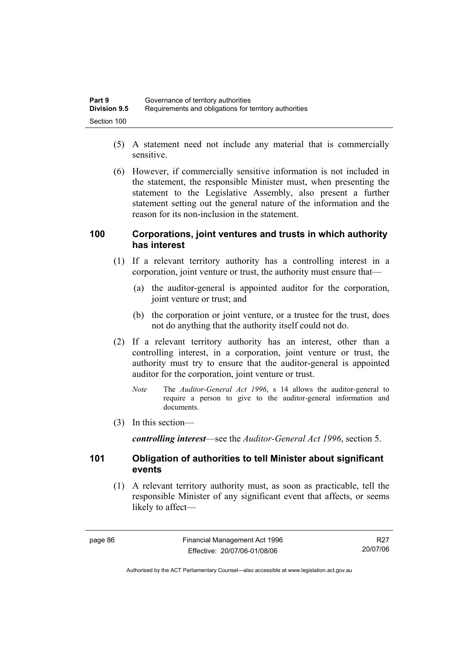| Part 9              | Governance of territory authorities                    |
|---------------------|--------------------------------------------------------|
| <b>Division 9.5</b> | Requirements and obligations for territory authorities |
| Section 100         |                                                        |

- (5) A statement need not include any material that is commercially sensitive.
- (6) However, if commercially sensitive information is not included in the statement, the responsible Minister must, when presenting the statement to the Legislative Assembly, also present a further statement setting out the general nature of the information and the reason for its non-inclusion in the statement.

### **100 Corporations, joint ventures and trusts in which authority has interest**

- (1) If a relevant territory authority has a controlling interest in a corporation, joint venture or trust, the authority must ensure that—
	- (a) the auditor-general is appointed auditor for the corporation, joint venture or trust; and
	- (b) the corporation or joint venture, or a trustee for the trust, does not do anything that the authority itself could not do.
- (2) If a relevant territory authority has an interest, other than a controlling interest, in a corporation, joint venture or trust, the authority must try to ensure that the auditor-general is appointed auditor for the corporation, joint venture or trust.
	- *Note* The *Auditor-General Act 1996*, s 14 allows the auditor-general to require a person to give to the auditor-general information and documents.
- (3) In this section—

*controlling interest*—see the *Auditor-General Act 1996*, section 5.

### **101 Obligation of authorities to tell Minister about significant events**

 (1) A relevant territory authority must, as soon as practicable, tell the responsible Minister of any significant event that affects, or seems likely to affect—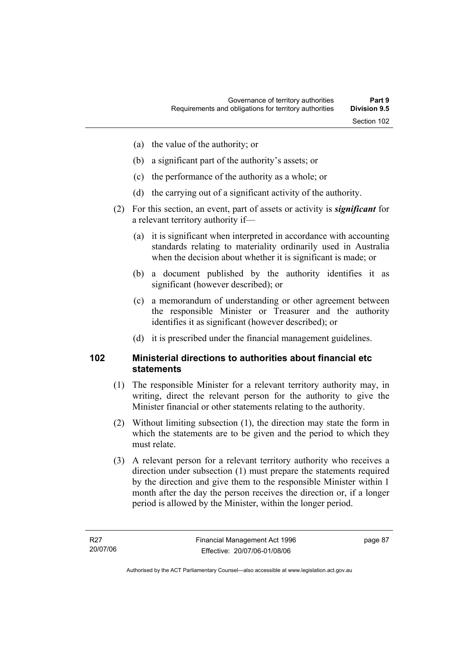- (a) the value of the authority; or
- (b) a significant part of the authority's assets; or
- (c) the performance of the authority as a whole; or
- (d) the carrying out of a significant activity of the authority.
- (2) For this section, an event, part of assets or activity is *significant* for a relevant territory authority if—
	- (a) it is significant when interpreted in accordance with accounting standards relating to materiality ordinarily used in Australia when the decision about whether it is significant is made; or
	- (b) a document published by the authority identifies it as significant (however described); or
	- (c) a memorandum of understanding or other agreement between the responsible Minister or Treasurer and the authority identifies it as significant (however described); or
	- (d) it is prescribed under the financial management guidelines.

### **102 Ministerial directions to authorities about financial etc statements**

- (1) The responsible Minister for a relevant territory authority may, in writing, direct the relevant person for the authority to give the Minister financial or other statements relating to the authority.
- (2) Without limiting subsection (1), the direction may state the form in which the statements are to be given and the period to which they must relate.
- (3) A relevant person for a relevant territory authority who receives a direction under subsection (1) must prepare the statements required by the direction and give them to the responsible Minister within 1 month after the day the person receives the direction or, if a longer period is allowed by the Minister, within the longer period.

page 87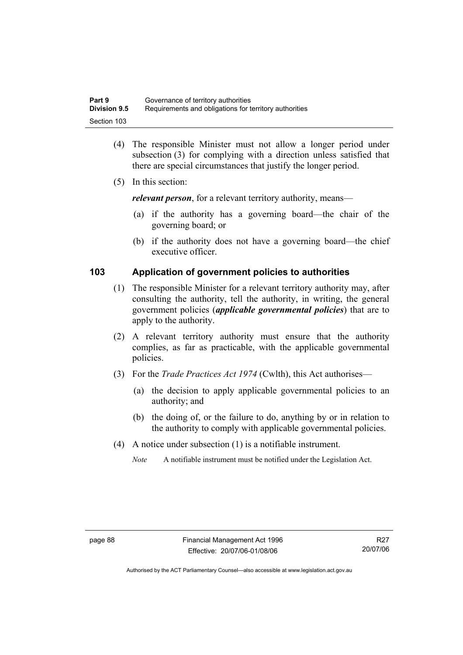| Part 9              | Governance of territory authorities                    |
|---------------------|--------------------------------------------------------|
| <b>Division 9.5</b> | Requirements and obligations for territory authorities |
| Section 103         |                                                        |

- (4) The responsible Minister must not allow a longer period under subsection (3) for complying with a direction unless satisfied that there are special circumstances that justify the longer period.
- (5) In this section:

*relevant person*, for a relevant territory authority, means—

- (a) if the authority has a governing board—the chair of the governing board; or
- (b) if the authority does not have a governing board—the chief executive officer.

### **103 Application of government policies to authorities**

- (1) The responsible Minister for a relevant territory authority may, after consulting the authority, tell the authority, in writing, the general government policies (*applicable governmental policies*) that are to apply to the authority.
- (2) A relevant territory authority must ensure that the authority complies, as far as practicable, with the applicable governmental policies.
- (3) For the *Trade Practices Act 1974* (Cwlth), this Act authorises—
	- (a) the decision to apply applicable governmental policies to an authority; and
	- (b) the doing of, or the failure to do, anything by or in relation to the authority to comply with applicable governmental policies.
- (4) A notice under subsection (1) is a notifiable instrument.
	- *Note* A notifiable instrument must be notified under the Legislation Act.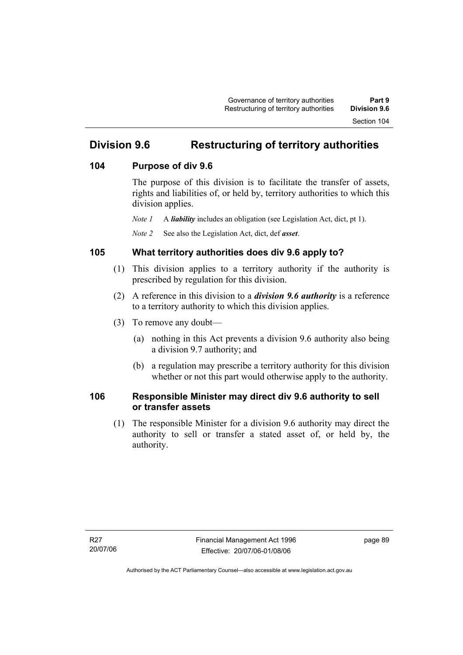# **Division 9.6 Restructuring of territory authorities**

### **104 Purpose of div 9.6**

The purpose of this division is to facilitate the transfer of assets, rights and liabilities of, or held by, territory authorities to which this division applies.

*Note 1* A *liability* includes an obligation (see Legislation Act, dict, pt 1).

*Note 2* See also the Legislation Act, dict, def *asset*.

### **105 What territory authorities does div 9.6 apply to?**

- (1) This division applies to a territory authority if the authority is prescribed by regulation for this division.
- (2) A reference in this division to a *division 9.6 authority* is a reference to a territory authority to which this division applies.
- (3) To remove any doubt—
	- (a) nothing in this Act prevents a division 9.6 authority also being a division 9.7 authority; and
	- (b) a regulation may prescribe a territory authority for this division whether or not this part would otherwise apply to the authority.

### **106 Responsible Minister may direct div 9.6 authority to sell or transfer assets**

 (1) The responsible Minister for a division 9.6 authority may direct the authority to sell or transfer a stated asset of, or held by, the authority.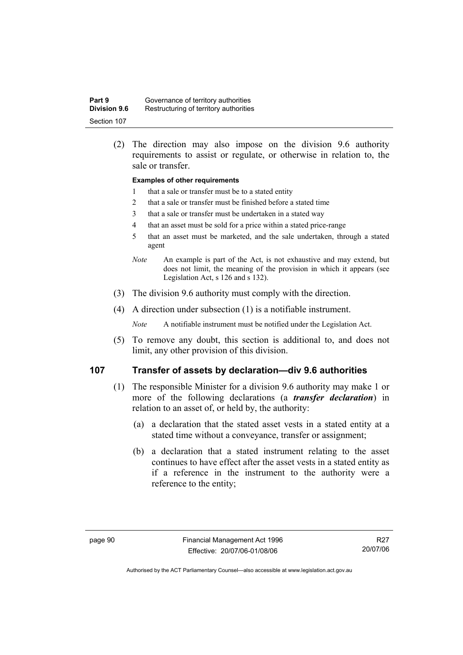| Part 9              | Governance of territory authorities    |
|---------------------|----------------------------------------|
| <b>Division 9.6</b> | Restructuring of territory authorities |
| Section 107         |                                        |

 (2) The direction may also impose on the division 9.6 authority requirements to assist or regulate, or otherwise in relation to, the sale or transfer.

#### **Examples of other requirements**

- 1 that a sale or transfer must be to a stated entity
- 2 that a sale or transfer must be finished before a stated time
- 3 that a sale or transfer must be undertaken in a stated way
- 4 that an asset must be sold for a price within a stated price-range
- 5 that an asset must be marketed, and the sale undertaken, through a stated agent
- *Note* An example is part of the Act, is not exhaustive and may extend, but does not limit, the meaning of the provision in which it appears (see Legislation Act, s 126 and s 132).
- (3) The division 9.6 authority must comply with the direction.
- (4) A direction under subsection (1) is a notifiable instrument.

*Note* A notifiable instrument must be notified under the Legislation Act.

 (5) To remove any doubt, this section is additional to, and does not limit, any other provision of this division.

### **107 Transfer of assets by declaration—div 9.6 authorities**

- (1) The responsible Minister for a division 9.6 authority may make 1 or more of the following declarations (a *transfer declaration*) in relation to an asset of, or held by, the authority:
	- (a) a declaration that the stated asset vests in a stated entity at a stated time without a conveyance, transfer or assignment;
	- (b) a declaration that a stated instrument relating to the asset continues to have effect after the asset vests in a stated entity as if a reference in the instrument to the authority were a reference to the entity;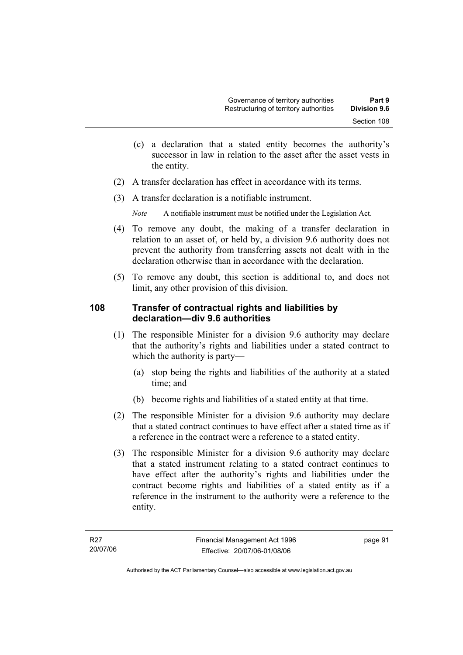- (c) a declaration that a stated entity becomes the authority's successor in law in relation to the asset after the asset vests in the entity.
- (2) A transfer declaration has effect in accordance with its terms.
- (3) A transfer declaration is a notifiable instrument.

*Note* A notifiable instrument must be notified under the Legislation Act.

- (4) To remove any doubt, the making of a transfer declaration in relation to an asset of, or held by, a division 9.6 authority does not prevent the authority from transferring assets not dealt with in the declaration otherwise than in accordance with the declaration.
- (5) To remove any doubt, this section is additional to, and does not limit, any other provision of this division.

### **108 Transfer of contractual rights and liabilities by declaration—div 9.6 authorities**

- (1) The responsible Minister for a division 9.6 authority may declare that the authority's rights and liabilities under a stated contract to which the authority is party—
	- (a) stop being the rights and liabilities of the authority at a stated time; and
	- (b) become rights and liabilities of a stated entity at that time.
- (2) The responsible Minister for a division 9.6 authority may declare that a stated contract continues to have effect after a stated time as if a reference in the contract were a reference to a stated entity.
- (3) The responsible Minister for a division 9.6 authority may declare that a stated instrument relating to a stated contract continues to have effect after the authority's rights and liabilities under the contract become rights and liabilities of a stated entity as if a reference in the instrument to the authority were a reference to the entity.

page 91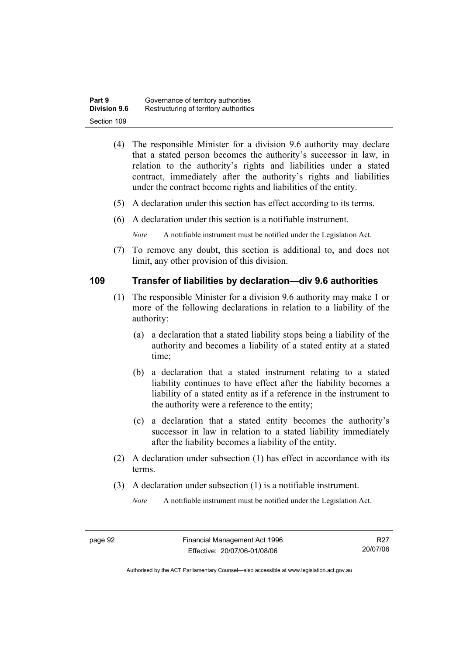| Part 9              | Governance of territory authorities    |
|---------------------|----------------------------------------|
| <b>Division 9.6</b> | Restructuring of territory authorities |
| Section 109         |                                        |

- (4) The responsible Minister for a division 9.6 authority may declare that a stated person becomes the authority's successor in law, in relation to the authority's rights and liabilities under a stated contract, immediately after the authority's rights and liabilities under the contract become rights and liabilities of the entity.
- (5) A declaration under this section has effect according to its terms.
- (6) A declaration under this section is a notifiable instrument.

*Note* A notifiable instrument must be notified under the Legislation Act.

 (7) To remove any doubt, this section is additional to, and does not limit, any other provision of this division.

### **109 Transfer of liabilities by declaration—div 9.6 authorities**

- (1) The responsible Minister for a division 9.6 authority may make 1 or more of the following declarations in relation to a liability of the authority:
	- (a) a declaration that a stated liability stops being a liability of the authority and becomes a liability of a stated entity at a stated time;
	- (b) a declaration that a stated instrument relating to a stated liability continues to have effect after the liability becomes a liability of a stated entity as if a reference in the instrument to the authority were a reference to the entity;
	- (c) a declaration that a stated entity becomes the authority's successor in law in relation to a stated liability immediately after the liability becomes a liability of the entity.
- (2) A declaration under subsection (1) has effect in accordance with its terms.
- (3) A declaration under subsection (1) is a notifiable instrument.

*Note* A notifiable instrument must be notified under the Legislation Act.

R27 20/07/06

Authorised by the ACT Parliamentary Counsel—also accessible at www.legislation.act.gov.au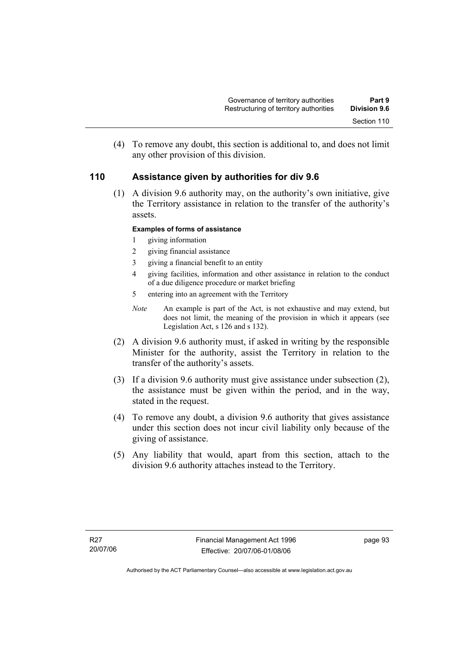(4) To remove any doubt, this section is additional to, and does not limit any other provision of this division.

### **110 Assistance given by authorities for div 9.6**

 (1) A division 9.6 authority may, on the authority's own initiative, give the Territory assistance in relation to the transfer of the authority's assets.

### **Examples of forms of assistance**

- 1 giving information
- 2 giving financial assistance
- 3 giving a financial benefit to an entity
- 4 giving facilities, information and other assistance in relation to the conduct of a due diligence procedure or market briefing
- 5 entering into an agreement with the Territory
- *Note* An example is part of the Act, is not exhaustive and may extend, but does not limit, the meaning of the provision in which it appears (see Legislation Act, s 126 and s 132).
- (2) A division 9.6 authority must, if asked in writing by the responsible Minister for the authority, assist the Territory in relation to the transfer of the authority's assets.
- (3) If a division 9.6 authority must give assistance under subsection (2), the assistance must be given within the period, and in the way, stated in the request.
- (4) To remove any doubt, a division 9.6 authority that gives assistance under this section does not incur civil liability only because of the giving of assistance.
- (5) Any liability that would, apart from this section, attach to the division 9.6 authority attaches instead to the Territory.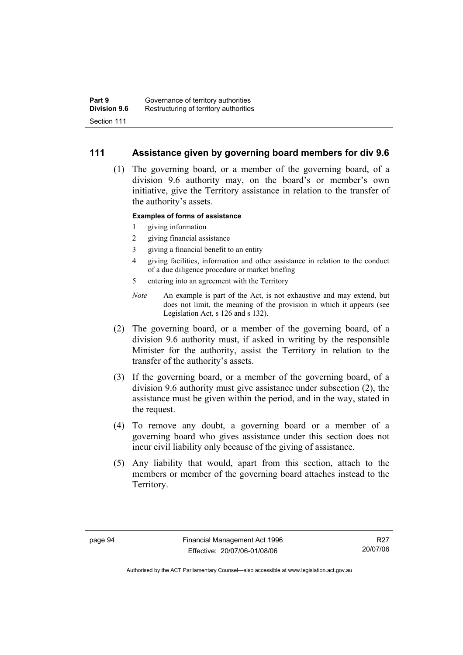### **111 Assistance given by governing board members for div 9.6**

 (1) The governing board, or a member of the governing board, of a division 9.6 authority may, on the board's or member's own initiative, give the Territory assistance in relation to the transfer of the authority's assets.

### **Examples of forms of assistance**

- 1 giving information
- 2 giving financial assistance
- 3 giving a financial benefit to an entity
- 4 giving facilities, information and other assistance in relation to the conduct of a due diligence procedure or market briefing
- 5 entering into an agreement with the Territory
- *Note* An example is part of the Act, is not exhaustive and may extend, but does not limit, the meaning of the provision in which it appears (see Legislation Act, s 126 and s 132).
- (2) The governing board, or a member of the governing board, of a division 9.6 authority must, if asked in writing by the responsible Minister for the authority, assist the Territory in relation to the transfer of the authority's assets.
- (3) If the governing board, or a member of the governing board, of a division 9.6 authority must give assistance under subsection (2), the assistance must be given within the period, and in the way, stated in the request.
- (4) To remove any doubt, a governing board or a member of a governing board who gives assistance under this section does not incur civil liability only because of the giving of assistance.
- (5) Any liability that would, apart from this section, attach to the members or member of the governing board attaches instead to the Territory.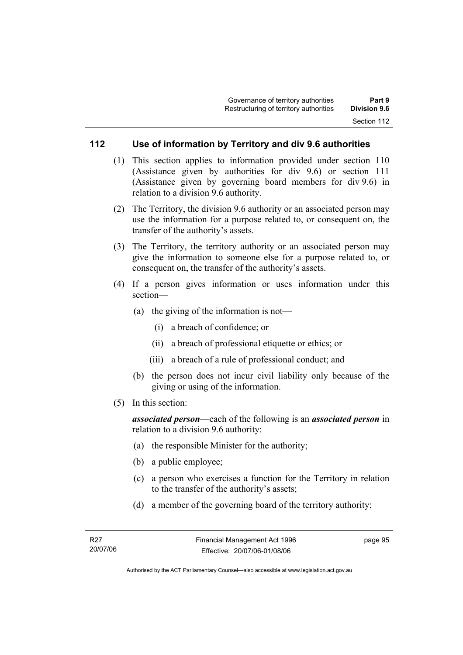### **112 Use of information by Territory and div 9.6 authorities**

- (1) This section applies to information provided under section 110 (Assistance given by authorities for div 9.6) or section 111 (Assistance given by governing board members for div 9.6) in relation to a division 9.6 authority.
- (2) The Territory, the division 9.6 authority or an associated person may use the information for a purpose related to, or consequent on, the transfer of the authority's assets.
- (3) The Territory, the territory authority or an associated person may give the information to someone else for a purpose related to, or consequent on, the transfer of the authority's assets.
- (4) If a person gives information or uses information under this section—
	- (a) the giving of the information is not—
		- (i) a breach of confidence; or
		- (ii) a breach of professional etiquette or ethics; or
		- (iii) a breach of a rule of professional conduct; and
	- (b) the person does not incur civil liability only because of the giving or using of the information.
- (5) In this section:

*associated person*—each of the following is an *associated person* in relation to a division 9.6 authority:

- (a) the responsible Minister for the authority;
- (b) a public employee;
- (c) a person who exercises a function for the Territory in relation to the transfer of the authority's assets;
- (d) a member of the governing board of the territory authority;

page 95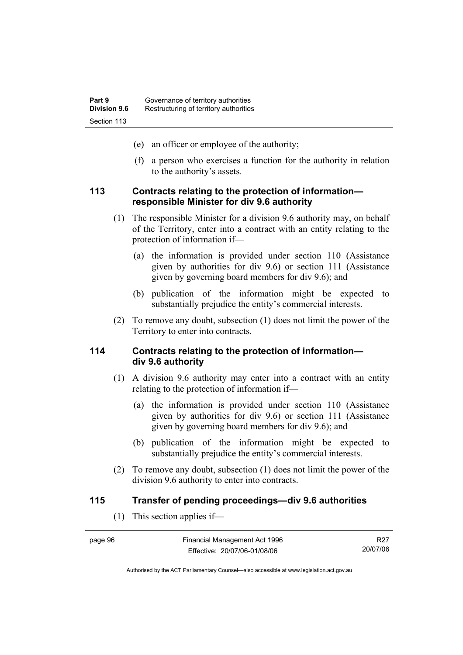- (e) an officer or employee of the authority;
- (f) a person who exercises a function for the authority in relation to the authority's assets.

### **113 Contracts relating to the protection of information responsible Minister for div 9.6 authority**

- (1) The responsible Minister for a division 9.6 authority may, on behalf of the Territory, enter into a contract with an entity relating to the protection of information if—
	- (a) the information is provided under section 110 (Assistance given by authorities for div 9.6) or section 111 (Assistance given by governing board members for div 9.6); and
	- (b) publication of the information might be expected to substantially prejudice the entity's commercial interests.
- (2) To remove any doubt, subsection (1) does not limit the power of the Territory to enter into contracts.

### **114 Contracts relating to the protection of information div 9.6 authority**

- (1) A division 9.6 authority may enter into a contract with an entity relating to the protection of information if—
	- (a) the information is provided under section 110 (Assistance given by authorities for div 9.6) or section 111 (Assistance given by governing board members for div 9.6); and
	- (b) publication of the information might be expected to substantially prejudice the entity's commercial interests.
- (2) To remove any doubt, subsection (1) does not limit the power of the division 9.6 authority to enter into contracts.

### **115 Transfer of pending proceedings—div 9.6 authorities**

(1) This section applies if—

| page 96 | Financial Management Act 1996 | R27      |
|---------|-------------------------------|----------|
|         | Effective: 20/07/06-01/08/06  | 20/07/06 |

Authorised by the ACT Parliamentary Counsel—also accessible at www.legislation.act.gov.au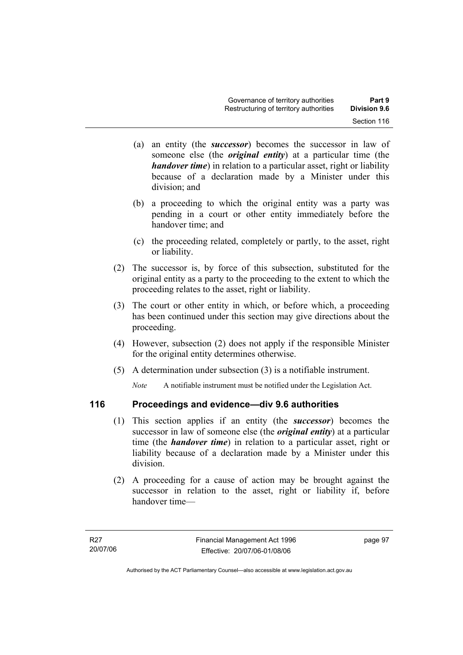- (a) an entity (the *successor*) becomes the successor in law of someone else (the *original entity*) at a particular time (the *handover time*) in relation to a particular asset, right or liability because of a declaration made by a Minister under this division; and
- (b) a proceeding to which the original entity was a party was pending in a court or other entity immediately before the handover time; and
- (c) the proceeding related, completely or partly, to the asset, right or liability.
- (2) The successor is, by force of this subsection, substituted for the original entity as a party to the proceeding to the extent to which the proceeding relates to the asset, right or liability.
- (3) The court or other entity in which, or before which, a proceeding has been continued under this section may give directions about the proceeding.
- (4) However, subsection (2) does not apply if the responsible Minister for the original entity determines otherwise.
- (5) A determination under subsection (3) is a notifiable instrument.

*Note* A notifiable instrument must be notified under the Legislation Act.

# **116 Proceedings and evidence—div 9.6 authorities**

- (1) This section applies if an entity (the *successor*) becomes the successor in law of someone else (the *original entity*) at a particular time (the *handover time*) in relation to a particular asset, right or liability because of a declaration made by a Minister under this division.
- (2) A proceeding for a cause of action may be brought against the successor in relation to the asset, right or liability if, before handover time—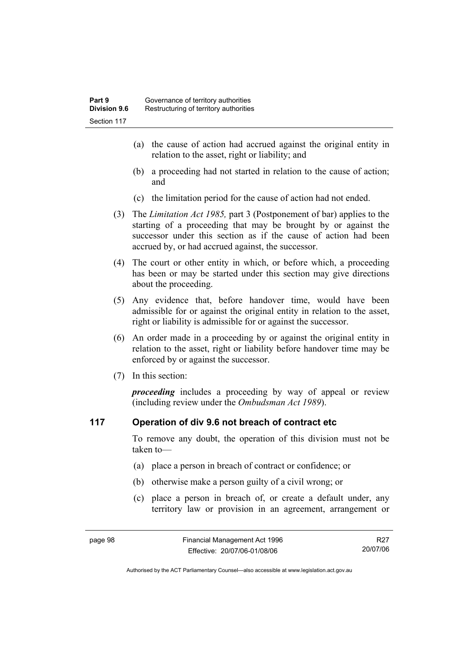- (a) the cause of action had accrued against the original entity in relation to the asset, right or liability; and
- (b) a proceeding had not started in relation to the cause of action; and
- (c) the limitation period for the cause of action had not ended.
- (3) The *Limitation Act 1985,* part 3 (Postponement of bar) applies to the starting of a proceeding that may be brought by or against the successor under this section as if the cause of action had been accrued by, or had accrued against, the successor.
- (4) The court or other entity in which, or before which, a proceeding has been or may be started under this section may give directions about the proceeding.
- (5) Any evidence that, before handover time, would have been admissible for or against the original entity in relation to the asset, right or liability is admissible for or against the successor.
- (6) An order made in a proceeding by or against the original entity in relation to the asset, right or liability before handover time may be enforced by or against the successor.
- (7) In this section:

*proceeding* includes a proceeding by way of appeal or review (including review under the *Ombudsman Act 1989*).

### **117 Operation of div 9.6 not breach of contract etc**

To remove any doubt, the operation of this division must not be taken to—

- (a) place a person in breach of contract or confidence; or
- (b) otherwise make a person guilty of a civil wrong; or
- (c) place a person in breach of, or create a default under, any territory law or provision in an agreement, arrangement or

R27 20/07/06

Authorised by the ACT Parliamentary Counsel—also accessible at www.legislation.act.gov.au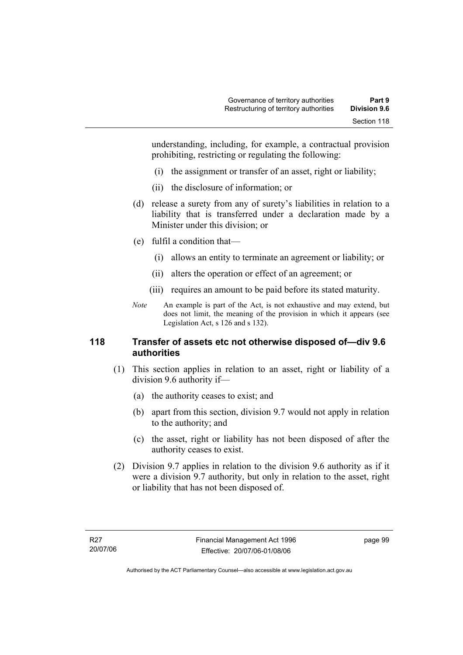understanding, including, for example, a contractual provision prohibiting, restricting or regulating the following:

- (i) the assignment or transfer of an asset, right or liability;
- (ii) the disclosure of information; or
- (d) release a surety from any of surety's liabilities in relation to a liability that is transferred under a declaration made by a Minister under this division; or
- (e) fulfil a condition that—
	- (i) allows an entity to terminate an agreement or liability; or
	- (ii) alters the operation or effect of an agreement; or
	- (iii) requires an amount to be paid before its stated maturity.
- *Note* An example is part of the Act, is not exhaustive and may extend, but does not limit, the meaning of the provision in which it appears (see Legislation Act, s 126 and s 132).

# **118 Transfer of assets etc not otherwise disposed of—div 9.6 authorities**

- (1) This section applies in relation to an asset, right or liability of a division 9.6 authority if—
	- (a) the authority ceases to exist; and
	- (b) apart from this section, division 9.7 would not apply in relation to the authority; and
	- (c) the asset, right or liability has not been disposed of after the authority ceases to exist.
- (2) Division 9.7 applies in relation to the division 9.6 authority as if it were a division 9.7 authority, but only in relation to the asset, right or liability that has not been disposed of.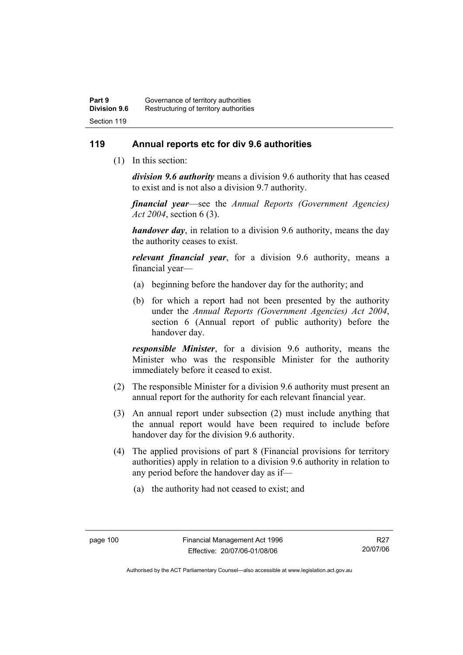# **119 Annual reports etc for div 9.6 authorities**

(1) In this section:

*division 9.6 authority* means a division 9.6 authority that has ceased to exist and is not also a division 9.7 authority.

*financial year*––see the *Annual Reports (Government Agencies) Act 2004*, section 6 (3).

*handover day*, in relation to a division 9.6 authority, means the day the authority ceases to exist.

*relevant financial year*, for a division 9.6 authority, means a financial year—

- (a) beginning before the handover day for the authority; and
- (b) for which a report had not been presented by the authority under the *Annual Reports (Government Agencies) Act 2004*, section 6 (Annual report of public authority) before the handover day.

*responsible Minister*, for a division 9.6 authority, means the Minister who was the responsible Minister for the authority immediately before it ceased to exist.

- (2) The responsible Minister for a division 9.6 authority must present an annual report for the authority for each relevant financial year.
- (3) An annual report under subsection (2) must include anything that the annual report would have been required to include before handover day for the division 9.6 authority.
- (4) The applied provisions of part 8 (Financial provisions for territory authorities) apply in relation to a division 9.6 authority in relation to any period before the handover day as if—
	- (a) the authority had not ceased to exist; and

R27 20/07/06

Authorised by the ACT Parliamentary Counsel—also accessible at www.legislation.act.gov.au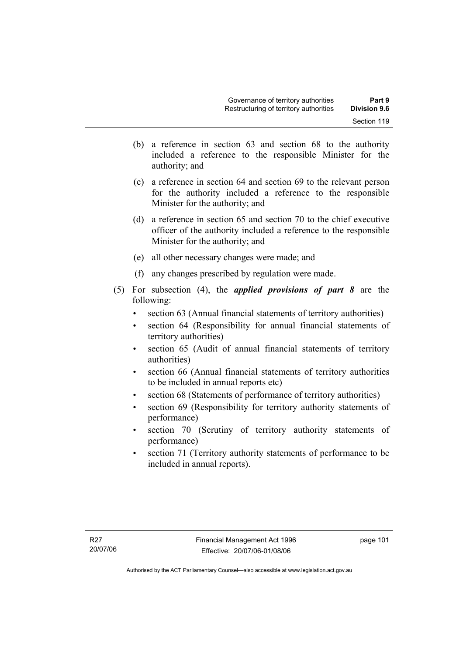- (b) a reference in section 63 and section 68 to the authority included a reference to the responsible Minister for the authority; and
- (c) a reference in section 64 and section 69 to the relevant person for the authority included a reference to the responsible Minister for the authority; and
- (d) a reference in section 65 and section 70 to the chief executive officer of the authority included a reference to the responsible Minister for the authority; and
- (e) all other necessary changes were made; and
- (f) any changes prescribed by regulation were made.
- (5) For subsection (4), the *applied provisions of part 8* are the following:
	- section 63 (Annual financial statements of territory authorities)
	- section 64 (Responsibility for annual financial statements of territory authorities)
	- section 65 (Audit of annual financial statements of territory authorities)
	- section 66 (Annual financial statements of territory authorities to be included in annual reports etc)
	- section 68 (Statements of performance of territory authorities)
	- section 69 (Responsibility for territory authority statements of performance)
	- section 70 (Scrutiny of territory authority statements of performance)
	- section 71 (Territory authority statements of performance to be included in annual reports).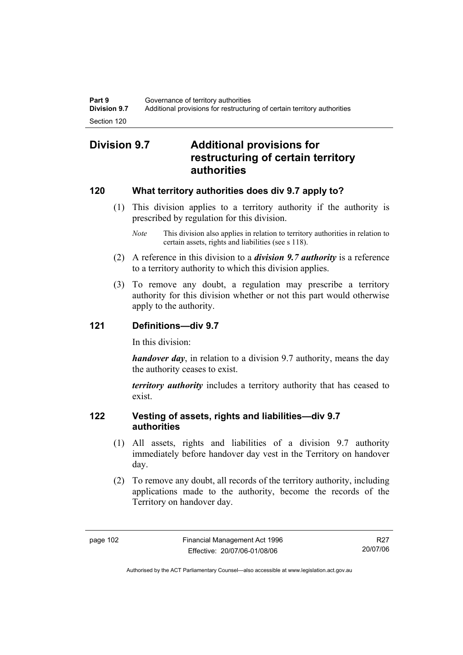# **Division 9.7 Additional provisions for restructuring of certain territory authorities**

# **120 What territory authorities does div 9.7 apply to?**

- (1) This division applies to a territory authority if the authority is prescribed by regulation for this division.
	- *Note* This division also applies in relation to territory authorities in relation to certain assets, rights and liabilities (see s 118).
- (2) A reference in this division to a *division 9.7 authority* is a reference to a territory authority to which this division applies.
- (3) To remove any doubt, a regulation may prescribe a territory authority for this division whether or not this part would otherwise apply to the authority.

# **121 Definitions—div 9.7**

In this division:

*handover day*, in relation to a division 9.7 authority, means the day the authority ceases to exist.

*territory authority* includes a territory authority that has ceased to exist.

# **122 Vesting of assets, rights and liabilities—div 9.7 authorities**

- (1) All assets, rights and liabilities of a division 9.7 authority immediately before handover day vest in the Territory on handover day.
- (2) To remove any doubt, all records of the territory authority, including applications made to the authority, become the records of the Territory on handover day.

R27 20/07/06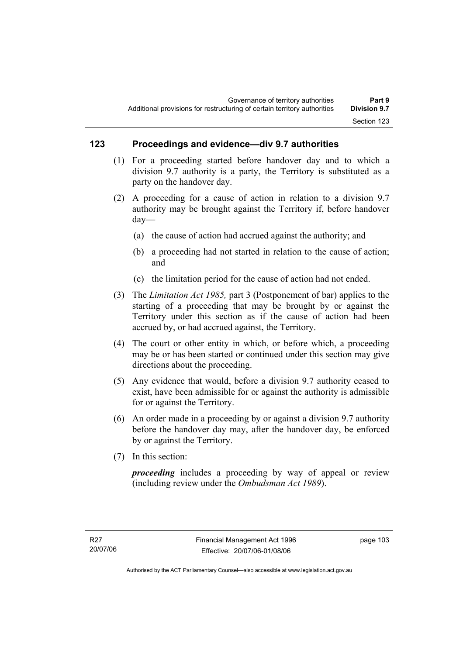# **123 Proceedings and evidence—div 9.7 authorities**

- (1) For a proceeding started before handover day and to which a division 9.7 authority is a party, the Territory is substituted as a party on the handover day.
- (2) A proceeding for a cause of action in relation to a division 9.7 authority may be brought against the Territory if, before handover day—
	- (a) the cause of action had accrued against the authority; and
	- (b) a proceeding had not started in relation to the cause of action; and
	- (c) the limitation period for the cause of action had not ended.
- (3) The *Limitation Act 1985,* part 3 (Postponement of bar) applies to the starting of a proceeding that may be brought by or against the Territory under this section as if the cause of action had been accrued by, or had accrued against, the Territory.
- (4) The court or other entity in which, or before which, a proceeding may be or has been started or continued under this section may give directions about the proceeding.
- (5) Any evidence that would, before a division 9.7 authority ceased to exist, have been admissible for or against the authority is admissible for or against the Territory.
- (6) An order made in a proceeding by or against a division 9.7 authority before the handover day may, after the handover day, be enforced by or against the Territory.
- (7) In this section:

*proceeding* includes a proceeding by way of appeal or review (including review under the *Ombudsman Act 1989*).

page 103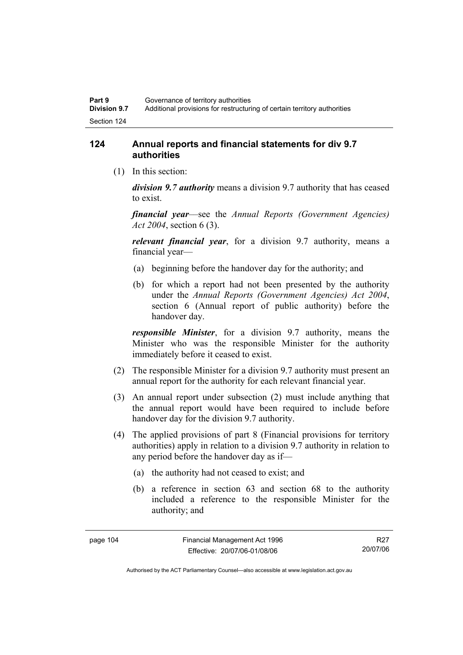# **124 Annual reports and financial statements for div 9.7 authorities**

(1) In this section:

*division 9.7 authority* means a division 9.7 authority that has ceased to exist.

*financial year*––see the *Annual Reports (Government Agencies) Act 2004*, section 6 (3).

*relevant financial year*, for a division 9.7 authority, means a financial year—

- (a) beginning before the handover day for the authority; and
- (b) for which a report had not been presented by the authority under the *Annual Reports (Government Agencies) Act 2004*, section 6 (Annual report of public authority) before the handover day.

*responsible Minister*, for a division 9.7 authority, means the Minister who was the responsible Minister for the authority immediately before it ceased to exist.

- (2) The responsible Minister for a division 9.7 authority must present an annual report for the authority for each relevant financial year.
- (3) An annual report under subsection (2) must include anything that the annual report would have been required to include before handover day for the division 9.7 authority.
- (4) The applied provisions of part 8 (Financial provisions for territory authorities) apply in relation to a division 9.7 authority in relation to any period before the handover day as if—
	- (a) the authority had not ceased to exist; and
	- (b) a reference in section 63 and section 68 to the authority included a reference to the responsible Minister for the authority; and

R27 20/07/06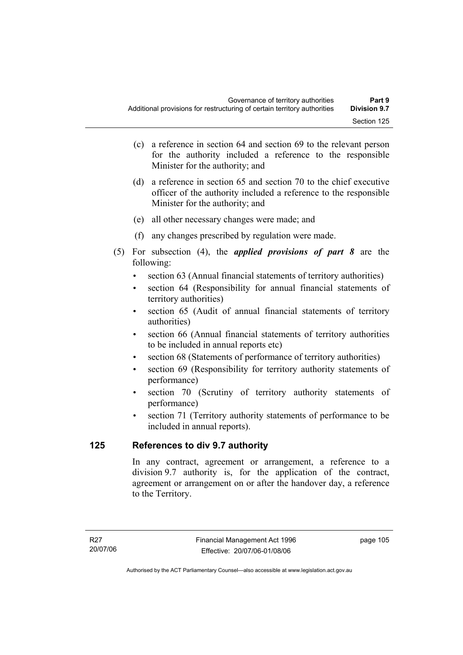- (c) a reference in section 64 and section 69 to the relevant person for the authority included a reference to the responsible Minister for the authority; and
- (d) a reference in section 65 and section 70 to the chief executive officer of the authority included a reference to the responsible Minister for the authority; and
- (e) all other necessary changes were made; and
- (f) any changes prescribed by regulation were made.
- (5) For subsection (4), the *applied provisions of part 8* are the following:
	- section 63 (Annual financial statements of territory authorities)
	- section 64 (Responsibility for annual financial statements of territory authorities)
	- section 65 (Audit of annual financial statements of territory authorities)
	- section 66 (Annual financial statements of territory authorities to be included in annual reports etc)
	- section 68 (Statements of performance of territory authorities)
	- section 69 (Responsibility for territory authority statements of performance)
	- section 70 (Scrutiny of territory authority statements of performance)
	- section 71 (Territory authority statements of performance to be included in annual reports).

# **125 References to div 9.7 authority**

In any contract, agreement or arrangement, a reference to a division 9.7 authority is, for the application of the contract, agreement or arrangement on or after the handover day, a reference to the Territory.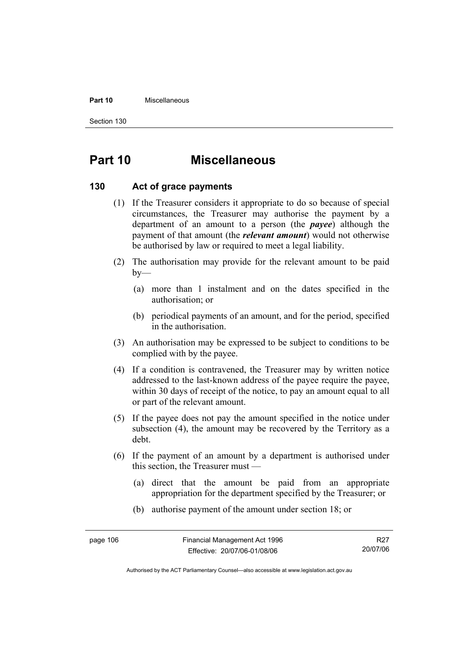### **Part 10** Miscellaneous

Section 130

# **Part 10 Miscellaneous**

## **130 Act of grace payments**

- (1) If the Treasurer considers it appropriate to do so because of special circumstances, the Treasurer may authorise the payment by a department of an amount to a person (the *payee*) although the payment of that amount (the *relevant amount*) would not otherwise be authorised by law or required to meet a legal liability.
- (2) The authorisation may provide for the relevant amount to be paid  $by-$ 
	- (a) more than 1 instalment and on the dates specified in the authorisation; or
	- (b) periodical payments of an amount, and for the period, specified in the authorisation.
- (3) An authorisation may be expressed to be subject to conditions to be complied with by the payee.
- (4) If a condition is contravened, the Treasurer may by written notice addressed to the last-known address of the payee require the payee, within 30 days of receipt of the notice, to pay an amount equal to all or part of the relevant amount.
- (5) If the payee does not pay the amount specified in the notice under subsection (4), the amount may be recovered by the Territory as a debt.
- (6) If the payment of an amount by a department is authorised under this section, the Treasurer must —
	- (a) direct that the amount be paid from an appropriate appropriation for the department specified by the Treasurer; or
	- (b) authorise payment of the amount under section 18; or

R27 20/07/06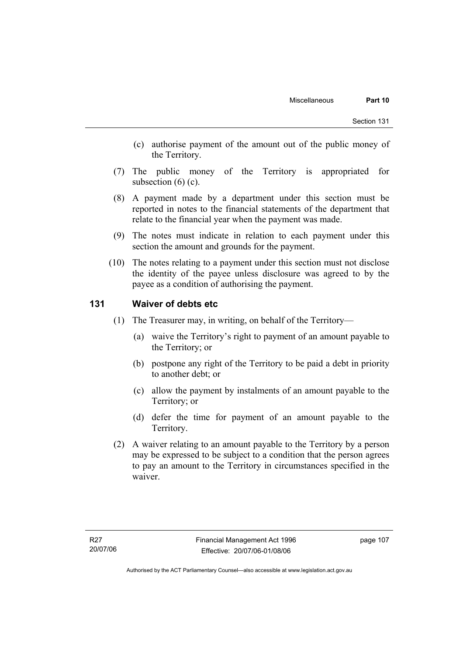- (c) authorise payment of the amount out of the public money of the Territory.
- (7) The public money of the Territory is appropriated for subsection  $(6)$   $(c)$ .
- (8) A payment made by a department under this section must be reported in notes to the financial statements of the department that relate to the financial year when the payment was made.
- (9) The notes must indicate in relation to each payment under this section the amount and grounds for the payment.
- (10) The notes relating to a payment under this section must not disclose the identity of the payee unless disclosure was agreed to by the payee as a condition of authorising the payment.

## **131 Waiver of debts etc**

- (1) The Treasurer may, in writing, on behalf of the Territory—
	- (a) waive the Territory's right to payment of an amount payable to the Territory; or
	- (b) postpone any right of the Territory to be paid a debt in priority to another debt; or
	- (c) allow the payment by instalments of an amount payable to the Territory; or
	- (d) defer the time for payment of an amount payable to the Territory.
- (2) A waiver relating to an amount payable to the Territory by a person may be expressed to be subject to a condition that the person agrees to pay an amount to the Territory in circumstances specified in the waiver.

page 107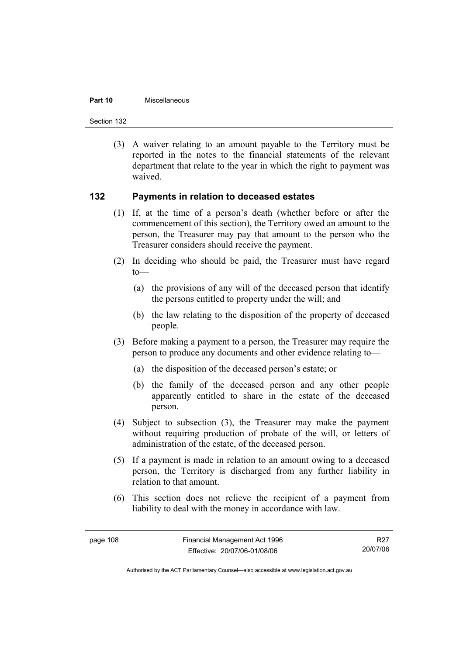#### **Part 10** Miscellaneous

Section 132

 (3) A waiver relating to an amount payable to the Territory must be reported in the notes to the financial statements of the relevant department that relate to the year in which the right to payment was waived.

## **132 Payments in relation to deceased estates**

- (1) If, at the time of a person's death (whether before or after the commencement of this section), the Territory owed an amount to the person, the Treasurer may pay that amount to the person who the Treasurer considers should receive the payment.
- (2) In deciding who should be paid, the Treasurer must have regard  $to$ —
	- (a) the provisions of any will of the deceased person that identify the persons entitled to property under the will; and
	- (b) the law relating to the disposition of the property of deceased people.
- (3) Before making a payment to a person, the Treasurer may require the person to produce any documents and other evidence relating to—
	- (a) the disposition of the deceased person's estate; or
	- (b) the family of the deceased person and any other people apparently entitled to share in the estate of the deceased person.
- (4) Subject to subsection (3), the Treasurer may make the payment without requiring production of probate of the will, or letters of administration of the estate, of the deceased person.
- (5) If a payment is made in relation to an amount owing to a deceased person, the Territory is discharged from any further liability in relation to that amount.
- (6) This section does not relieve the recipient of a payment from liability to deal with the money in accordance with law.

R27 20/07/06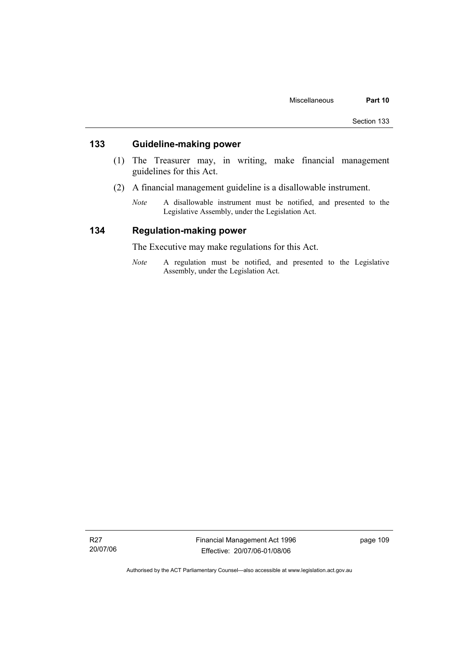# **133 Guideline-making power**

- (1) The Treasurer may, in writing, make financial management guidelines for this Act.
- (2) A financial management guideline is a disallowable instrument.
	- *Note* A disallowable instrument must be notified, and presented to the Legislative Assembly, under the Legislation Act.

# **134 Regulation-making power**

The Executive may make regulations for this Act.

*Note* A regulation must be notified, and presented to the Legislative Assembly, under the Legislation Act.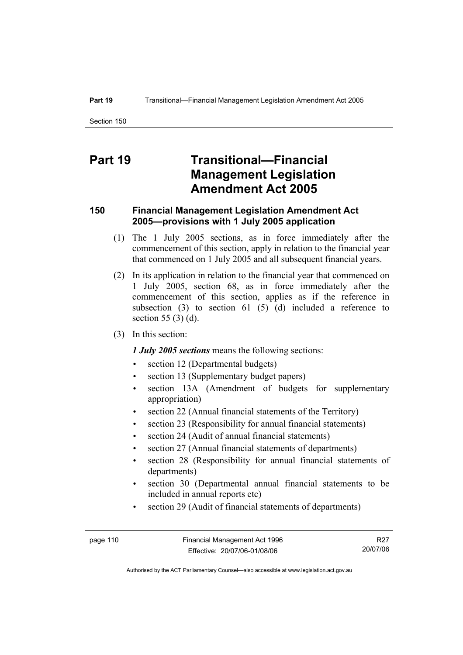# **Part 19 Transitional—Financial Management Legislation Amendment Act 2005**

# **150 Financial Management Legislation Amendment Act 2005—provisions with 1 July 2005 application**

- (1) The 1 July 2005 sections, as in force immediately after the commencement of this section, apply in relation to the financial year that commenced on 1 July 2005 and all subsequent financial years.
- (2) In its application in relation to the financial year that commenced on 1 July 2005, section 68, as in force immediately after the commencement of this section, applies as if the reference in subsection  $(3)$  to section  $61$   $(5)$   $(d)$  included a reference to section 55 (3) (d).
- (3) In this section:

### *1 July 2005 sections* means the following sections:

- section 12 (Departmental budgets)
- section 13 (Supplementary budget papers)
- section 13A (Amendment of budgets for supplementary appropriation)
- section 22 (Annual financial statements of the Territory)
- section 23 (Responsibility for annual financial statements)
- section 24 (Audit of annual financial statements)
- section 27 (Annual financial statements of departments)
- section 28 (Responsibility for annual financial statements of departments)
- section 30 (Departmental annual financial statements to be included in annual reports etc)
- section 29 (Audit of financial statements of departments)

R27 20/07/06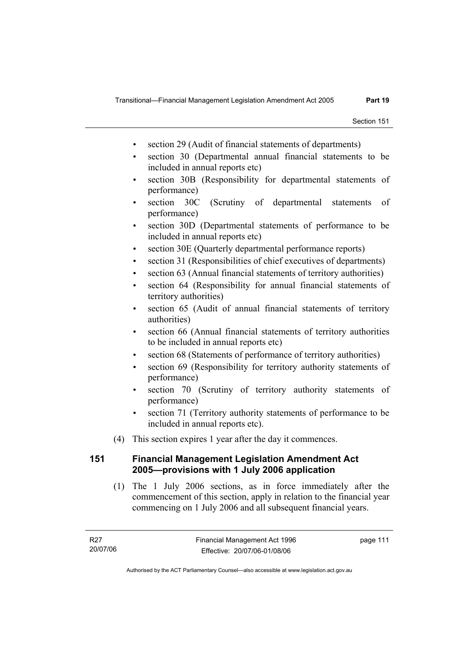- section 29 (Audit of financial statements of departments)
- section 30 (Departmental annual financial statements to be included in annual reports etc)
- section 30B (Responsibility for departmental statements of performance)
- section 30C (Scrutiny of departmental statements of performance)
- section 30D (Departmental statements of performance to be included in annual reports etc)
- section 30E (Quarterly departmental performance reports)
- section 31 (Responsibilities of chief executives of departments)
- section 63 (Annual financial statements of territory authorities)
- section 64 (Responsibility for annual financial statements of territory authorities)
- section 65 (Audit of annual financial statements of territory authorities)
- section 66 (Annual financial statements of territory authorities to be included in annual reports etc)
- section 68 (Statements of performance of territory authorities)
- section 69 (Responsibility for territory authority statements of performance)
- section 70 (Scrutiny of territory authority statements of performance)
- section 71 (Territory authority statements of performance to be included in annual reports etc).
- (4) This section expires 1 year after the day it commences.

# **151 Financial Management Legislation Amendment Act 2005—provisions with 1 July 2006 application**

 (1) The 1 July 2006 sections, as in force immediately after the commencement of this section, apply in relation to the financial year commencing on 1 July 2006 and all subsequent financial years.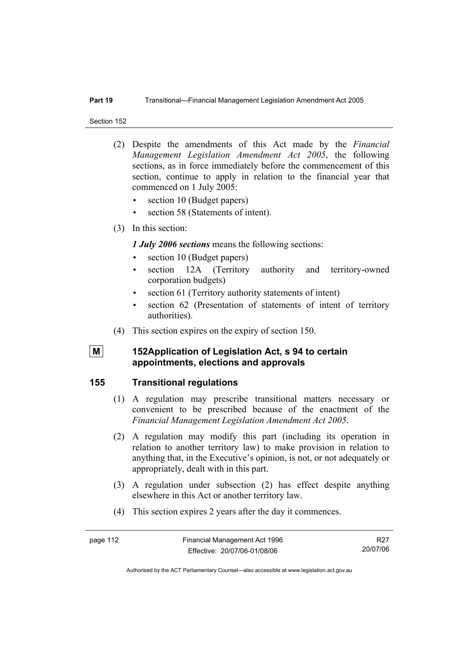### **Part 19** Transitional—Financial Management Legislation Amendment Act 2005

Section 152

- (2) Despite the amendments of this Act made by the *Financial Management Legislation Amendment Act 2005*, the following sections, as in force immediately before the commencement of this section, continue to apply in relation to the financial year that commenced on 1 July 2005:
	- section 10 (Budget papers)
	- section 58 (Statements of intent).
- (3) In this section:

*1 July 2006 sections* means the following sections:

- section 10 (Budget papers)
- section 12A (Territory authority and territory-owned corporation budgets)
- section 61 (Territory authority statements of intent)
- section 62 (Presentation of statements of intent of territory authorities).
- (4) This section expires on the expiry of section 150.
- 

# **M** 152Application of Legislation Act, s 94 to certain **appointments, elections and approvals**

## **155 Transitional regulations**

- (1) A regulation may prescribe transitional matters necessary or convenient to be prescribed because of the enactment of the *Financial Management Legislation Amendment Act 2005*.
- (2) A regulation may modify this part (including its operation in relation to another territory law) to make provision in relation to anything that, in the Executive's opinion, is not, or not adequately or appropriately, dealt with in this part.
- (3) A regulation under subsection (2) has effect despite anything elsewhere in this Act or another territory law.
- (4) This section expires 2 years after the day it commences.

R27 20/07/06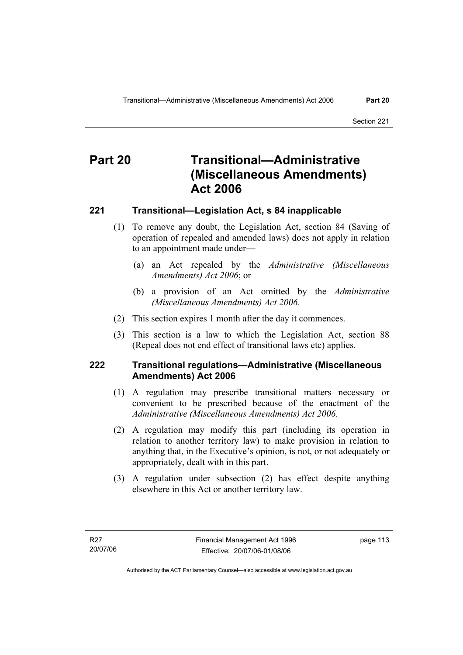# **Part 20 Transitional—Administrative (Miscellaneous Amendments) Act 2006**

# **221 Transitional—Legislation Act, s 84 inapplicable**

- (1) To remove any doubt, the Legislation Act, section 84 (Saving of operation of repealed and amended laws) does not apply in relation to an appointment made under—
	- (a) an Act repealed by the *Administrative (Miscellaneous Amendments) Act 2006*; or
	- (b) a provision of an Act omitted by the *Administrative (Miscellaneous Amendments) Act 2006*.
- (2) This section expires 1 month after the day it commences.
- (3) This section is a law to which the Legislation Act, section 88 (Repeal does not end effect of transitional laws etc) applies.

# **222 Transitional regulations—Administrative (Miscellaneous Amendments) Act 2006**

- (1) A regulation may prescribe transitional matters necessary or convenient to be prescribed because of the enactment of the *Administrative (Miscellaneous Amendments) Act 2006*.
- (2) A regulation may modify this part (including its operation in relation to another territory law) to make provision in relation to anything that, in the Executive's opinion, is not, or not adequately or appropriately, dealt with in this part.
- (3) A regulation under subsection (2) has effect despite anything elsewhere in this Act or another territory law.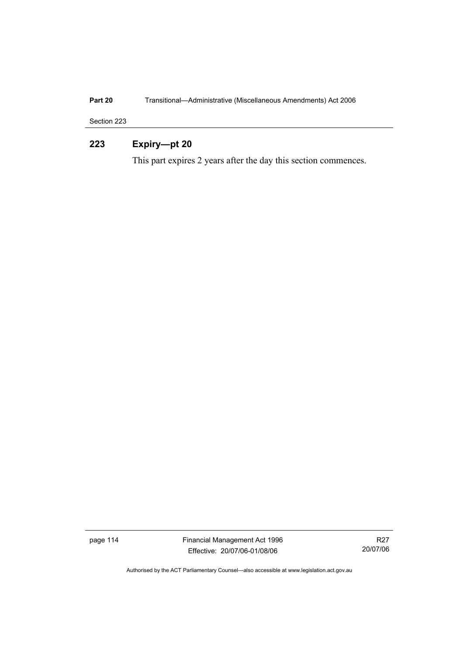# **Part 20 Transitional—Administrative (Miscellaneous Amendments) Act 2006**

Section 223

# **223 Expiry—pt 20**

This part expires 2 years after the day this section commences.

page 114 Financial Management Act 1996 Effective: 20/07/06-01/08/06

R27 20/07/06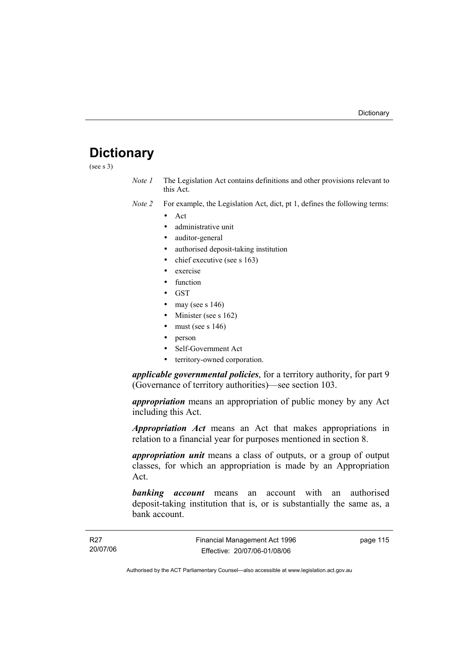# **Dictionary**

(see s 3)

- *Note 1* The Legislation Act contains definitions and other provisions relevant to this Act.
- *Note 2* For example, the Legislation Act, dict, pt 1, defines the following terms:
	- Act
		- administrative unit
		- auditor-general
		- authorised deposit-taking institution
		- chief executive (see s 163)
		- exercise
		- **function**
		- GST
		- may (see s  $146$ )
		- Minister (see s 162)
		- must (see s  $146$ )
		- person
		- Self-Government Act
		- territory-owned corporation.

*applicable governmental policies*, for a territory authority, for part 9 (Governance of territory authorities)—see section 103.

*appropriation* means an appropriation of public money by any Act including this Act.

*Appropriation Act* means an Act that makes appropriations in relation to a financial year for purposes mentioned in section 8.

*appropriation unit* means a class of outputs, or a group of output classes, for which an appropriation is made by an Appropriation Act.

*banking account* means an account with an authorised deposit-taking institution that is, or is substantially the same as, a bank account.

page 115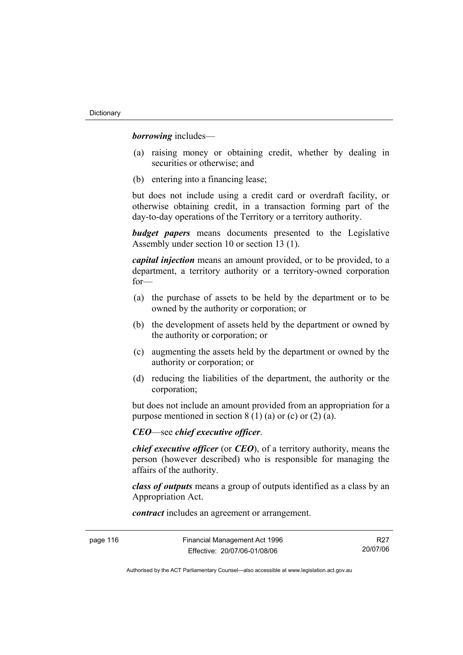*borrowing* includes—

- (a) raising money or obtaining credit, whether by dealing in securities or otherwise; and
- (b) entering into a financing lease;

but does not include using a credit card or overdraft facility, or otherwise obtaining credit, in a transaction forming part of the day-to-day operations of the Territory or a territory authority.

*budget papers* means documents presented to the Legislative Assembly under section 10 or section 13 (1).

*capital injection* means an amount provided, or to be provided, to a department, a territory authority or a territory-owned corporation for—

- (a) the purchase of assets to be held by the department or to be owned by the authority or corporation; or
- (b) the development of assets held by the department or owned by the authority or corporation; or
- (c) augmenting the assets held by the department or owned by the authority or corporation; or
- (d) reducing the liabilities of the department, the authority or the corporation;

but does not include an amount provided from an appropriation for a purpose mentioned in section  $8(1)(a)$  or (c) or (2) (a).

*CEO*—see *chief executive officer*.

*chief executive officer* (or *CEO*), of a territory authority, means the person (however described) who is responsible for managing the affairs of the authority.

*class of outputs* means a group of outputs identified as a class by an Appropriation Act.

*contract* includes an agreement or arrangement.

R27 20/07/06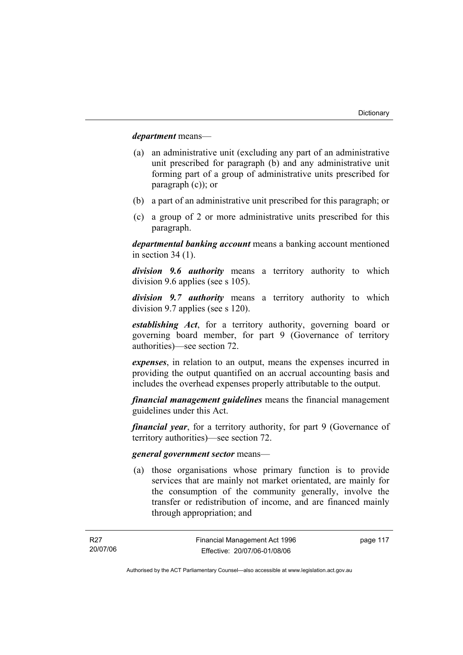*department* means—

- (a) an administrative unit (excluding any part of an administrative unit prescribed for paragraph (b) and any administrative unit forming part of a group of administrative units prescribed for paragraph (c)); or
- (b) a part of an administrative unit prescribed for this paragraph; or
- (c) a group of 2 or more administrative units prescribed for this paragraph.

*departmental banking account* means a banking account mentioned in section 34 (1).

*division 9.6 authority* means a territory authority to which division 9.6 applies (see s 105).

*division 9.7 authority* means a territory authority to which division 9.7 applies (see s 120).

*establishing Act*, for a territory authority, governing board or governing board member, for part 9 (Governance of territory authorities)—see section 72.

*expenses*, in relation to an output, means the expenses incurred in providing the output quantified on an accrual accounting basis and includes the overhead expenses properly attributable to the output.

*financial management guidelines* means the financial management guidelines under this Act.

*financial year*, for a territory authority, for part 9 (Governance of territory authorities)—see section 72.

### *general government sector* means—

 (a) those organisations whose primary function is to provide services that are mainly not market orientated, are mainly for the consumption of the community generally, involve the transfer or redistribution of income, and are financed mainly through appropriation; and

page 117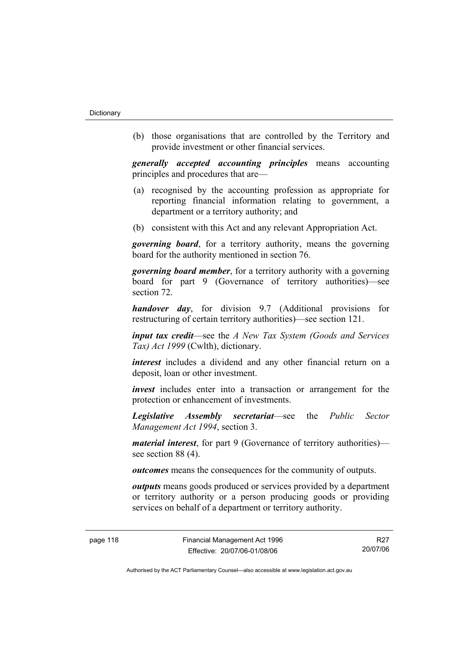(b) those organisations that are controlled by the Territory and provide investment or other financial services.

*generally accepted accounting principles* means accounting principles and procedures that are—

- (a) recognised by the accounting profession as appropriate for reporting financial information relating to government, a department or a territory authority; and
- (b) consistent with this Act and any relevant Appropriation Act.

*governing board*, for a territory authority, means the governing board for the authority mentioned in section 76.

*governing board member*, for a territory authority with a governing board for part 9 (Governance of territory authorities)—see section 72.

*handover day*, for division 9.7 (Additional provisions for restructuring of certain territory authorities)—see section 121.

*input tax credit*—see the *A New Tax System (Goods and Services Tax) Act 1999* (Cwlth), dictionary.

*interest* includes a dividend and any other financial return on a deposit, loan or other investment.

*invest* includes enter into a transaction or arrangement for the protection or enhancement of investments.

*Legislative Assembly secretariat*—see the *Public Sector Management Act 1994*, section 3.

*material interest*, for part 9 (Governance of territory authorities) see section 88 (4).

*outcomes* means the consequences for the community of outputs.

*outputs* means goods produced or services provided by a department or territory authority or a person producing goods or providing services on behalf of a department or territory authority.

R27 20/07/06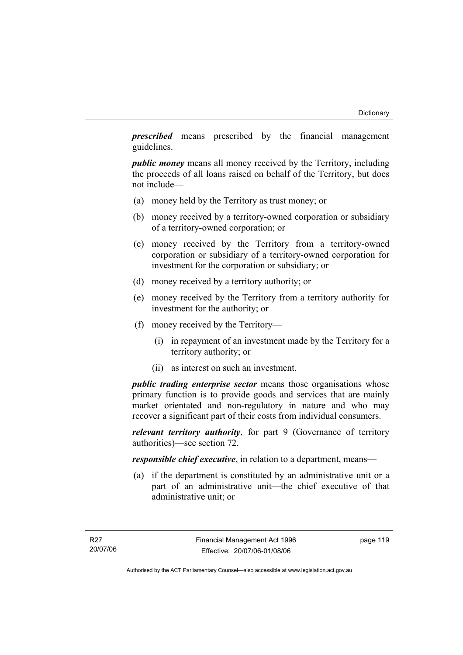*prescribed* means prescribed by the financial management guidelines.

*public money* means all money received by the Territory, including the proceeds of all loans raised on behalf of the Territory, but does not include—

- (a) money held by the Territory as trust money; or
- (b) money received by a territory-owned corporation or subsidiary of a territory-owned corporation; or
- (c) money received by the Territory from a territory-owned corporation or subsidiary of a territory-owned corporation for investment for the corporation or subsidiary; or
- (d) money received by a territory authority; or
- (e) money received by the Territory from a territory authority for investment for the authority; or
- (f) money received by the Territory—
	- (i) in repayment of an investment made by the Territory for a territory authority; or
	- (ii) as interest on such an investment.

*public trading enterprise sector* means those organisations whose primary function is to provide goods and services that are mainly market orientated and non-regulatory in nature and who may recover a significant part of their costs from individual consumers.

*relevant territory authority*, for part 9 (Governance of territory authorities)—see section 72.

*responsible chief executive*, in relation to a department, means—

 (a) if the department is constituted by an administrative unit or a part of an administrative unit—the chief executive of that administrative unit; or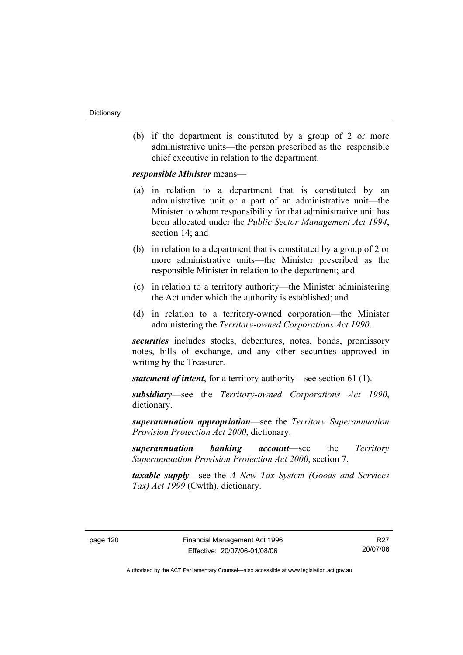(b) if the department is constituted by a group of 2 or more administrative units—the person prescribed as the responsible chief executive in relation to the department.

*responsible Minister* means—

- (a) in relation to a department that is constituted by an administrative unit or a part of an administrative unit—the Minister to whom responsibility for that administrative unit has been allocated under the *Public Sector Management Act 1994*, section 14; and
- (b) in relation to a department that is constituted by a group of 2 or more administrative units—the Minister prescribed as the responsible Minister in relation to the department; and
- (c) in relation to a territory authority—the Minister administering the Act under which the authority is established; and
- (d) in relation to a territory-owned corporation—the Minister administering the *Territory-owned Corporations Act 1990*.

*securities* includes stocks, debentures, notes, bonds, promissory notes, bills of exchange, and any other securities approved in writing by the Treasurer.

*statement of intent*, for a territory authority—see section 61 (1).

*subsidiary*—see the *Territory-owned Corporations Act 1990*, dictionary.

*superannuation appropriation*—see the *Territory Superannuation Provision Protection Act 2000*, dictionary.

*superannuation banking account*—see the *Territory Superannuation Provision Protection Act 2000*, section 7.

*taxable supply*—see the *A New Tax System (Goods and Services Tax) Act 1999* (Cwlth), dictionary.

R27 20/07/06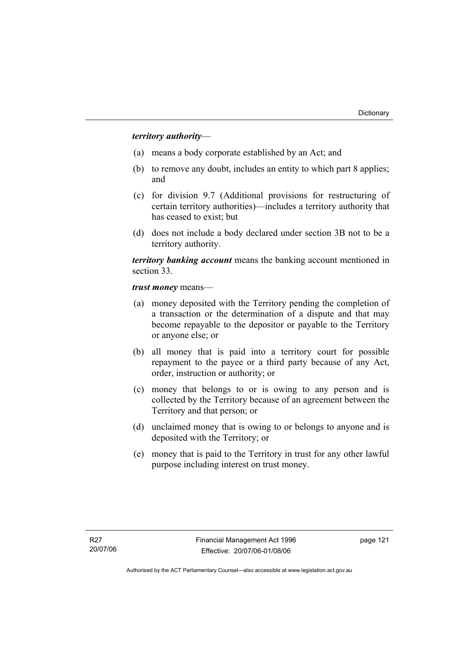## *territory authority*—

- (a) means a body corporate established by an Act; and
- (b) to remove any doubt, includes an entity to which part 8 applies; and
- (c) for division 9.7 (Additional provisions for restructuring of certain territory authorities)—includes a territory authority that has ceased to exist; but
- (d) does not include a body declared under section 3B not to be a territory authority.

*territory banking account* means the banking account mentioned in section 33.

*trust money* means—

- (a) money deposited with the Territory pending the completion of a transaction or the determination of a dispute and that may become repayable to the depositor or payable to the Territory or anyone else; or
- (b) all money that is paid into a territory court for possible repayment to the payee or a third party because of any Act, order, instruction or authority; or
- (c) money that belongs to or is owing to any person and is collected by the Territory because of an agreement between the Territory and that person; or
- (d) unclaimed money that is owing to or belongs to anyone and is deposited with the Territory; or
- (e) money that is paid to the Territory in trust for any other lawful purpose including interest on trust money.

page 121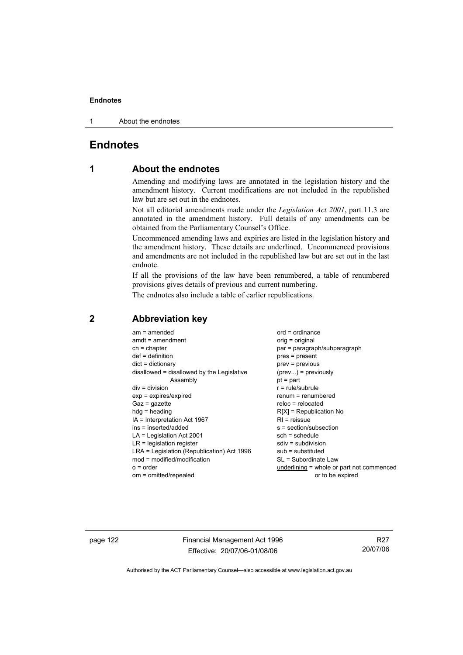1 About the endnotes

# **Endnotes**

# **1 About the endnotes**

Amending and modifying laws are annotated in the legislation history and the amendment history. Current modifications are not included in the republished law but are set out in the endnotes.

Not all editorial amendments made under the *Legislation Act 2001*, part 11.3 are annotated in the amendment history. Full details of any amendments can be obtained from the Parliamentary Counsel's Office.

Uncommenced amending laws and expiries are listed in the legislation history and the amendment history. These details are underlined. Uncommenced provisions and amendments are not included in the republished law but are set out in the last endnote.

If all the provisions of the law have been renumbered, a table of renumbered provisions gives details of previous and current numbering.

The endnotes also include a table of earlier republications.

| $am = amended$<br>$amdt = amendment$<br>$ch = chapter$<br>$def = definition$<br>$dict = dictionary$<br>disallowed = disallowed by the Legislative<br>Assembly<br>$div = division$<br>$exp = expires/expired$<br>$Gaz = gazette$<br>$hdg = heading$<br>$IA = Interpretation Act 1967$<br>ins = inserted/added<br>$LA =$ Legislation Act 2001<br>$LR =$ legislation register<br>LRA = Legislation (Republication) Act 1996<br>$mod = modified/modification$<br>$o = order$ | $ord = ordinance$<br>$orig = original$<br>par = paragraph/subparagraph<br>$pres = present$<br>$prev = previous$<br>$(\text{prev}) = \text{previously}$<br>$pt = part$<br>$r = rule/subrule$<br>renum = renumbered<br>$reloc = relocated$<br>$R[X]$ = Republication No<br>$RI =$ reissue<br>s = section/subsection<br>$sch = schedule$<br>$sdiv = subdivision$<br>$sub =$ substituted<br>SL = Subordinate Law |
|--------------------------------------------------------------------------------------------------------------------------------------------------------------------------------------------------------------------------------------------------------------------------------------------------------------------------------------------------------------------------------------------------------------------------------------------------------------------------|--------------------------------------------------------------------------------------------------------------------------------------------------------------------------------------------------------------------------------------------------------------------------------------------------------------------------------------------------------------------------------------------------------------|
| om = omitted/repealed                                                                                                                                                                                                                                                                                                                                                                                                                                                    | underlining = whole or part not commenced<br>or to be expired                                                                                                                                                                                                                                                                                                                                                |
|                                                                                                                                                                                                                                                                                                                                                                                                                                                                          |                                                                                                                                                                                                                                                                                                                                                                                                              |

## **2 Abbreviation key**

page 122 Financial Management Act 1996 Effective: 20/07/06-01/08/06

R27 20/07/06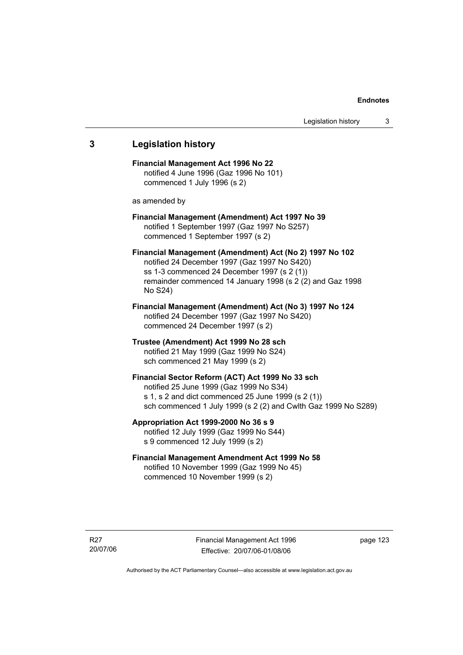# **3 Legislation history Financial Management Act 1996 No 22**  notified 4 June 1996 (Gaz 1996 No 101) commenced 1 July 1996 (s 2) as amended by **Financial Management (Amendment) Act 1997 No 39**  notified 1 September 1997 (Gaz 1997 No S257) commenced 1 September 1997 (s 2) **Financial Management (Amendment) Act (No 2) 1997 No 102**  notified 24 December 1997 (Gaz 1997 No S420) ss 1-3 commenced 24 December 1997 (s 2 (1)) remainder commenced 14 January 1998 (s 2 (2) and Gaz 1998 No S24) **Financial Management (Amendment) Act (No 3) 1997 No 124**  notified 24 December 1997 (Gaz 1997 No S420) commenced 24 December 1997 (s 2) **Trustee (Amendment) Act 1999 No 28 sch**  notified 21 May 1999 (Gaz 1999 No S24) sch commenced 21 May 1999 (s 2) **Financial Sector Reform (ACT) Act 1999 No 33 sch**  notified 25 June 1999 (Gaz 1999 No S34) s 1, s 2 and dict commenced 25 June 1999 (s 2 (1)) sch commenced 1 July 1999 (s 2 (2) and Cwlth Gaz 1999 No S289) **Appropriation Act 1999-2000 No 36 s 9**  notified 12 July 1999 (Gaz 1999 No S44) s 9 commenced 12 July 1999 (s 2) **Financial Management Amendment Act 1999 No 58**  notified 10 November 1999 (Gaz 1999 No 45) commenced 10 November 1999 (s 2)

Financial Management Act 1996 Effective: 20/07/06-01/08/06

page 123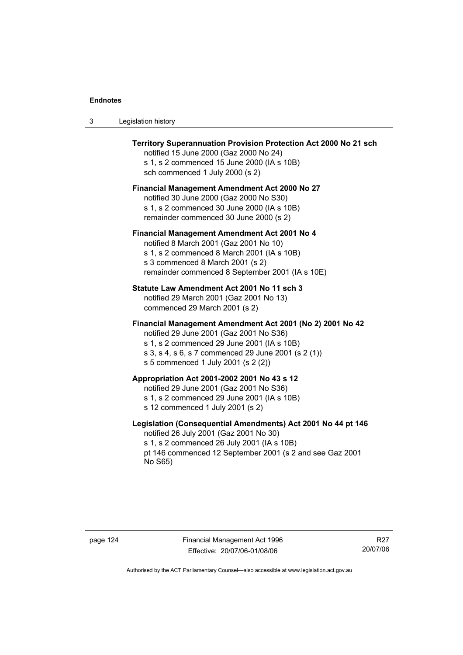| Legislation history<br>-3 |  |
|---------------------------|--|
|---------------------------|--|

| Territory Superannuation Provision Protection Act 2000 No 21 sch<br>notified 15 June 2000 (Gaz 2000 No 24)<br>s 1, s 2 commenced 15 June 2000 (IA s 10B)<br>sch commenced 1 July 2000 (s 2)                                                      |  |  |
|--------------------------------------------------------------------------------------------------------------------------------------------------------------------------------------------------------------------------------------------------|--|--|
| <b>Financial Management Amendment Act 2000 No 27</b><br>notified 30 June 2000 (Gaz 2000 No S30)<br>s 1, s 2 commenced 30 June 2000 (IA s 10B)<br>remainder commenced 30 June 2000 (s 2)                                                          |  |  |
| Financial Management Amendment Act 2001 No 4<br>notified 8 March 2001 (Gaz 2001 No 10)<br>s 1, s 2 commenced 8 March 2001 (IA s 10B)<br>s 3 commenced 8 March 2001 (s 2)<br>remainder commenced 8 September 2001 (IA s 10E)                      |  |  |
| Statute Law Amendment Act 2001 No 11 sch 3<br>notified 29 March 2001 (Gaz 2001 No 13)<br>commenced 29 March 2001 (s 2)                                                                                                                           |  |  |
| Financial Management Amendment Act 2001 (No 2) 2001 No 42<br>notified 29 June 2001 (Gaz 2001 No S36)<br>s 1, s 2 commenced 29 June 2001 (IA s 10B)<br>s 3, s 4, s 6, s 7 commenced 29 June 2001 (s 2 (1))<br>s 5 commenced 1 July 2001 (s 2 (2)) |  |  |
| Appropriation Act 2001-2002 2001 No 43 s 12<br>notified 29 June 2001 (Gaz 2001 No S36)<br>s 1, s 2 commenced 29 June 2001 (IA s 10B)<br>s 12 commenced 1 July 2001 (s 2)                                                                         |  |  |
| Legislation (Consequential Amendments) Act 2001 No 44 pt 146<br>notified 26 July 2001 (Gaz 2001 No 30)<br>s 1, s 2 commenced 26 July 2001 (IA s 10B)<br>pt 146 commenced 12 September 2001 (s 2 and see Gaz 2001<br>No S65)                      |  |  |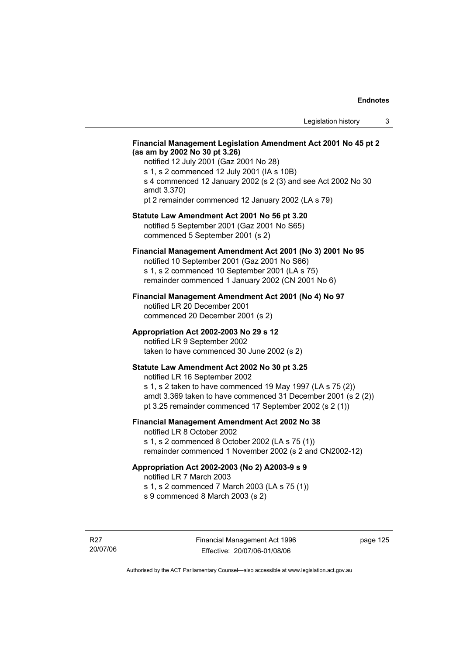### **Financial Management Legislation Amendment Act 2001 No 45 pt 2 (as am by 2002 No 30 pt 3.26)**

notified 12 July 2001 (Gaz 2001 No 28) s 1, s 2 commenced 12 July 2001 (IA s 10B) s 4 commenced 12 January 2002 (s 2 (3) and see Act 2002 No 30 amdt 3.370) pt 2 remainder commenced 12 January 2002 (LA s 79)

### **Statute Law Amendment Act 2001 No 56 pt 3.20**

notified 5 September 2001 (Gaz 2001 No S65) commenced 5 September 2001 (s 2)

# **Financial Management Amendment Act 2001 (No 3) 2001 No 95**

notified 10 September 2001 (Gaz 2001 No S66) s 1, s 2 commenced 10 September 2001 (LA s 75) remainder commenced 1 January 2002 (CN 2001 No 6)

### **Financial Management Amendment Act 2001 (No 4) No 97**

notified LR 20 December 2001 commenced 20 December 2001 (s 2)

### **Appropriation Act 2002-2003 No 29 s 12**

notified LR 9 September 2002 taken to have commenced 30 June 2002 (s 2)

### **Statute Law Amendment Act 2002 No 30 pt 3.25**

notified LR 16 September 2002 s 1, s 2 taken to have commenced 19 May 1997 (LA s 75 (2)) amdt 3.369 taken to have commenced 31 December 2001 (s 2 (2)) pt 3.25 remainder commenced 17 September 2002 (s 2 (1))

### **Financial Management Amendment Act 2002 No 38**

notified LR 8 October 2002 s 1, s 2 commenced 8 October 2002 (LA s 75 (1))

# remainder commenced 1 November 2002 (s 2 and CN2002-12)

### **Appropriation Act 2002-2003 (No 2) A2003-9 s 9**

notified LR 7 March 2003

s 1, s 2 commenced 7 March 2003 (LA s 75 (1))

s 9 commenced 8 March 2003 (s 2)

R27 20/07/06 page 125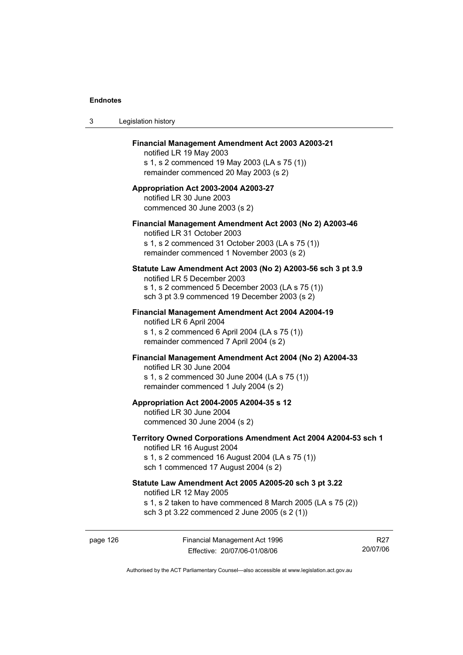$3$ 

| Legislation history                                                                                                                                                                              |
|--------------------------------------------------------------------------------------------------------------------------------------------------------------------------------------------------|
| <b>Financial Management Amendment Act 2003 A2003-21</b><br>notified LR 19 May 2003<br>s 1, s 2 commenced 19 May 2003 (LA s 75 (1))<br>remainder commenced 20 May 2003 (s 2)                      |
| Appropriation Act 2003-2004 A2003-27<br>notified LR 30 June 2003<br>commenced 30 June 2003 (s 2)                                                                                                 |
| Financial Management Amendment Act 2003 (No 2) A2003-46<br>notified LR 31 October 2003<br>s 1, s 2 commenced 31 October 2003 (LA s 75 (1))<br>remainder commenced 1 November 2003 (s 2)          |
| Statute Law Amendment Act 2003 (No 2) A2003-56 sch 3 pt 3.9<br>notified LR 5 December 2003<br>s 1, s 2 commenced 5 December 2003 (LA s 75 (1))<br>sch 3 pt 3.9 commenced 19 December 2003 (s 2)  |
| Financial Management Amendment Act 2004 A2004-19<br>notified LR 6 April 2004<br>s 1, s 2 commenced 6 April 2004 (LA s 75 (1))<br>remainder commenced 7 April 2004 (s 2)                          |
| Financial Management Amendment Act 2004 (No 2) A2004-33<br>notified LR 30 June 2004<br>s 1, s 2 commenced 30 June 2004 (LA s 75 (1))<br>remainder commenced 1 July 2004 (s 2)                    |
| Appropriation Act 2004-2005 A2004-35 s 12<br>notified LR 30 June 2004<br>commenced 30 June 2004 (s 2)                                                                                            |
| Territory Owned Corporations Amendment Act 2004 A2004-53 sch 1<br>notified LR 16 August 2004<br>s 1, s 2 commenced 16 August 2004 (LA s 75 (1))<br>sch 1 commenced 17 August 2004 (s 2)          |
| Statute Law Amendment Act 2005 A2005-20 sch 3 pt 3.22<br>notified LR 12 May 2005<br>s 1, s 2 taken to have commenced 8 March 2005 (LA s 75 (2))<br>sch 3 pt 3.22 commenced 2 June 2005 (s 2 (1)) |
|                                                                                                                                                                                                  |

page 126 Financial Management Act 1996 Effective: 20/07/06-01/08/06

R27 20/07/06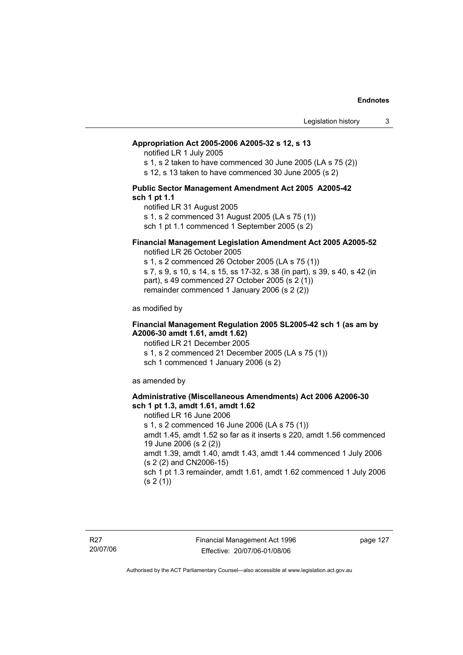#### **Appropriation Act 2005-2006 A2005-32 s 12, s 13**

notified LR 1 July 2005

s 1, s 2 taken to have commenced 30 June 2005 (LA s 75 (2))

s 12, s 13 taken to have commenced 30 June 2005 (s 2)

### **Public Sector Management Amendment Act 2005 A2005-42 sch 1 pt 1.1**

notified LR 31 August 2005 s 1, s 2 commenced 31 August 2005 (LA s 75 (1)) sch 1 pt 1.1 commenced 1 September 2005 (s 2)

### **Financial Management Legislation Amendment Act 2005 A2005-52**

notified LR 26 October 2005

s 1, s 2 commenced 26 October 2005 (LA s 75 (1)) s 7, s 9, s 10, s 14, s 15, ss 17-32, s 38 (in part), s 39, s 40, s 42 (in part), s 49 commenced 27 October 2005 (s 2 (1)) remainder commenced 1 January 2006 (s 2 (2))

as modified by

### **Financial Management Regulation 2005 SL2005-42 sch 1 (as am by A2006-30 amdt 1.61, amdt 1.62)**

notified LR 21 December 2005 s 1, s 2 commenced 21 December 2005 (LA s 75 (1)) sch 1 commenced 1 January 2006 (s 2)

as amended by

### **Administrative (Miscellaneous Amendments) Act 2006 A2006-30 sch 1 pt 1.3, amdt 1.61, amdt 1.62**

notified LR 16 June 2006 s 1, s 2 commenced 16 June 2006 (LA s 75 (1)) amdt 1.45, amdt 1.52 so far as it inserts s 220, amdt 1.56 commenced 19 June 2006 (s 2 (2)) amdt 1.39, amdt 1.40, amdt 1.43, amdt 1.44 commenced 1 July 2006 (s 2 (2) and CN2006-15) sch 1 pt 1.3 remainder, amdt 1.61, amdt 1.62 commenced 1 July 2006  $(s 2(1))$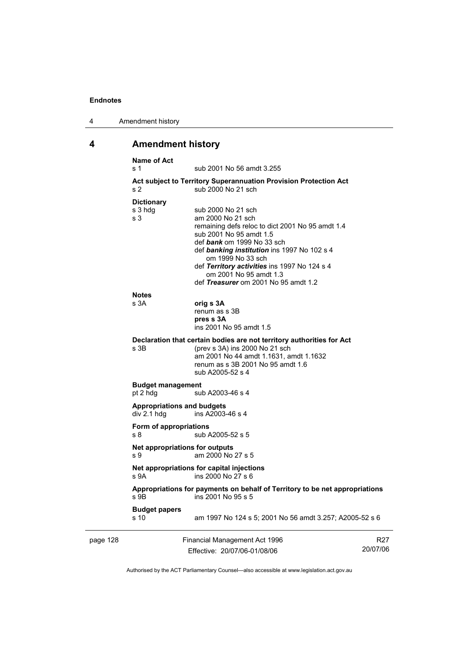| 4 | Amendment history |
|---|-------------------|
|---|-------------------|

# **4 Amendment history**

|          | <b>Name of Act</b><br>s 1                                               | sub 2001 No 56 amdt 3.255                                                                                                                                                                                                                                                                                                                  |                 |
|----------|-------------------------------------------------------------------------|--------------------------------------------------------------------------------------------------------------------------------------------------------------------------------------------------------------------------------------------------------------------------------------------------------------------------------------------|-----------------|
|          | s <sub>2</sub>                                                          | Act subject to Territory Superannuation Provision Protection Act<br>sub 2000 No 21 sch                                                                                                                                                                                                                                                     |                 |
|          | <b>Dictionary</b><br>s 3 hdg<br>s <sub>3</sub>                          | sub 2000 No 21 sch<br>am 2000 No 21 sch<br>remaining defs reloc to dict 2001 No 95 amdt 1.4<br>sub 2001 No 95 amdt 1.5<br>def bank om 1999 No 33 sch<br>def banking institution ins 1997 No 102 s 4<br>om 1999 No 33 sch<br>def Territory activities ins 1997 No 124 s 4<br>om 2001 No 95 amdt 1.3<br>def Treasurer om 2001 No 95 amdt 1.2 |                 |
|          | <b>Notes</b><br>s 3A                                                    | orig s 3A<br>renum as s 3B<br>pres s 3A<br>ins 2001 No 95 amdt 1.5                                                                                                                                                                                                                                                                         |                 |
|          | s 3B                                                                    | Declaration that certain bodies are not territory authorities for Act<br>(prev s 3A) ins 2000 No 21 sch<br>am 2001 No 44 amdt 1.1631, amdt 1.1632<br>renum as s 3B 2001 No 95 amdt 1.6<br>sub A2005-52 s 4                                                                                                                                 |                 |
|          | <b>Budget management</b><br>pt 2 hdg<br>sub A2003-46 s 4                |                                                                                                                                                                                                                                                                                                                                            |                 |
|          | <b>Appropriations and budgets</b><br>div 2.1 hdg                        | ins A2003-46 s 4                                                                                                                                                                                                                                                                                                                           |                 |
|          | Form of appropriations<br>s 8                                           | sub A2005-52 s 5                                                                                                                                                                                                                                                                                                                           |                 |
|          | Net appropriations for outputs<br>s 9                                   | am 2000 No 27 s 5                                                                                                                                                                                                                                                                                                                          |                 |
|          | Net appropriations for capital injections<br>s 9A<br>ins 2000 No 27 s 6 |                                                                                                                                                                                                                                                                                                                                            |                 |
|          | $S$ 9B                                                                  | Appropriations for payments on behalf of Territory to be net appropriations<br>ins 2001 No 95 s 5                                                                                                                                                                                                                                          |                 |
|          | <b>Budget papers</b><br>s 10                                            | am 1997 No 124 s 5; 2001 No 56 amdt 3.257; A2005-52 s 6                                                                                                                                                                                                                                                                                    |                 |
| page 128 |                                                                         | Financial Management Act 1996                                                                                                                                                                                                                                                                                                              | R <sub>27</sub> |

Effective: 20/07/06-01/08/06

20/07/06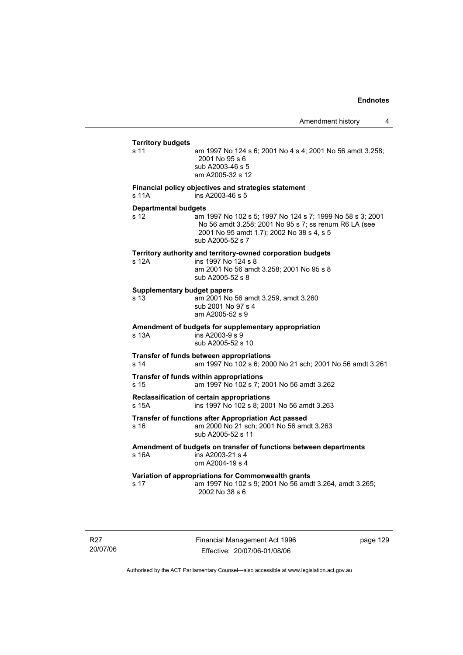### **Territory budgets**  s 11 am 1997 No 124 s 6; 2001 No 4 s 4; 2001 No 56 amdt 3.258; 2001 No 95 s 6 sub A2003-46 s 5 am A2005-32 s 12 **Financial policy objectives and strategies statement**  s 11A ins A2003-46 s 5 **Departmental budgets** s 12 am 1997 No 102 s 5; 1997 No 124 s 7; 1999 No 58 s 3; 2001 No 56 amdt 3.258; 2001 No 95 s 7; ss renum R6 LA (see 2001 No 95 amdt 1.7); 2002 No 38 s 4, s 5 sub A2005-52 s 7 **Territory authority and territory-owned corporation budgets**  s 12A ins 1997 No 124 s 8 am 2001 No 56 amdt 3.258; 2001 No 95 s 8 sub A2005-52 s 8 **Supplementary budget papers**  s 13 am 2001 No 56 amdt 3.259, amdt 3.260 sub 2001 No 97 s 4 am A2005-52 s 9 **Amendment of budgets for supplementary appropriation**  s 13A ins A2003-9 s 9 sub A2005-52 s 10 **Transfer of funds between appropriations** s 14 am 1997 No 102 s 6; 2000 No 21 sch; 2001 No 56 amdt 3.261 **Transfer of funds within appropriations** s 15 am 1997 No 102 s 7; 2001 No 56 amdt 3.262 **Reclassification of certain appropriations** s 15A ins 1997 No 102 s 8; 2001 No 56 amdt 3.263 **Transfer of functions after Appropriation Act passed**  s 16 am 2000 No 21 sch; 2001 No 56 amdt 3.263 sub A2005-52 s 11 **Amendment of budgets on transfer of functions between departments**   $ins$  A2003-21 s 4 om A2004-19 s 4 **Variation of appropriations for Commonwealth grants** s 17 am 1997 No 102 s 9; 2001 No 56 amdt 3.264, amdt 3.265; 2002 No 38 s 6

R27 20/07/06 Financial Management Act 1996 Effective: 20/07/06-01/08/06

page 129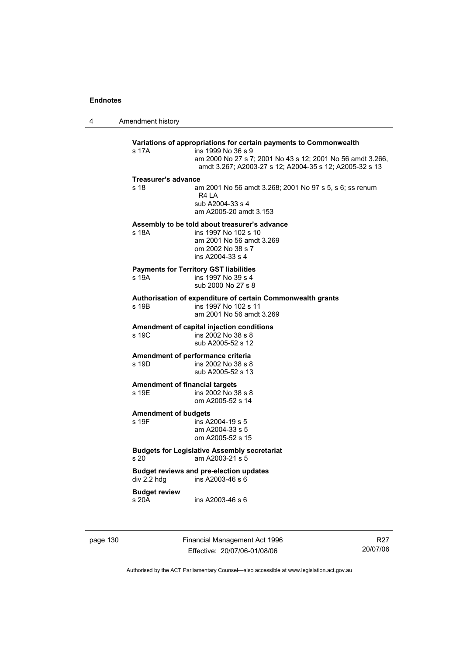4 Amendment history

## **Variations of appropriations for certain payments to Commonwealth** s 17A ins 1999 No 36 s 9 am 2000 No 27 s 7; 2001 No 43 s 12; 2001 No 56 amdt 3.266, amdt 3.267; A2003-27 s 12; A2004-35 s 12; A2005-32 s 13 **Treasurer's advance**  s 18 am 2001 No 56 amdt 3.268; 2001 No 97 s 5, s 6; ss renum R4 LA sub A2004-33 s 4 am A2005-20 amdt 3.153 **Assembly to be told about treasurer's advance** s 18A ins 1997 No 102 s 10 am 2001 No 56 amdt 3.269 om 2002 No 38 s 7 ins A2004-33 s 4 **Payments for Territory GST liabilities** ins 1997 No 39 s 4 sub 2000 No 27 s 8 **Authorisation of expenditure of certain Commonwealth grants**  s 19B ins 1997 No 102 s 11 am 2001 No 56 amdt 3.269 **Amendment of capital injection conditions**  ins 2002 No 38 s 8 sub A2005-52 s 12 **Amendment of performance criteria**<br>s 19D ins 2002 No 38 s 8 ins 2002 No 38 s 8 sub A2005-52 s 13 **Amendment of financial targets**  s 19E ins 2002 No 38 s 8 om A2005-52 s 14 **Amendment of budgets**   $ins$  A2004-19 s 5 am A2004-33 s 5 om A2005-52 s 15 **Budgets for Legislative Assembly secretariat**  s 20 am A2003-21 s 5 **Budget reviews and pre-election updates**  div 2.2 hdg ins A2003-46 s 6 **Budget review**  s 20A ins A2003-46 s 6

page 130 Financial Management Act 1996 Effective: 20/07/06-01/08/06

R27 20/07/06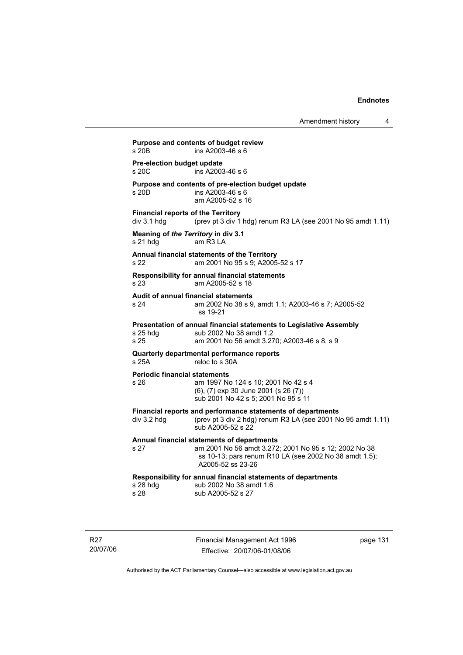| Pre-election budget update                   |                                                                                                                                                                                    |
|----------------------------------------------|------------------------------------------------------------------------------------------------------------------------------------------------------------------------------------|
| s 20C                                        | ins A2003-46 s 6                                                                                                                                                                   |
| s 20D                                        | Purpose and contents of pre-election budget update<br>ins A2003-46 s 6<br>am A2005-52 s 16                                                                                         |
| div 3.1 hdg                                  | <b>Financial reports of the Territory</b><br>(prev pt 3 div 1 hdg) renum R3 LA (see 2001 No 95 amdt 1.11)                                                                          |
| s 21 hdg                                     | Meaning of the Territory in div 3.1<br>$am$ R3 I A                                                                                                                                 |
| s 22                                         | Annual financial statements of the Territory<br>am 2001 No 95 s 9; A2005-52 s 17                                                                                                   |
| s 23                                         | Responsibility for annual financial statements<br>am A2005-52 s 18                                                                                                                 |
| s 24                                         | Audit of annual financial statements<br>am 2002 No 38 s 9, amdt 1.1; A2003-46 s 7; A2005-52<br>ss 19-21                                                                            |
| s 25 hda<br>s 25                             | Presentation of annual financial statements to Legislative Assembly<br>sub 2002 No 38 amdt 1.2<br>am 2001 No 56 amdt 3.270; A2003-46 s 8, s 9                                      |
| s 25A                                        | Quarterly departmental performance reports<br>reloc to s 30A                                                                                                                       |
| <b>Periodic financial statements</b><br>s 26 | am 1997 No 124 s 10; 2001 No 42 s 4<br>(6), (7) exp 30 June 2001 (s 26 (7))<br>sub 2001 No 42 s 5; 2001 No 95 s 11                                                                 |
| div 3.2 hdg                                  | Financial reports and performance statements of departments<br>(prev pt 3 div 2 hdg) renum R3 LA (see 2001 No 95 amdt 1.11)<br>sub A2005-52 s 22                                   |
| s 27                                         | Annual financial statements of departments<br>am 2001 No 56 amdt 3.272; 2001 No 95 s 12; 2002 No 38<br>ss 10-13; pars renum R10 LA (see 2002 No 38 amdt 1.5);<br>A2005-52 ss 23-26 |
| s 28 hdg<br>s 28                             | Responsibility for annual financial statements of departments<br>sub 2002 No 38 amdt 1.6<br>sub A2005-52 s 27                                                                      |

R27 20/07/06 Financial Management Act 1996 Effective: 20/07/06-01/08/06

page 131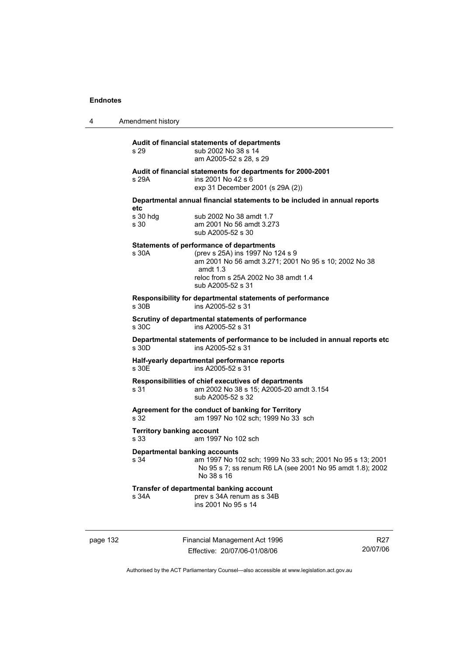4 Amendment history

## **Audit of financial statements of departments**  s 29 sub 2002 No 38 s 14 am A2005-52 s 28, s 29 **Audit of financial statements for departments for 2000-2001**  s 29A ins 2001 No 42 s 6 exp 31 December 2001 (s 29A (2)) **Departmental annual financial statements to be included in annual reports etc**  sub 2002 No 38 amdt 1.7 s 30 am 2001 No 56 amdt 3.273 sub A2005-52 s 30 **Statements of performance of departments**  s 30A (prev s 25A) ins 1997 No 124 s 9 am 2001 No 56 amdt 3.271; 2001 No 95 s 10; 2002 No 38 amdt 1.3 reloc from s 25A 2002 No 38 amdt 1.4 sub A2005-52 s 31 **Responsibility for departmental statements of performance**  s 30B ins A2005-52 s 31 **Scrutiny of departmental statements of performance**  s 30C ins A2005-52 s 31 **Departmental statements of performance to be included in annual reports etc**  s 30D ins A2005-52 s 31 **Half-yearly departmental performance reports**  s 30E ins A2005-52 s 31 **Responsibilities of chief executives of departments**  s 31 am 2002 No 38 s 15; A2005-20 amdt 3.154 sub A2005-52 s 32 **Agreement for the conduct of banking for Territory** s 32 am 1997 No 102 sch; 1999 No 33 sch **Territory banking account** s 33 am 1997 No 102 sch **Departmental banking accounts**  s 34 am 1997 No 102 sch; 1999 No 33 sch; 2001 No 95 s 13; 2001 No 95 s 7; ss renum R6 LA (see 2001 No 95 amdt 1.8); 2002 No 38 s 16 **Transfer of departmental banking account**  s 34A **prev s 34A renum as s 34B** ins 2001 No 95 s 14

page 132 Financial Management Act 1996 Effective: 20/07/06-01/08/06

R27 20/07/06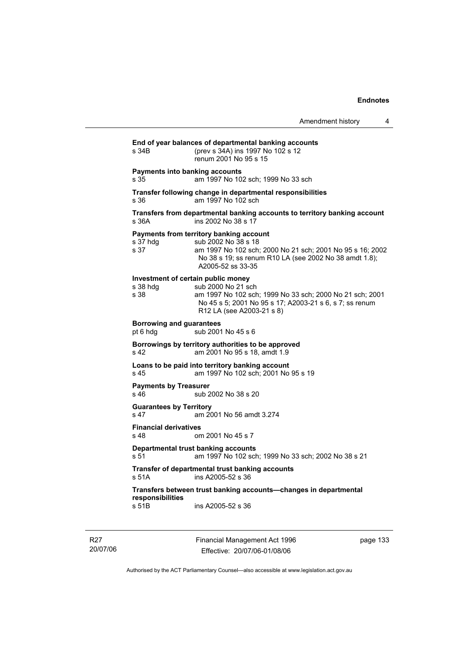| Amendment history |  |
|-------------------|--|
|-------------------|--|

| s 34B                                                  | (prev s 34A) ins 1997 No 102 s 12<br>renum 2001 No 95 s 15                                                                                                                                                 |
|--------------------------------------------------------|------------------------------------------------------------------------------------------------------------------------------------------------------------------------------------------------------------|
| <b>Payments into banking accounts</b><br>s 35          | am 1997 No 102 sch; 1999 No 33 sch                                                                                                                                                                         |
| s 36                                                   | Transfer following change in departmental responsibilities<br>am 1997 No 102 sch                                                                                                                           |
| s 36A                                                  | Transfers from departmental banking accounts to territory banking account<br>ins 2002 No 38 s 17                                                                                                           |
| s 37 hdg<br>s <sub>37</sub>                            | Payments from territory banking account<br>sub 2002 No 38 s 18<br>am 1997 No 102 sch; 2000 No 21 sch; 2001 No 95 s 16; 2002<br>No 38 s 19; ss renum R10 LA (see 2002 No 38 amdt 1.8);<br>A2005-52 ss 33-35 |
| Investment of certain public money<br>s 38 hdg<br>s 38 | sub 2000 No 21 sch<br>am 1997 No 102 sch; 1999 No 33 sch; 2000 No 21 sch; 2001<br>No 45 s 5; 2001 No 95 s 17; A2003-21 s 6, s 7; ss renum<br>R12 LA (see A2003-21 s 8)                                     |
| <b>Borrowing and guarantees</b><br>pt 6 hdg            | sub 2001 No 45 s 6                                                                                                                                                                                         |
| s 42                                                   | Borrowings by territory authorities to be approved<br>am 2001 No 95 s 18, amdt 1.9                                                                                                                         |
| s 45                                                   | Loans to be paid into territory banking account<br>am 1997 No 102 sch; 2001 No 95 s 19                                                                                                                     |
| <b>Payments by Treasurer</b><br>s <sub>46</sub>        | sub 2002 No 38 s 20                                                                                                                                                                                        |
| <b>Guarantees by Territory</b><br>s 47                 | am 2001 No 56 amdt 3.274                                                                                                                                                                                   |
| <b>Financial derivatives</b><br>s <sub>48</sub>        | om 2001 No 45 s 7                                                                                                                                                                                          |
| s 51                                                   | <b>Departmental trust banking accounts</b><br>am 1997 No 102 sch; 1999 No 33 sch; 2002 No 38 s 21                                                                                                          |
| s 51A                                                  | Transfer of departmental trust banking accounts<br>ins A2005-52 s 36                                                                                                                                       |
| responsibilities<br>s 51B                              | Transfers between trust banking accounts-changes in departmental<br>ins A2005-52 s 36                                                                                                                      |

R27 20/07/06 Financial Management Act 1996 Effective: 20/07/06-01/08/06

page 133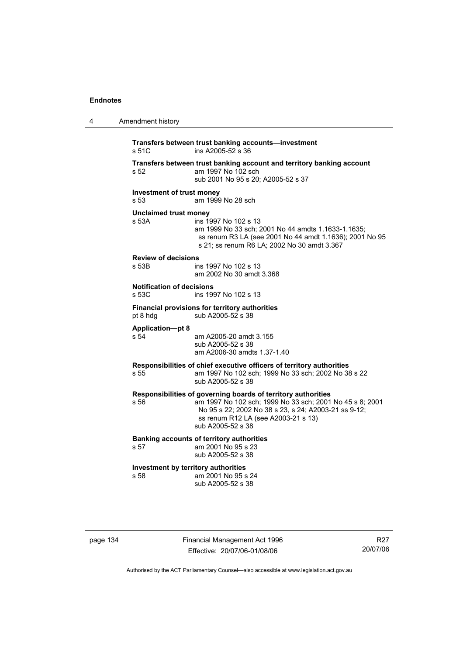| 4 | Amendment history                           |                                                                                                                                                                                                                                               |
|---|---------------------------------------------|-----------------------------------------------------------------------------------------------------------------------------------------------------------------------------------------------------------------------------------------------|
|   | s 51C                                       | Transfers between trust banking accounts-investment<br>ins A2005-52 s 36                                                                                                                                                                      |
|   | s 52                                        | Transfers between trust banking account and territory banking account<br>am 1997 No 102 sch<br>sub 2001 No 95 s 20; A2005-52 s 37                                                                                                             |
|   | Investment of trust money<br>s 53           | am 1999 No 28 sch                                                                                                                                                                                                                             |
|   | Unclaimed trust money<br>s 53A              | ins 1997 No 102 s 13<br>am 1999 No 33 sch; 2001 No 44 amdts 1.1633-1.1635;<br>ss renum R3 LA (see 2001 No 44 amdt 1.1636); 2001 No 95<br>s 21; ss renum R6 LA; 2002 No 30 amdt 3.367                                                          |
|   | <b>Review of decisions</b><br>s 53B         | ins 1997 No 102 s 13<br>am 2002 No 30 amdt 3.368                                                                                                                                                                                              |
|   | <b>Notification of decisions</b><br>s 53C   | ins 1997 No 102 s 13                                                                                                                                                                                                                          |
|   | pt 8 hdg                                    | Financial provisions for territory authorities<br>sub A2005-52 s 38                                                                                                                                                                           |
|   | <b>Application-pt 8</b><br>s 54             | am A2005-20 amdt 3.155<br>sub A2005-52 s 38<br>am A2006-30 amdts 1.37-1.40                                                                                                                                                                    |
|   | s 55                                        | Responsibilities of chief executive officers of territory authorities<br>am 1997 No 102 sch; 1999 No 33 sch; 2002 No 38 s 22<br>sub A2005-52 s 38                                                                                             |
|   | s 56                                        | Responsibilities of governing boards of territory authorities<br>am 1997 No 102 sch; 1999 No 33 sch; 2001 No 45 s 8; 2001<br>No 95 s 22; 2002 No 38 s 23, s 24; A2003-21 ss 9-12;<br>ss renum R12 LA (see A2003-21 s 13)<br>sub A2005-52 s 38 |
|   | s 57                                        | <b>Banking accounts of territory authorities</b><br>am 2001 No 95 s 23<br>sub A2005-52 s 38                                                                                                                                                   |
|   | Investment by territory authorities<br>s 58 | am 2001 No 95 s 24<br>sub A2005-52 s 38                                                                                                                                                                                                       |
|   |                                             |                                                                                                                                                                                                                                               |

page 134 Financial Management Act 1996 Effective: 20/07/06-01/08/06

R27 20/07/06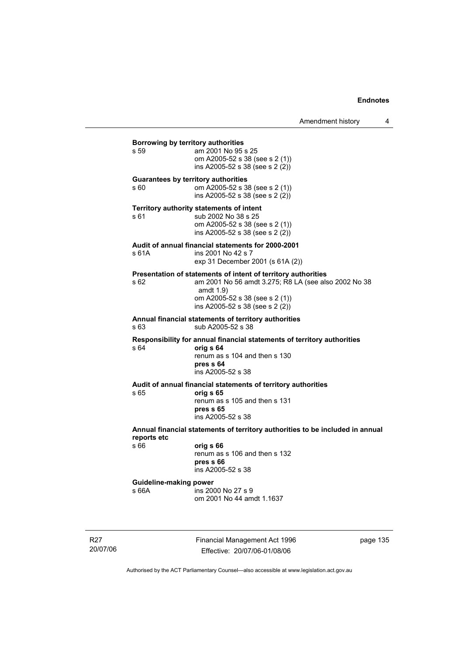**Borrowing by territory authorities**<br>s 59 am 2001 No 95 am 2001 No 95 s 25 om A2005-52 s 38 (see s 2 (1)) ins A2005-52 s 38 (see s 2 (2)) **Guarantees by territory authorities**  s 60 om A2005-52 s 38 (see s 2 (1)) ins A2005-52 s 38 (see s 2 (2)) **Territory authority statements of intent**  s 61 sub 2002 No 38 s 25 om A2005-52 s 38 (see s 2 (1)) ins A2005-52 s 38 (see s 2 (2)) **Audit of annual financial statements for 2000-2001**  ins 2001 No 42 s 7 exp 31 December 2001 (s 61A (2)) **Presentation of statements of intent of territory authorities**  s 62 am 2001 No 56 amdt 3.275; R8 LA (see also 2002 No 38 amdt 1.9) om A2005-52 s 38 (see s 2 (1)) ins A2005-52 s 38 (see s 2 (2)) **Annual financial statements of territory authorities**  s 63 sub A2005-52 s 38 **Responsibility for annual financial statements of territory authorities**  s 64 **orig s 64** renum as s 104 and then s 130 **pres s 64**  ins A2005-52 s 38 **Audit of annual financial statements of territory authorities**  s 65 **orig s 65**  renum as s 105 and then s 131 **pres s 65**  ins A2005-52 s 38 **Annual financial statements of territory authorities to be included in annual reports etc**  s 66 **orig s 66**  renum as s 106 and then s 132 **pres s 66**  ins A2005-52 s 38 **Guideline-making power**  s 66A ins 2000 No 27 s 9 om 2001 No 44 amdt 1.1637

R27 20/07/06 Financial Management Act 1996 Effective: 20/07/06-01/08/06

page 135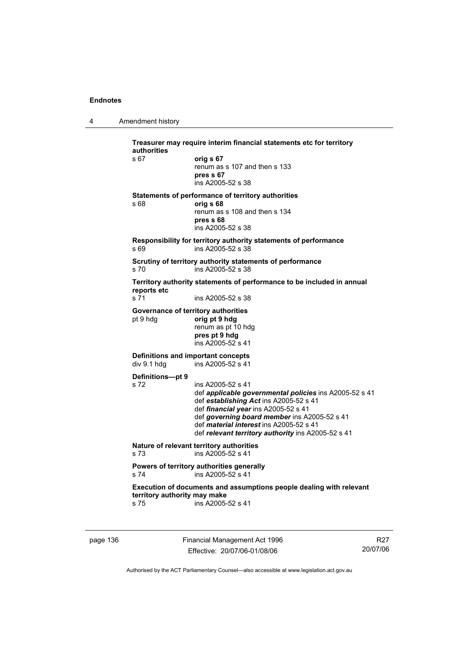4 Amendment history

**Treasurer may require interim financial statements etc for territory authorities** s 67 **orig s 67**  renum as s 107 and then s 133 **pres s 67**  ins A2005-52 s 38 **Statements of performance of territory authorities**  s 68 **orig s 68**  renum as s 108 and then s 134 **pres s 68**  ins A2005-52 s 38 **Responsibility for territory authority statements of performance**  s 69 ins A2005-52 s 38 **Scrutiny of territory authority statements of performance**  s 70 ins A2005-52 s 38 **Territory authority statements of performance to be included in annual reports etc**  s 71 ins A2005-52 s 38 **Governance of territory authorities**<br>
orig pt 9 hdg<br>
orig pt 9 hdg pt 9 hdg **orig pt 9 hdg**  renum as pt 10 hdg **pres pt 9 hdg**  ins A2005-52 s 41 **Definitions and important concepts**  div 9.1 hdg ins A2005-52 s 41 **Definitions—pt 9**  s 72 ins A2005-52 s 41 def *applicable governmental policies* ins A2005-52 s 41 def *establishing Act* ins A2005-52 s 41 def *financial year* ins A2005-52 s 41 def *governing board member* ins A2005-52 s 41 def *material interest* ins A2005-52 s 41 def *relevant territory authority* ins A2005-52 s 41 **Nature of relevant territory authorities**  s 73 ins A2005-52 s 41 **Powers of territory authorities generally**<br>s 74  $\frac{1}{2}$  ins A2005-52 s 41  $ins$  A2005-52 s 41 **Execution of documents and assumptions people dealing with relevant territory authority may make**  s 75 ins A2005-52 s 41

page 136 Financial Management Act 1996 Effective: 20/07/06-01/08/06

R27 20/07/06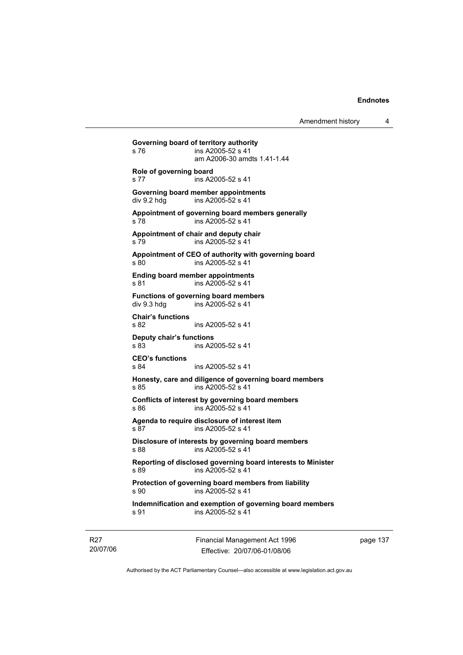Amendment history 4

**Governing board of territory authority**  s 76 ins A2005-52 s 41 am A2006-30 amdts 1.41-1.44 **Role of governing board**  s 77 ins A2005-52 s 41 **Governing board member appointments**  div 9.2 hdg ins A2005-52 s 41 **Appointment of governing board members generally**  s 78 ins A2005-52 s 41 **Appointment of chair and deputy chair**  s 79 ins A2005-52 s 41 **Appointment of CEO of authority with governing board**  s 80 ins A2005-52 s 41 **Ending board member appointments**  s 81 ins A2005-52 s 41 **Functions of governing board members**  div 9.3 hdg ins A2005-52 s 41 **Chair's functions**  s 82 ins A2005-52 s 41 **Deputy chair's functions**  ins A2005-52 s 41 **CEO's functions**  s 84 ins A2005-52 s 41 **Honesty, care and diligence of governing board members**  s 85 ins A2005-52 s 41 **Conflicts of interest by governing board members**  s 86 ins A2005-52 s 41 **Agenda to require disclosure of interest item**  s 87 ins A2005-52 s 41 **Disclosure of interests by governing board members**  s 88 ins A2005-52 s 41 **Reporting of disclosed governing board interests to Minister**  s 89 ins A2005-52 s 41 **Protection of governing board members from liability**  s 90 ins A2005-52 s 41 **Indemnification and exemption of governing board members**  s 91 ins A2005-52 s 41

R27 20/07/06 Financial Management Act 1996 Effective: 20/07/06-01/08/06

page 137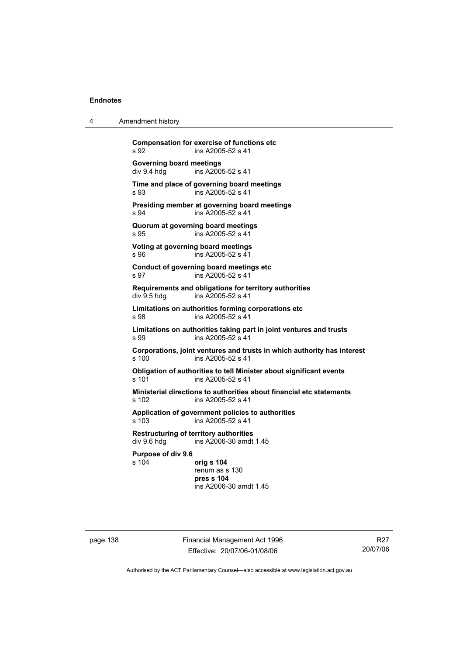4 Amendment history

| s 92                                    | <b>Compensation for exercise of functions etc</b><br>ins A2005-52 s 41                       |
|-----------------------------------------|----------------------------------------------------------------------------------------------|
| Governing board meetings<br>div 9.4 hdg | ins A2005-52 s 41                                                                            |
| s.93                                    | Time and place of governing board meetings<br>ins A2005-52 s 41                              |
| s 94                                    | Presiding member at governing board meetings<br>ins A2005-52 s 41                            |
| s 95                                    | Quorum at governing board meetings<br>ins A2005-52 s 41                                      |
| s 96                                    | Voting at governing board meetings<br>ins A2005-52 s 41                                      |
| s 97                                    | Conduct of governing board meetings etc<br>ins A2005-52 s 41                                 |
| div 9.5 hda                             | Requirements and obligations for territory authorities<br>ins A2005-52 s 41                  |
| s 98                                    | Limitations on authorities forming corporations etc<br>ins A2005-52 s 41                     |
| s 99                                    | Limitations on authorities taking part in joint ventures and trusts<br>ins A2005-52 s 41     |
| s 100                                   | Corporations, joint ventures and trusts in which authority has interest<br>ins A2005-52 s 41 |
| s 101                                   | Obligation of authorities to tell Minister about significant events<br>ins A2005-52 s 41     |
| s 102                                   | Ministerial directions to authorities about financial etc statements<br>ins A2005-52 s 41    |
| s 103                                   | Application of government policies to authorities<br>ins A2005-52 s 41                       |
| div 9.6 hdg                             | <b>Restructuring of territory authorities</b><br>ins A2006-30 amdt 1.45                      |
| Purpose of div 9.6<br>s 104             | orig s 104<br>renum as s 130<br>pres s 104<br>ins A2006-30 amdt 1.45                         |

page 138 Financial Management Act 1996 Effective: 20/07/06-01/08/06

R27 20/07/06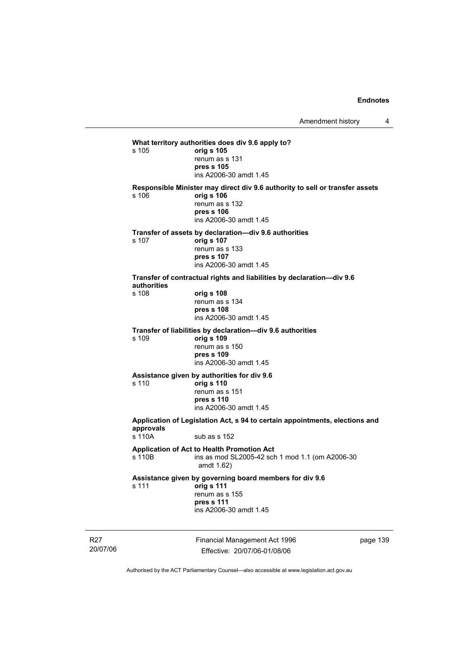Financial Management Act 1996 Effective: 20/07/06-01/08/06 page 139 **What territory authorities does div 9.6 apply to?**  s 105 **orig s 105** renum as s 131 **pres s 105**  ins A2006-30 amdt 1.45 **Responsible Minister may direct div 9.6 authority to sell or transfer assets**  s 106 **orig s 106** renum as s 132 **pres s 106**  ins A2006-30 amdt 1.45 **Transfer of assets by declaration—div 9.6 authorities**  s 107 **orig s 107** renum as s 133 **pres s 107**  ins A2006-30 amdt 1.45 **Transfer of contractual rights and liabilities by declaration—div 9.6 authorities**  s 108 **orig s 108** renum as s 134 **pres s 108**  ins A2006-30 amdt 1.45 **Transfer of liabilities by declaration—div 9.6 authorities**  s 109 **orig s 109** renum as s 150 **pres s 109**  ins A2006-30 amdt 1.45 **Assistance given by authorities for div 9.6**  s 110 **orig s 110** renum as s 151 **pres s 110**  ins A2006-30 amdt 1.45 **Application of Legislation Act, s 94 to certain appointments, elections and approvals**  s 110A sub as s 152 **Application of Act to Health Promotion Act**  ins as mod SL2005-42 sch 1 mod 1.1 (om A2006-30 amdt 1.62) **Assistance given by governing board members for div 9.6**  s 111 **orig s 111** renum as s 155 **pres s 111**  ins A2006-30 amdt 1.45

Authorised by the ACT Parliamentary Counsel—also accessible at www.legislation.act.gov.au

R27 20/07/06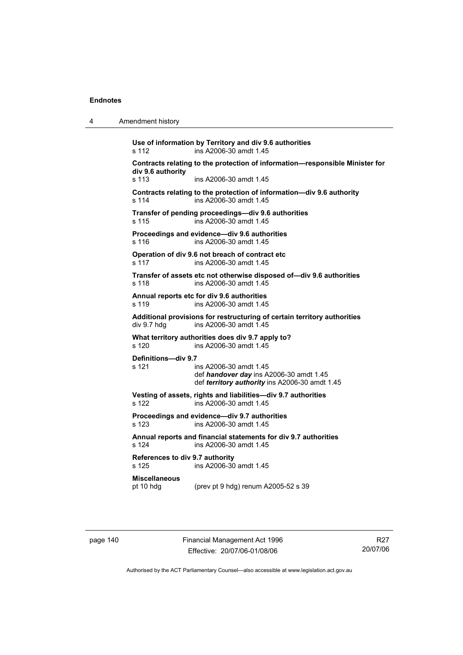| 4 | Amendment history |
|---|-------------------|
|---|-------------------|

**Use of information by Territory and div 9.6 authorities**  s 112 ins A2006-30 amdt 1.45 **Contracts relating to the protection of information—responsible Minister for div 9.6 authority**  s 113 ins A2006-30 amdt 1.45 **Contracts relating to the protection of information—div 9.6 authority**  s 114 ins A2006-30 amdt 1.45 **Transfer of pending proceedings—div 9.6 authorities**  s 115 ins A2006-30 amdt 1.45 **Proceedings and evidence—div 9.6 authorities**  s 116 ins A2006-30 amdt 1.45 **Operation of div 9.6 not breach of contract etc**  s 117 ins A2006-30 amdt 1.45 **Transfer of assets etc not otherwise disposed of—div 9.6 authorities**  s 118 ins A2006-30 amdt 1.45 **Annual reports etc for div 9.6 authorities**  s 119 ins A2006-30 amdt 1.45 **Additional provisions for restructuring of certain territory authorities**  div 9.7 hdg ins A2006-30 amdt 1.45 **What territory authorities does div 9.7 apply to?**  s 120 ins A2006-30 amdt 1.45 **Definitions—div 9.7**  s 121 ins A2006-30 amdt 1.45 def *handover day* ins A2006-30 amdt 1.45 def *territory authority* ins A2006-30 amdt 1.45 **Vesting of assets, rights and liabilities—div 9.7 authorities**  s 122 ins A2006-30 amdt 1.45 **Proceedings and evidence—div 9.7 authorities**  s 123 ins A2006-30 amdt 1.45 **Annual reports and financial statements for div 9.7 authorities**  s 124 ins A2006-30 amdt 1.45 **References to div 9.7 authority**  ins A2006-30 amdt 1.45 **Miscellaneous**  pt 10 hdg (prev pt 9 hdg) renum A2005-52 s 39

page 140 Financial Management Act 1996 Effective: 20/07/06-01/08/06

R27 20/07/06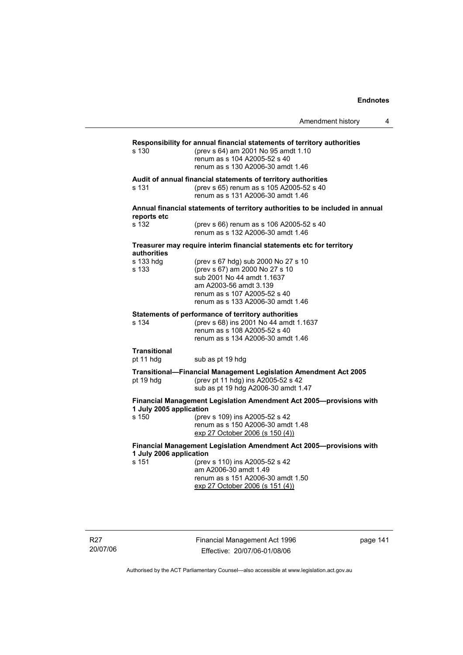|                                                                     | Amendment history                                                                                                                                                                                  | 4 |
|---------------------------------------------------------------------|----------------------------------------------------------------------------------------------------------------------------------------------------------------------------------------------------|---|
| s 130                                                               | Responsibility for annual financial statements of territory authorities<br>(prev s 64) am 2001 No 95 amdt 1.10<br>renum as s 104 A2005-52 s 40<br>renum as s 130 A2006-30 amdt 1.46                |   |
| s 131                                                               | Audit of annual financial statements of territory authorities<br>(prev s 65) renum as s 105 A2005-52 s 40<br>renum as s 131 A2006-30 amdt 1.46                                                     |   |
|                                                                     | Annual financial statements of territory authorities to be included in annual                                                                                                                      |   |
| reports etc<br>s 132                                                | (prev s 66) renum as s 106 A2005-52 s 40<br>renum as s 132 A2006-30 amdt 1.46                                                                                                                      |   |
|                                                                     | Treasurer may require interim financial statements etc for territory                                                                                                                               |   |
| authorities<br>s 133 hdg<br>s 133                                   | (prev s 67 hdg) sub 2000 No 27 s 10<br>(prev s 67) am 2000 No 27 s 10<br>sub 2001 No 44 amdt 1.1637<br>am A2003-56 amdt 3.139<br>renum as s 107 A2005-52 s 40<br>renum as s 133 A2006-30 amdt 1.46 |   |
| s 134                                                               | Statements of performance of territory authorities<br>(prev s 68) ins 2001 No 44 amdt 1.1637<br>renum as s 108 A2005-52 s 40<br>renum as s 134 A2006-30 amdt 1.46                                  |   |
| <b>Transitional</b><br>pt 11 hdg                                    | sub as pt 19 hdg                                                                                                                                                                                   |   |
| pt 19 hdg                                                           | Transitional-Financial Management Legislation Amendment Act 2005<br>(prev pt 11 hdg) ins A2005-52 s 42<br>sub as pt 19 hdg A2006-30 amdt 1.47                                                      |   |
| 1 July 2005 application<br>s 150                                    | Financial Management Legislation Amendment Act 2005-provisions with<br>(prev s 109) ins A2005-52 s 42<br>renum as s 150 A2006-30 amdt 1.48<br>exp 27 October 2006 (s 150 (4))                      |   |
| Financial Management Legislation Amendment Act 2005-provisions with |                                                                                                                                                                                                    |   |
| 1 July 2006 application<br>s 151                                    | (prev s 110) ins A2005-52 s 42<br>am A2006-30 amdt 1.49<br>renum as s 151 A2006-30 amdt 1.50<br>exp 27 October 2006 (s 151 (4))                                                                    |   |

Financial Management Act 1996 Effective: 20/07/06-01/08/06

page 141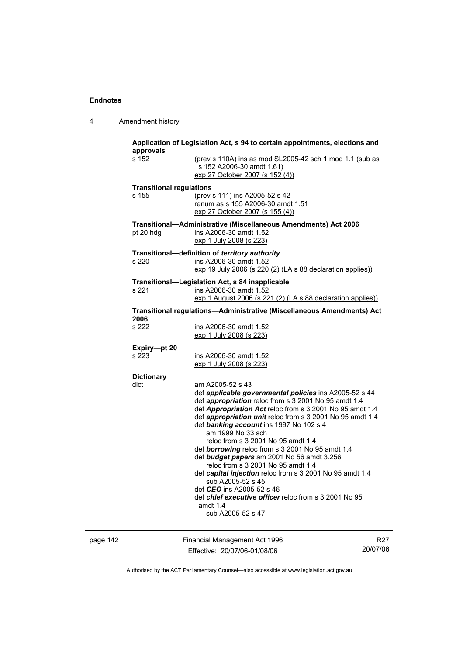| 4 | Amendment history |
|---|-------------------|
|---|-------------------|

| Application of Legislation Act, s 94 to certain appointments, elections and<br>approvals |                                                                                                                                                                                                                                                                                                                                                                                                                                                                                                                                                                                                                                                                                  |  |  |
|------------------------------------------------------------------------------------------|----------------------------------------------------------------------------------------------------------------------------------------------------------------------------------------------------------------------------------------------------------------------------------------------------------------------------------------------------------------------------------------------------------------------------------------------------------------------------------------------------------------------------------------------------------------------------------------------------------------------------------------------------------------------------------|--|--|
| s 152                                                                                    | (prev s 110A) ins as mod SL2005-42 sch 1 mod 1.1 (sub as<br>s 152 A2006-30 amdt 1.61)<br>exp 27 October 2007 (s 152 (4))                                                                                                                                                                                                                                                                                                                                                                                                                                                                                                                                                         |  |  |
| <b>Transitional regulations</b>                                                          |                                                                                                                                                                                                                                                                                                                                                                                                                                                                                                                                                                                                                                                                                  |  |  |
| s 155                                                                                    | (prev s 111) ins A2005-52 s 42<br>renum as s 155 A2006-30 amdt 1.51<br>exp 27 October 2007 (s 155 (4))                                                                                                                                                                                                                                                                                                                                                                                                                                                                                                                                                                           |  |  |
| pt 20 hdg                                                                                | Transitional-Administrative (Miscellaneous Amendments) Act 2006<br>ins A2006-30 amdt 1.52<br>exp 1 July 2008 (s 223)                                                                                                                                                                                                                                                                                                                                                                                                                                                                                                                                                             |  |  |
|                                                                                          | Transitional-definition of territory authority                                                                                                                                                                                                                                                                                                                                                                                                                                                                                                                                                                                                                                   |  |  |
| s 220                                                                                    | ins A2006-30 amdt 1.52<br>exp 19 July 2006 (s 220 (2) (LA s 88 declaration applies))                                                                                                                                                                                                                                                                                                                                                                                                                                                                                                                                                                                             |  |  |
|                                                                                          | Transitional-Legislation Act, s 84 inapplicable                                                                                                                                                                                                                                                                                                                                                                                                                                                                                                                                                                                                                                  |  |  |
| s 221                                                                                    | ins A2006-30 amdt 1.52<br>exp 1 August 2006 (s 221 (2) (LA s 88 declaration applies))                                                                                                                                                                                                                                                                                                                                                                                                                                                                                                                                                                                            |  |  |
| Transitional regulations-Administrative (Miscellaneous Amendments) Act<br>2006           |                                                                                                                                                                                                                                                                                                                                                                                                                                                                                                                                                                                                                                                                                  |  |  |
| s 222                                                                                    | ins A2006-30 amdt 1.52<br>exp 1 July 2008 (s 223)                                                                                                                                                                                                                                                                                                                                                                                                                                                                                                                                                                                                                                |  |  |
| Expiry-pt 20                                                                             |                                                                                                                                                                                                                                                                                                                                                                                                                                                                                                                                                                                                                                                                                  |  |  |
| s 223                                                                                    | ins A2006-30 amdt 1.52                                                                                                                                                                                                                                                                                                                                                                                                                                                                                                                                                                                                                                                           |  |  |
|                                                                                          | exp 1 July 2008 (s 223)                                                                                                                                                                                                                                                                                                                                                                                                                                                                                                                                                                                                                                                          |  |  |
| <b>Dictionary</b>                                                                        |                                                                                                                                                                                                                                                                                                                                                                                                                                                                                                                                                                                                                                                                                  |  |  |
| dict                                                                                     | am A2005-52 s 43<br>def applicable governmental policies ins A2005-52 s 44<br>def appropriation reloc from s 3 2001 No 95 amdt 1.4<br>def Appropriation Act reloc from s 3 2001 No 95 amdt 1.4<br>def appropriation unit reloc from s 3 2001 No 95 amdt 1.4<br>def banking account ins 1997 No 102 s 4<br>am 1999 No 33 sch<br>reloc from s 3 2001 No 95 amdt 1.4<br>def borrowing reloc from s 3 2001 No 95 amdt 1.4<br>def budget papers am 2001 No 56 amdt 3.256<br>reloc from s 3 2001 No 95 amdt 1.4<br>def capital injection reloc from s 3 2001 No 95 amdt 1.4<br>sub A2005-52 s 45<br>def CEO ins A2005-52 s 46<br>def chief executive officer reloc from s 3 2001 No 95 |  |  |
|                                                                                          | amdt $1.4$<br>sub A2005-52 s 47                                                                                                                                                                                                                                                                                                                                                                                                                                                                                                                                                                                                                                                  |  |  |

page 142 Financial Management Act 1996 Effective: 20/07/06-01/08/06

R27 20/07/06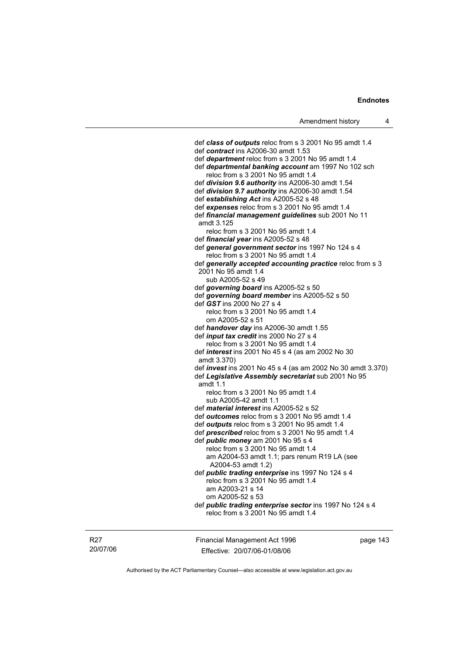def *class of outputs* reloc from s 3 2001 No 95 amdt 1.4 def *contract* ins A2006-30 amdt 1.53 def *department* reloc from s 3 2001 No 95 amdt 1.4 def *departmental banking account* am 1997 No 102 sch reloc from s 3 2001 No 95 amdt 1.4 def *division 9.6 authority* ins A2006-30 amdt 1.54 def *division 9.7 authority* ins A2006-30 amdt 1.54 def *establishing Act* ins A2005-52 s 48 def *expenses* reloc from s 3 2001 No 95 amdt 1.4 def *financial management guidelines* sub 2001 No 11 amdt 3.125 reloc from s 3 2001 No 95 amdt 1.4 def *financial year* ins A2005-52 s 48 def *general government sector* ins 1997 No 124 s 4 reloc from s 3 2001 No 95 amdt 1.4 def *generally accepted accounting practice* reloc from s 3 2001 No 95 amdt 1.4 sub A2005-52 s 49 def *governing board* ins A2005-52 s 50 def *governing board member* ins A2005-52 s 50 def *GST* ins 2000 No 27 s 4 reloc from s 3 2001 No 95 amdt 1.4 om A2005-52 s 51 def *handover day* ins A2006-30 amdt 1.55 def *input tax credit* ins 2000 No 27 s 4 reloc from s 3 2001 No 95 amdt 1.4 def *interest* ins 2001 No 45 s 4 (as am 2002 No 30 amdt 3.370) def *invest* ins 2001 No 45 s 4 (as am 2002 No 30 amdt 3.370) def *Legislative Assembly secretariat* sub 2001 No 95 amdt 1.1 reloc from s 3 2001 No 95 amdt 1.4 sub A2005-42 amdt 1.1 def *material interest* ins A2005-52 s 52 def *outcomes* reloc from s 3 2001 No 95 amdt 1.4 def *outputs* reloc from s 3 2001 No 95 amdt 1.4 def *prescribed* reloc from s 3 2001 No 95 amdt 1.4 def *public money* am 2001 No 95 s 4 reloc from s 3 2001 No 95 amdt 1.4 am A2004-53 amdt 1.1; pars renum R19 LA (see A2004-53 amdt 1.2) def *public trading enterprise* ins 1997 No 124 s 4 reloc from s 3 2001 No 95 amdt 1.4 am A2003-21 s 14 om A2005-52 s 53 def *public trading enterprise sector* ins 1997 No 124 s 4 reloc from s 3 2001 No 95 amdt 1.4

R27 20/07/06 Financial Management Act 1996 Effective: 20/07/06-01/08/06

page 143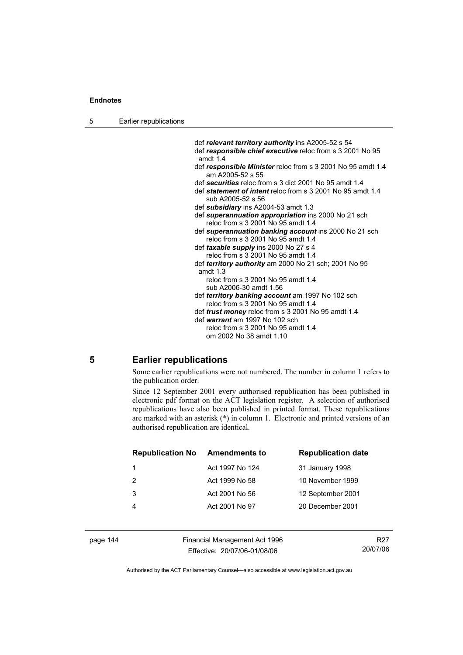| 5 | Earlier republications |
|---|------------------------|
|---|------------------------|

 def *relevant territory authority* ins A2005-52 s 54 def *responsible chief executive* reloc from s 3 2001 No 95 amdt 1.4 def *responsible Minister* reloc from s 3 2001 No 95 amdt 1.4 am A2005-52 s 55 def *securities* reloc from s 3 dict 2001 No 95 amdt 1.4 def *statement of intent* reloc from s 3 2001 No 95 amdt 1.4 sub A2005-52 s 56 def *subsidiary* ins A2004-53 amdt 1.3 def *superannuation appropriation* ins 2000 No 21 sch reloc from s 3 2001 No 95 amdt 1.4 def *superannuation banking account* ins 2000 No 21 sch reloc from s 3 2001 No 95 amdt 1.4 def *taxable supply* ins 2000 No 27 s 4 reloc from s 3 2001 No 95 amdt 1.4 def *territory authority* am 2000 No 21 sch; 2001 No 95 amdt 1.3 reloc from s 3 2001 No 95 amdt 1.4 sub A2006-30 amdt 1.56 def *territory banking account* am 1997 No 102 sch reloc from s 3 2001 No 95 amdt 1.4 def *trust money* reloc from s 3 2001 No 95 amdt 1.4 def *warrant* am 1997 No 102 sch reloc from s 3 2001 No 95 amdt 1.4 om 2002 No 38 amdt 1.10

# **5 Earlier republications**

Some earlier republications were not numbered. The number in column 1 refers to the publication order.

Since 12 September 2001 every authorised republication has been published in electronic pdf format on the ACT legislation register. A selection of authorised republications have also been published in printed format. These republications are marked with an asterisk (\*) in column 1. Electronic and printed versions of an authorised republication are identical.

| <b>Republication No</b> | <b>Amendments to</b> | <b>Republication date</b> |
|-------------------------|----------------------|---------------------------|
|                         | Act 1997 No 124      | 31 January 1998           |
| 2                       | Act 1999 No 58       | 10 November 1999          |
| 3                       | Act 2001 No 56       | 12 September 2001         |
|                         | Act 2001 No 97       | 20 December 2001          |
|                         |                      |                           |

page 144 Financial Management Act 1996 Effective: 20/07/06-01/08/06

R27 20/07/06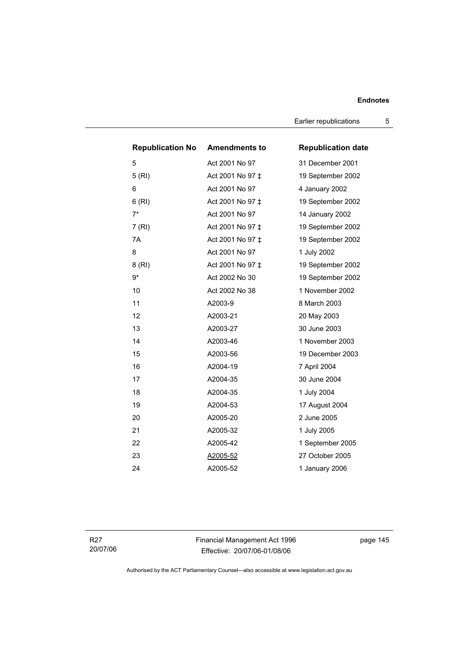Earlier republications 5

| <b>Republication No Amendments to</b> |                  | <b>Republication date</b> |
|---------------------------------------|------------------|---------------------------|
| 5                                     | Act 2001 No 97   | 31 December 2001          |
| 5(RI)                                 | Act 2001 No 97 ‡ | 19 September 2002         |
| 6                                     | Act 2001 No 97   | 4 January 2002            |
| 6(RI)                                 | Act 2001 No 97 ‡ | 19 September 2002         |
| $7*$                                  | Act 2001 No 97   | 14 January 2002           |
| 7(RI)                                 | Act 2001 No 97 ‡ | 19 September 2002         |
| 7A                                    | Act 2001 No 97 ‡ | 19 September 2002         |
| 8                                     | Act 2001 No 97   | 1 July 2002               |
| 8(RI)                                 | Act 2001 No 97 ‡ | 19 September 2002         |
| 9*                                    | Act 2002 No 30   | 19 September 2002         |
| 10                                    | Act 2002 No 38   | 1 November 2002           |
| 11                                    | A2003-9          | 8 March 2003              |
| 12                                    | A2003-21         | 20 May 2003               |
| 13                                    | A2003-27         | 30 June 2003              |
| 14                                    | A2003-46         | 1 November 2003           |
| 15                                    | A2003-56         | 19 December 2003          |
| 16                                    | A2004-19         | 7 April 2004              |
| 17                                    | A2004-35         | 30 June 2004              |
| 18                                    | A2004-35         | 1 July 2004               |
| 19                                    | A2004-53         | 17 August 2004            |
| 20                                    | A2005-20         | 2 June 2005               |
| 21                                    | A2005-32         | 1 July 2005               |
| 22                                    | A2005-42         | 1 September 2005          |
| 23                                    | A2005-52         | 27 October 2005           |
| 24                                    | A2005-52         | 1 January 2006            |

R27 20/07/06 Financial Management Act 1996 Effective: 20/07/06-01/08/06

page 145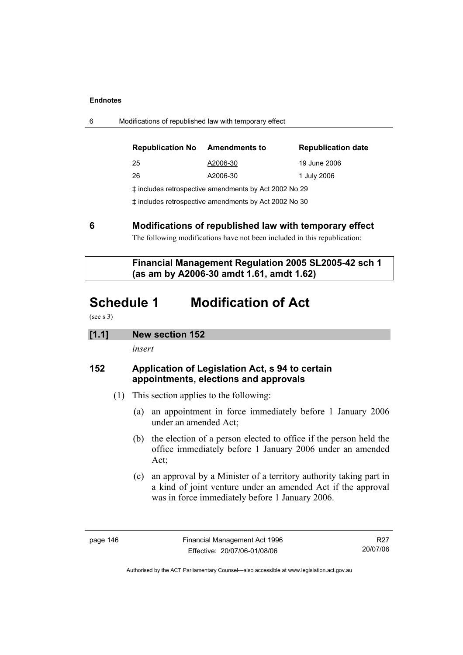6 Modifications of republished law with temporary effect

| <b>Republication No</b>                                  | <b>Amendments to</b> | <b>Republication date</b> |  |
|----------------------------------------------------------|----------------------|---------------------------|--|
| 25                                                       | A2006-30             | 19 June 2006              |  |
| 26                                                       | A2006-30             | 1 July 2006               |  |
| t includes retrospective amendments by Act 2002 No 29    |                      |                           |  |
| $+$ included refreepeative amondments by Ast 2002 No. 20 |                      |                           |  |

‡ includes retrospective amendments by Act 2002 No 30

**6 Modifications of republished law with temporary effect** 

The following modifications have not been included in this republication:

 **Financial Management Regulation 2005 SL2005-42 sch 1 (as am by A2006-30 amdt 1.61, amdt 1.62)** 

# **Schedule 1 Modification of Act**

(see s 3)

# **[1.1] New section 152**

*insert* 

# **152 Application of Legislation Act, s 94 to certain appointments, elections and approvals**

- (1) This section applies to the following:
	- (a) an appointment in force immediately before 1 January 2006 under an amended Act;
	- (b) the election of a person elected to office if the person held the office immediately before 1 January 2006 under an amended Act;
	- (c) an approval by a Minister of a territory authority taking part in a kind of joint venture under an amended Act if the approval was in force immediately before 1 January 2006.

R27 20/07/06